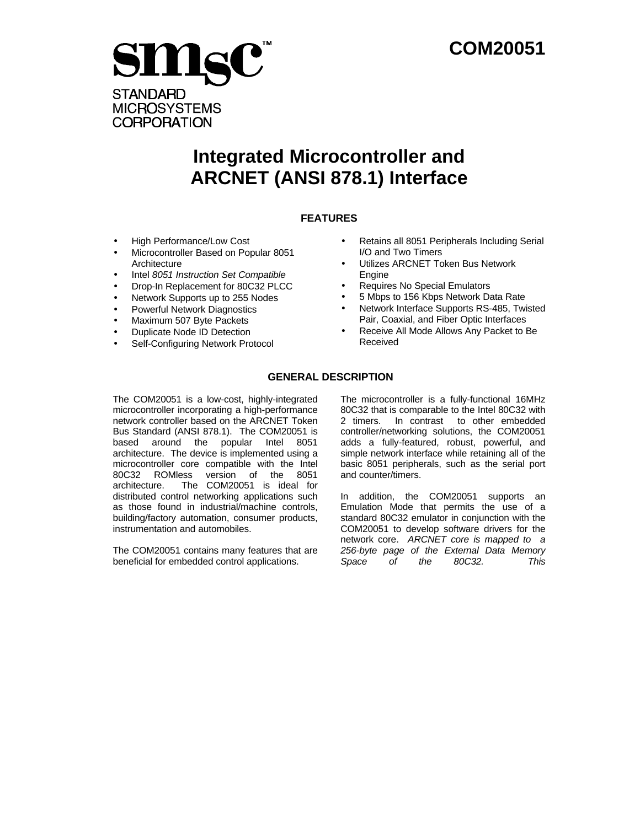

# **Integrated Microcontroller and ARCNET (ANSI 878.1) Interface**

# **FEATURES**

- High Performance/Low Cost
- Microcontroller Based on Popular 8051 **Architecture**
- Intel *8051 Instruction Set Compatible*
- Drop-In Replacement for 80C32 PLCC
- Network Supports up to 255 Nodes
- Powerful Network Diagnostics
- Maximum 507 Byte Packets
- Duplicate Node ID Detection
- Self-Configuring Network Protocol
- Retains all 8051 Peripherals Including Serial I/O and Two Timers
- Utilizes ARCNET Token Bus Network Engine
- Requires No Special Emulators
- 5 Mbps to 156 Kbps Network Data Rate
- Network Interface Supports RS-485, Twisted Pair, Coaxial, and Fiber Optic Interfaces
- Receive All Mode Allows Any Packet to Be Received

# **GENERAL DESCRIPTION**

The COM20051 is a low-cost, highly-integrated microcontroller incorporating a high-performance network controller based on the ARCNET Token Bus Standard (ANSI 878.1). The COM20051 is based around the popular Intel 8051 architecture. The device is implemented using a microcontroller core compatible with the Intel 80C32 ROMless version of the 8051 architecture. The COM20051 is ideal for distributed control networking applications such as those found in industrial/machine controls, building/factory automation, consumer products, instrumentation and automobiles.

The COM20051 contains many features that are beneficial for embedded control applications.

The microcontroller is a fully-functional 16MHz 80C32 that is comparable to the Intel 80C32 with 2 timers. In contrast to other embedded controller/networking solutions, the COM20051 adds a fully-featured, robust, powerful, and simple network interface while retaining all of the basic 8051 peripherals, such as the serial port and counter/timers.

In addition, the COM20051 supports an Emulation Mode that permits the use of a standard 80C32 emulator in conjunction with the COM20051 to develop software drivers for the network core. *ARCNET core is mapped to a 256-byte page of the External Data Memory Space of the 80C32. This*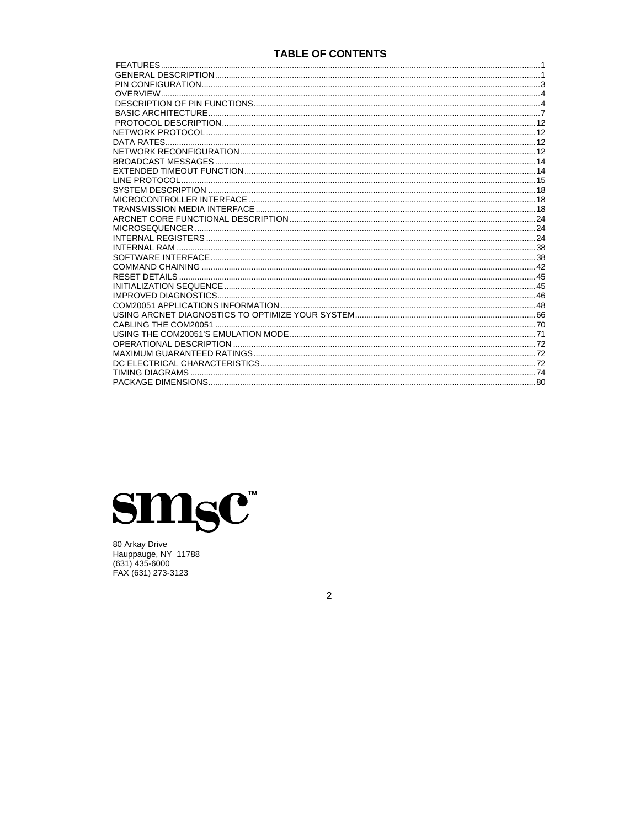# **TABLE OF CONTENTS**



80 Arkay Drive<br>Hauppauge, NY 11788<br>(631) 435-6000<br>FAX (631) 273-3123

 $\overline{2}$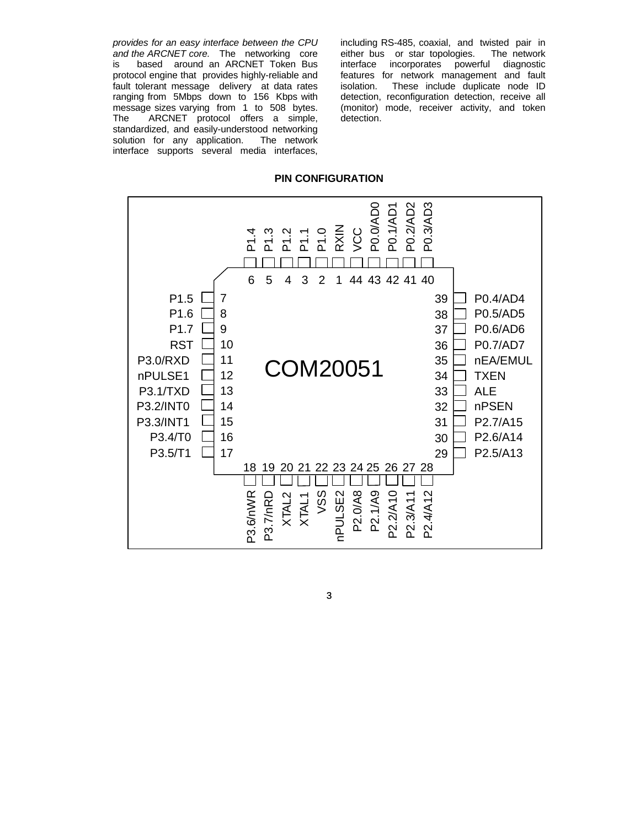*provides for an easy interface between the CPU and the ARCNET core.* The networking core is based around an ARCNET Token Bus protocol engine that provides highly-reliable and fault tolerant message delivery at data rates ranging from 5Mbps down to 156 Kbps with message sizes varying from 1 to 508 bytes. The ARCNET protocol offers a simple, standardized, and easily-understood networking solution for any application. The network interface supports several media interfaces,

including RS-485, coaxial, and twisted pair in either bus or star topologies. The network interface incorporates powerful diagnostic features for network management and fault isolation. These include duplicate node ID detection, reconfiguration detection, receive all (monitor) mode, receiver activity, and token detection.

## **PIN CONFIGURATION**

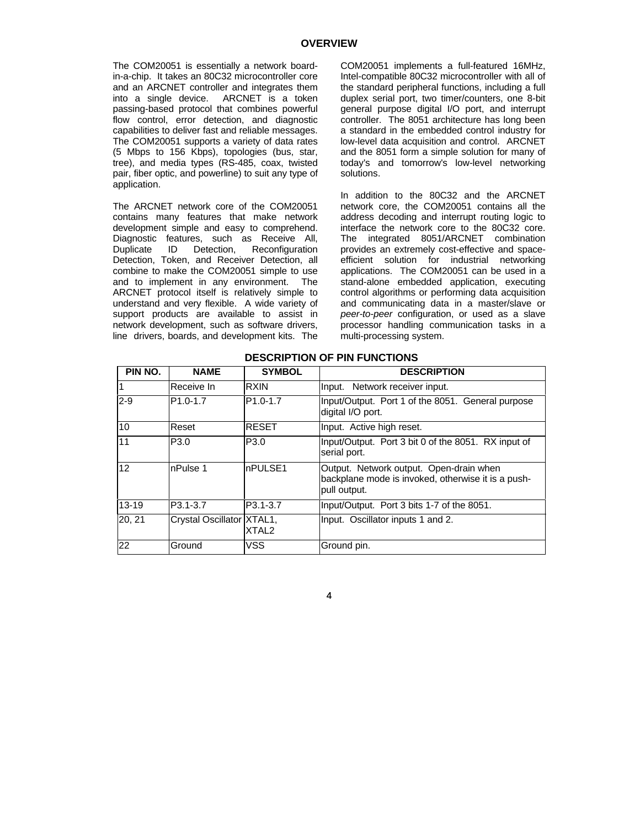The COM20051 is essentially a network boardin-a-chip. It takes an 80C32 microcontroller core and an ARCNET controller and integrates them into a single device. ARCNET is a token passing-based protocol that combines powerful flow control, error detection, and diagnostic capabilities to deliver fast and reliable messages. The COM20051 supports a variety of data rates (5 Mbps to 156 Kbps), topologies (bus, star, tree), and media types (RS-485, coax, twisted pair, fiber optic, and powerline) to suit any type of application.

The ARCNET network core of the COM20051 contains many features that make network development simple and easy to comprehend. Diagnostic features, such as Receive All,<br>Duplicate ID Detection, Reconfiguration Duplicate ID Detection, Reconfiguration Detection, Token, and Receiver Detection, all combine to make the COM20051 simple to use and to implement in any environment. The ARCNET protocol itself is relatively simple to understand and very flexible. A wide variety of support products are available to assist in network development, such as software drivers, line drivers, boards, and development kits. The COM20051 implements a full-featured 16MHz, Intel-compatible 80C32 microcontroller with all of the standard peripheral functions, including a full duplex serial port, two timer/counters, one 8-bit general purpose digital I/O port, and interrupt controller. The 8051 architecture has long been a standard in the embedded control industry for low-level data acquisition and control. ARCNET and the 8051 form a simple solution for many of today's and tomorrow's low-level networking solutions.

In addition to the 80C32 and the ARCNET network core, the COM20051 contains all the address decoding and interrupt routing logic to interface the network core to the 80C32 core. The integrated 8051/ARCNET combination provides an extremely cost-effective and spaceefficient solution for industrial networking applications. The COM20051 can be used in a stand-alone embedded application, executing control algorithms or performing data acquisition and communicating data in a master/slave or *peer-to-peer* configuration, or used as a slave processor handling communication tasks in a multi-processing system.

| PIN NO.   | <b>NAME</b>               | <b>SYMBOL</b>         | <b>DESCRIPTION</b>                                                                                            |
|-----------|---------------------------|-----------------------|---------------------------------------------------------------------------------------------------------------|
|           | Receive In                | RXIN                  | Input. Network receiver input.                                                                                |
| $2-9$     | P <sub>1.0</sub> -1.7     | P <sub>1.0</sub> -1.7 | Input/Output. Port 1 of the 8051. General purpose<br>digital I/O port.                                        |
| 10        | Reset                     | <b>RESET</b>          | Input. Active high reset.                                                                                     |
| 11        | P3.0                      | P3.0                  | Input/Output. Port 3 bit 0 of the 8051. RX input of<br>serial port.                                           |
| 12        | nPulse 1                  | nPULSE1               | Output. Network output. Open-drain when<br>backplane mode is invoked, otherwise it is a push-<br>pull output. |
| $13 - 19$ | P3.1-3.7                  | P3.1-3.7              | Input/Output. Port 3 bits 1-7 of the 8051.                                                                    |
| 20, 21    | Crystal Oscillator XTAL1, | XTAL <sub>2</sub>     | Input. Oscillator inputs 1 and 2.                                                                             |
| 22        | Ground                    | VSS                   | Ground pin.                                                                                                   |

# **DESCRIPTION OF PIN FUNCTIONS**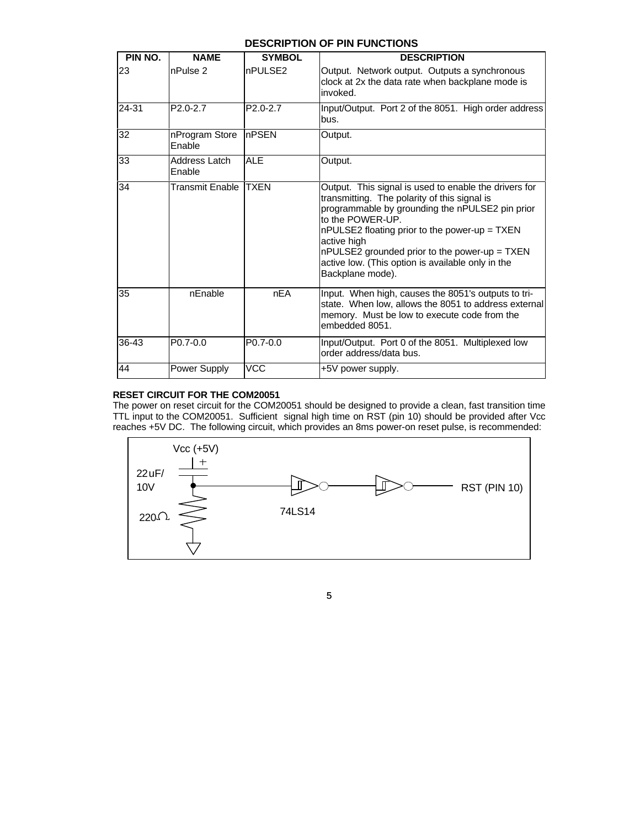# **DESCRIPTION OF PIN FUNCTIONS**

| PIN NO.   | <b>NAME</b>              | <b>SYMBOL</b>         | <b>DESCRIPTION</b>                                                                                                                                                                                                                                                                                                                                                     |
|-----------|--------------------------|-----------------------|------------------------------------------------------------------------------------------------------------------------------------------------------------------------------------------------------------------------------------------------------------------------------------------------------------------------------------------------------------------------|
| 23        | nPulse <sub>2</sub>      | nPULSE2               | Output. Network output. Outputs a synchronous<br>clock at 2x the data rate when backplane mode is<br>invoked.                                                                                                                                                                                                                                                          |
| 24-31     | P <sub>2.0</sub> -2.7    | P <sub>2.0</sub> -2.7 | Input/Output. Port 2 of the 8051. High order address<br>bus.                                                                                                                                                                                                                                                                                                           |
| 32        | nProgram Store<br>Enable | <b>InPSEN</b>         | Output.                                                                                                                                                                                                                                                                                                                                                                |
| 33        | Address Latch<br>Enable  | <b>ALE</b>            | Output.                                                                                                                                                                                                                                                                                                                                                                |
| 34        | Transmit Enable          | <b>TXEN</b>           | Output. This signal is used to enable the drivers for<br>transmitting. The polarity of this signal is<br>programmable by grounding the nPULSE2 pin prior<br>to the POWER-UP.<br>nPULSE2 floating prior to the power-up = TXEN<br>active high<br>nPULSE2 grounded prior to the power-up = TXEN<br>active low. (This option is available only in the<br>Backplane mode). |
| 35        | nEnable                  | nEA                   | Input. When high, causes the 8051's outputs to tri-<br>state. When low, allows the 8051 to address external<br>memory. Must be low to execute code from the<br>embedded 8051.                                                                                                                                                                                          |
| $36 - 43$ | $P0.7-0.0$               | $P0.7-0.0$            | Input/Output. Port 0 of the 8051. Multiplexed low<br>order address/data bus.                                                                                                                                                                                                                                                                                           |
| 44        | Power Supply             | <b>VCC</b>            | +5V power supply.                                                                                                                                                                                                                                                                                                                                                      |

# **RESET CIRCUIT FOR THE COM20051**

The power on reset circuit for the COM20051 should be designed to provide a clean, fast transition time TTL input to the COM20051. Sufficient signal high time on RST (pin 10) should be provided after Vcc reaches +5V DC. The following circuit, which provides an 8ms power-on reset pulse, is recommended:

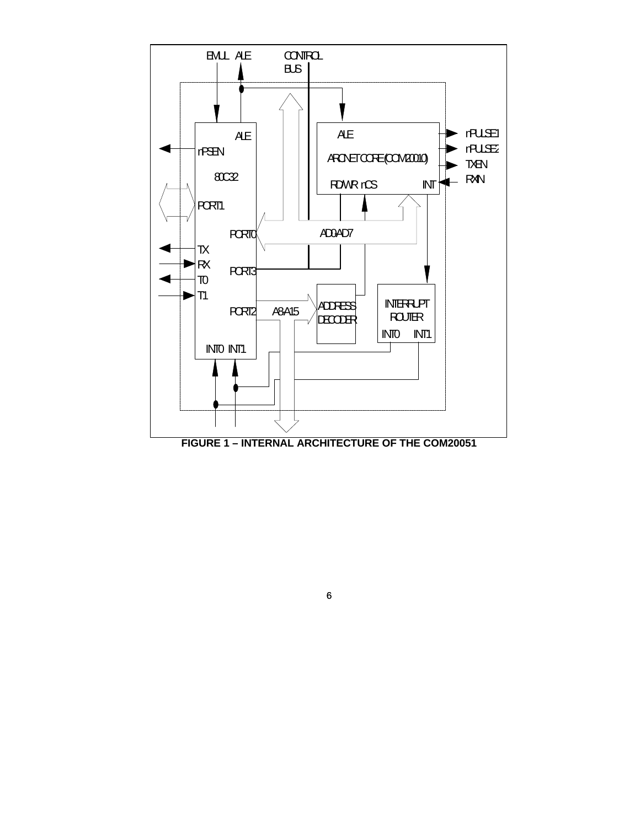

6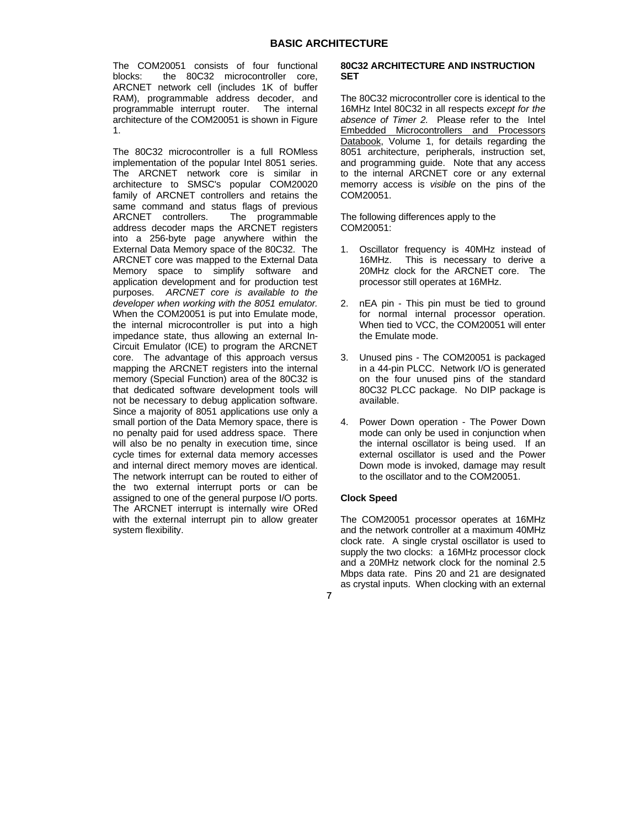The COM20051 consists of four functional blocks: the 80C32 microcontroller core, ARCNET network cell (includes 1K of buffer RAM), programmable address decoder, and programmable interrupt router. The internal architecture of the COM20051 is shown in Figure 1.

The 80C32 microcontroller is a full ROMless implementation of the popular Intel 8051 series. The ARCNET network core is similar in architecture to SMSC's popular COM20020 family of ARCNET controllers and retains the same command and status flags of previous ARCNET controllers. The programmable address decoder maps the ARCNET registers into a 256-byte page anywhere within the External Data Memory space of the 80C32. The ARCNET core was mapped to the External Data Memory space to simplify software and application development and for production test purposes. *ARCNET core is available to the developer when working with the 8051 emulator.* When the COM20051 is put into Emulate mode, the internal microcontroller is put into a high impedance state, thus allowing an external In-Circuit Emulator (ICE) to program the ARCNET core. The advantage of this approach versus mapping the ARCNET registers into the internal memory (Special Function) area of the 80C32 is that dedicated software development tools will not be necessary to debug application software. Since a majority of 8051 applications use only a small portion of the Data Memory space, there is no penalty paid for used address space. There will also be no penalty in execution time, since cycle times for external data memory accesses and internal direct memory moves are identical. The network interrupt can be routed to either of the two external interrupt ports or can be assigned to one of the general purpose I/O ports. The ARCNET interrupt is internally wire ORed with the external interrupt pin to allow greater system flexibility.

## **80C32 ARCHITECTURE AND INSTRUCTION SET**

The 80C32 microcontroller core is identical to the 16MHz Intel 80C32 in all respects *except for the absence of Timer 2.* Please refer to the Intel Embedded Microcontrollers and Processors Databook, Volume 1, for details regarding the 8051 architecture, peripherals, instruction set, and programming guide. Note that any access to the internal ARCNET core or any external memorry access is *visible* on the pins of the COM20051.

The following differences apply to the COM20051:

- 1. Oscillator frequency is 40MHz instead of 16MHz. This is necessary to derive a 20MHz clock for the ARCNET core. The processor still operates at 16MHz.
- 2. nEA pin This pin must be tied to ground for normal internal processor operation. When tied to VCC, the COM20051 will enter the Emulate mode.
- 3. Unused pins The COM20051 is packaged in a 44-pin PLCC. Network I/O is generated on the four unused pins of the standard 80C32 PLCC package. No DIP package is available.
- 4. Power Down operation The Power Down mode can only be used in conjunction when the internal oscillator is being used. If an external oscillator is used and the Power Down mode is invoked, damage may result to the oscillator and to the COM20051.

## **Clock Speed**

The COM20051 processor operates at 16MHz and the network controller at a maximum 40MHz clock rate. A single crystal oscillator is used to supply the two clocks: a 16MHz processor clock and a 20MHz network clock for the nominal 2.5 Mbps data rate. Pins 20 and 21 are designated as crystal inputs. When clocking with an external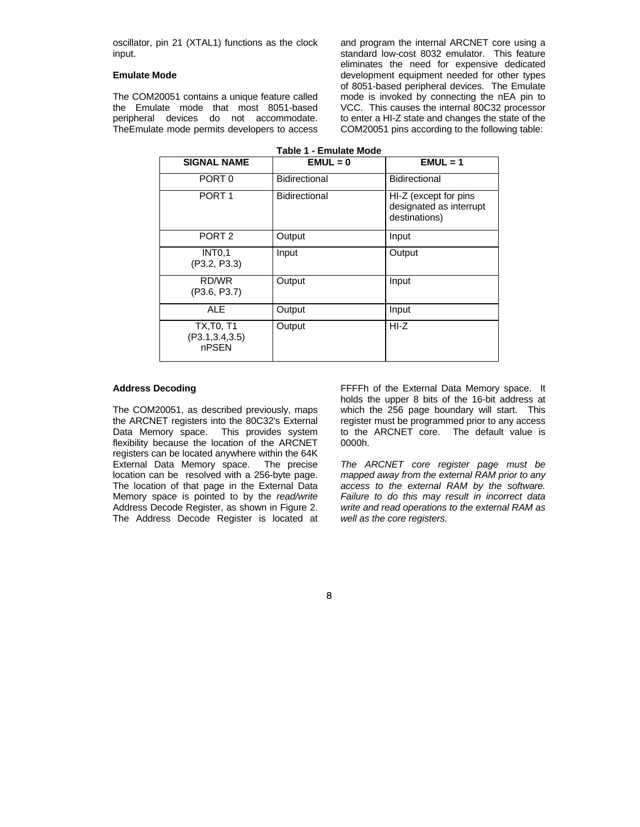oscillator, pin 21 (XTAL1) functions as the clock input.

## **Emulate Mode**

The COM20051 contains a unique feature called the Emulate mode that most 8051-based peripheral devices do not accommodate. TheEmulate mode permits developers to access

and program the internal ARCNET core using a standard low-cost 8032 emulator. This feature eliminates the need for expensive dedicated development equipment needed for other types of 8051-based peripheral devices. The Emulate mode is invoked by connecting the nEA pin to VCC. This causes the internal 80C32 processor to enter a HI-Z state and changes the state of the COM20051 pins according to the following table:

| <b>SIGNAL NAME</b>                             | $EMUL = 0$           | $EMUL = 1$                                                        |
|------------------------------------------------|----------------------|-------------------------------------------------------------------|
| PORT 0                                         | Bidirectional        | <b>Bidirectional</b>                                              |
| PORT <sub>1</sub>                              | <b>Bidirectional</b> | HI-Z (except for pins<br>designated as interrupt<br>destinations) |
| PORT <sub>2</sub>                              | Output               | Input                                                             |
| <b>INT0.1</b><br>(P3.2, P3.3)                  | Input                | Output                                                            |
| RD/WR<br>(P3.6, P3.7)                          | Output               | Input                                                             |
| <b>ALE</b>                                     | Output               | Input                                                             |
| <b>TX, T0, T1</b><br>(P3.1, 3.4, 3.5)<br>nPSEN | Output               | $HI-Z$                                                            |

#### **Address Decoding**

The COM20051, as described previously, maps the ARCNET registers into the 80C32's External Data Memory space. This provides system flexibility because the location of the ARCNET registers can be located anywhere within the 64K External Data Memory space. The precise location can be resolved with a 256-byte page. The location of that page in the External Data Memory space is pointed to by the *read/write* Address Decode Register, as shown in Figure 2. The Address Decode Register is located at

FFFFh of the External Data Memory space. It holds the upper 8 bits of the 16-bit address at which the 256 page boundary will start. This register must be programmed prior to any access to the ARCNET core. The default value is 0000h.

*The ARCNET core register page must be mapped away from the external RAM prior to any access to the external RAM by the software. Failure to do this may result in incorrect data write and read operations to the external RAM as well as the core registers.*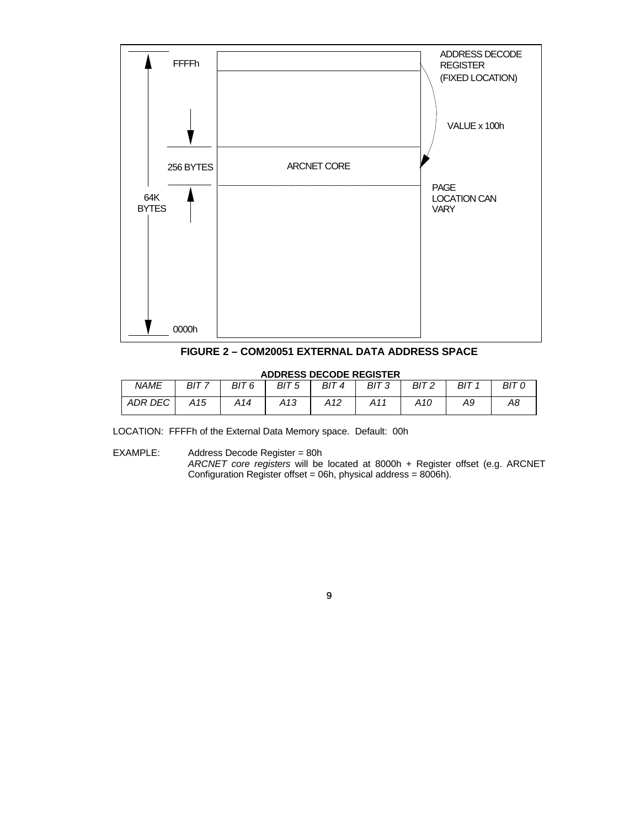

**FIGURE 2 – COM20051 EXTERNAL DATA ADDRESS SPACE**

# **ADDRESS DECODE REGISTER**

| <b>NAME</b> | BIT 7 | BIT 6 | BIT 5 | BIT 4 | BIT <sub>3</sub> | BIT <sub>2</sub> | BIT 1 | BIT 0 |
|-------------|-------|-------|-------|-------|------------------|------------------|-------|-------|
| ADR DEC     | A15   | A14   | A13   | A12   | A11              | A10              | Α9    | A8    |

LOCATION: FFFFh of the External Data Memory space. Default: 00h

EXAMPLE: Address Decode Register = 80h

*ARCNET core registers* will be located at 8000h + Register offset (e.g. ARCNET Configuration Register offset = 06h, physical address = 8006h).

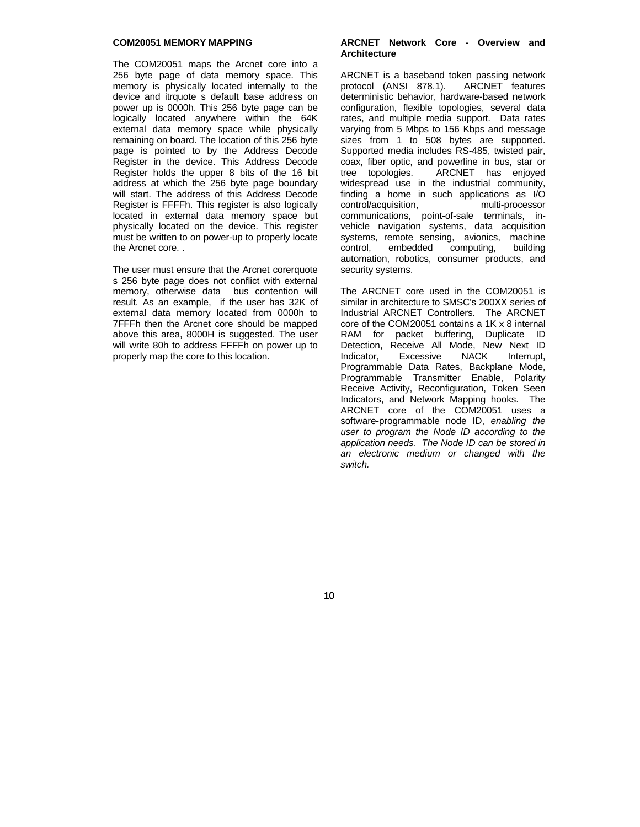## **COM20051 MEMORY MAPPING**

The COM20051 maps the Arcnet core into a 256 byte page of data memory space. This memory is physically located internally to the device and itrquote s default base address on power up is 0000h. This 256 byte page can be logically located anywhere within the 64K external data memory space while physically remaining on board. The location of this 256 byte page is pointed to by the Address Decode Register in the device. This Address Decode Register holds the upper 8 bits of the 16 bit address at which the 256 byte page boundary will start. The address of this Address Decode Register is FFFFh. This register is also logically located in external data memory space but physically located on the device. This register must be written to on power-up to properly locate the Arcnet core. .

The user must ensure that the Arcnet corerquote s 256 byte page does not conflict with external memory, otherwise data bus contention will result. As an example, if the user has 32K of external data memory located from 0000h to 7FFFh then the Arcnet core should be mapped above this area, 8000H is suggested. The user will write 80h to address FFFFh on power up to properly map the core to this location.

#### **ARCNET Network Core - Overview and Architecture**

ARCNET is a baseband token passing network protocol (ANSI 878.1). ARCNET features deterministic behavior, hardware-based network configuration, flexible topologies, several data rates, and multiple media support. Data rates varying from 5 Mbps to 156 Kbps and message sizes from 1 to 508 bytes are supported. Supported media includes RS-485, twisted pair, coax, fiber optic, and powerline in bus, star or tree topologies. ARCNET has enjoyed widespread use in the industrial community, finding a home in such applications as I/O control/acquisition, multi-processor communications, point-of-sale terminals, invehicle navigation systems, data acquisition systems, remote sensing, avionics, machine control, embedded computing, building automation, robotics, consumer products, and security systems.

The ARCNET core used in the COM20051 is similar in architecture to SMSC's 200XX series of Industrial ARCNET Controllers. The ARCNET core of the COM20051 contains a 1K x 8 internal RAM for packet buffering, Duplicate ID Detection, Receive All Mode, New Next ID<br>Indicator. Excessive NACK Interrupt. Indicator, Excessive NACK Interrupt, Programmable Data Rates, Backplane Mode, Programmable Transmitter Enable, Polarity Receive Activity, Reconfiguration, Token Seen Indicators, and Network Mapping hooks. The ARCNET core of the COM20051 uses a software-programmable node ID, *enabling the user to program the Node ID according to the application needs. The Node ID can be stored in an electronic medium or changed with the switch.*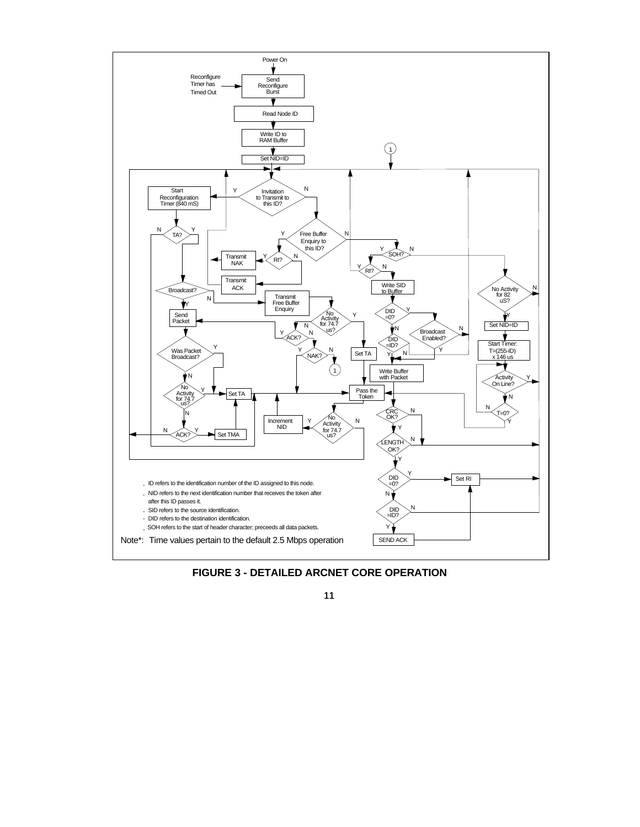

**FIGURE 3 - DETAILED ARCNET CORE OPERATION**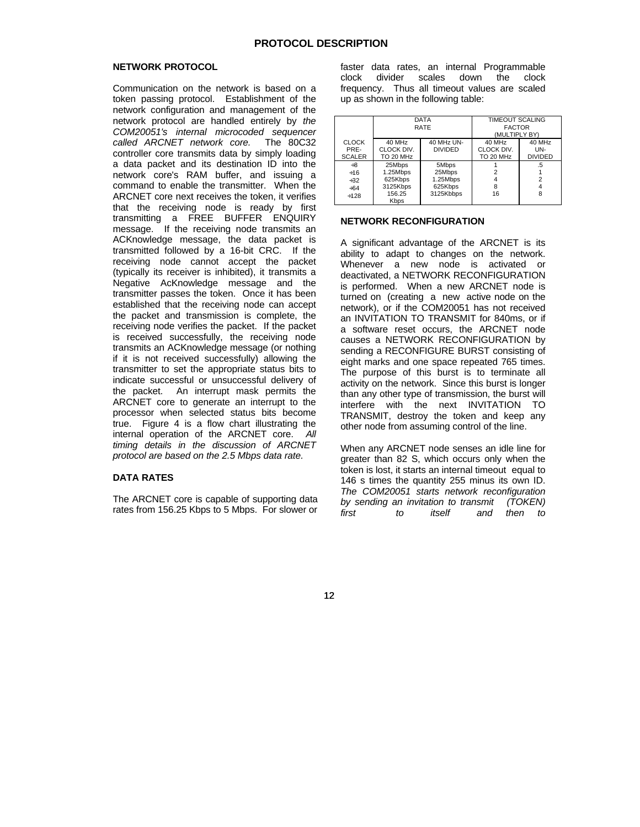#### **NETWORK PROTOCOL**

Communication on the network is based on a token passing protocol. Establishment of the network configuration and management of the network protocol are handled entirely by *the COM20051's internal microcoded sequencer called ARCNET network core.* The 80C32 controller core transmits data by simply loading a data packet and its destination ID into the network core's RAM buffer, and issuing a command to enable the transmitter. When the ARCNET core next receives the token, it verifies that the receiving node is ready by first transmitting a FREE BUFFER ENQUIRY message. If the receiving node transmits an ACKnowledge message, the data packet is transmitted followed by a 16-bit CRC. If the receiving node cannot accept the packet (typically its receiver is inhibited), it transmits a Negative AcKnowledge message and the transmitter passes the token. Once it has been established that the receiving node can accept the packet and transmission is complete, the receiving node verifies the packet. If the packet is received successfully, the receiving node transmits an ACKnowledge message (or nothing if it is not received successfully) allowing the transmitter to set the appropriate status bits to indicate successful or unsuccessful delivery of the packet. An interrupt mask permits the ARCNET core to generate an interrupt to the processor when selected status bits become true. Figure 4 is a flow chart illustrating the internal operation of the ARCNET core. *All timing details in the discussion of ARCNET protocol are based on the 2.5 Mbps data rate.*

## **DATA RATES**

The ARCNET core is capable of supporting data rates from 156.25 Kbps to 5 Mbps. For slower or faster data rates, an internal Programmable clock divider scales down the clock frequency. Thus all timeout values are scaled up as shown in the following table:

|                      |                       | <b>DATA</b><br><b>RATE</b>   | <b>TIMEOUT SCALING</b><br><b>FACTOR</b><br>(MULTIPLY BY) |                |
|----------------------|-----------------------|------------------------------|----------------------------------------------------------|----------------|
| <b>CLOCK</b><br>PRE- | 40 MHz<br>CLOCK DIV.  | 40 MHz UN-<br><b>DIVIDED</b> | 40 MHz<br>CLOCK DIV.                                     | 40 MHz<br>UN-  |
| <b>SCALER</b>        | TO 20 MHz             |                              | TO 20 MHz                                                | <b>DIVIDED</b> |
| $+8$                 | 25Mbps                | 5Mbps                        |                                                          | .5             |
| $\div 16$            | 1.25Mbps              | 25Mbps                       |                                                          |                |
| $+32$                | 625Kbps               | 1.25Mbps                     |                                                          | $\overline{2}$ |
| ±64                  | 3125Kbps              | 625Kbps                      | 8                                                        |                |
| $+128$               | 156.25<br><b>Kbps</b> | 3125Kbbps                    | 16                                                       | 8              |

## **NETWORK RECONFIGURATION**

A significant advantage of the ARCNET is its ability to adapt to changes on the network. Whenever a new node is activated or deactivated, a NETWORK RECONFIGURATION is performed. When a new ARCNET node is turned on (creating a new active node on the network), or if the COM20051 has not received an INVITATION TO TRANSMIT for 840ms, or if a software reset occurs, the ARCNET node causes a NETWORK RECONFIGURATION by sending a RECONFIGURE BURST consisting of eight marks and one space repeated 765 times. The purpose of this burst is to terminate all activity on the network. Since this burst is longer than any other type of transmission, the burst will interfere with the next INVITATION TO TRANSMIT, destroy the token and keep any other node from assuming control of the line.

When any ARCNET node senses an idle line for greater than 82 S, which occurs only when the token is lost, it starts an internal timeout equal to 146 s times the quantity 255 minus its own ID. *The COM20051 starts network reconfiguration by sending an invitation to transmit (TOKEN) first to itself and then to*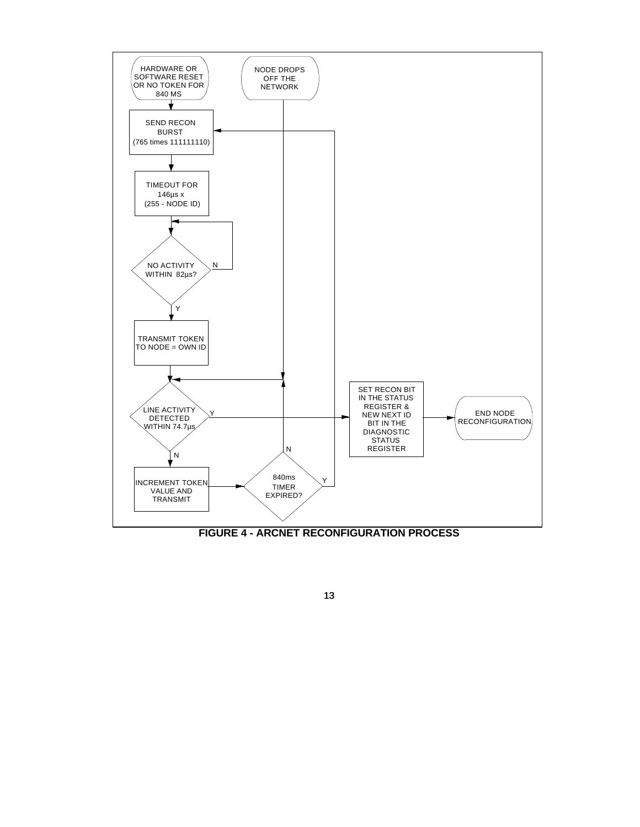

13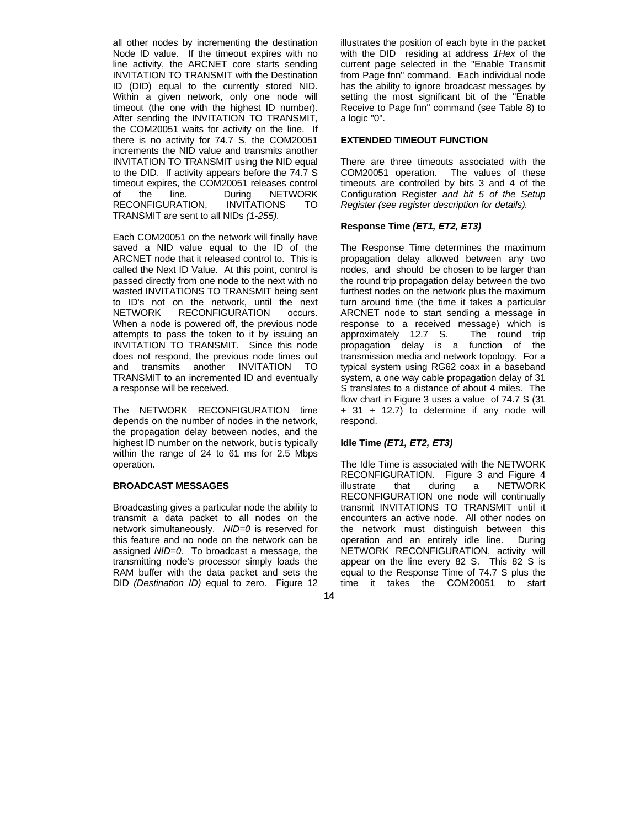all other nodes by incrementing the destination Node ID value. If the timeout expires with no line activity, the ARCNET core starts sending INVITATION TO TRANSMIT with the Destination ID (DID) equal to the currently stored NID. Within a given network, only one node will timeout (the one with the highest ID number). After sending the INVITATION TO TRANSMIT, the COM20051 waits for activity on the line. If there is no activity for 74.7 S, the COM20051 increments the NID value and transmits another INVITATION TO TRANSMIT using the NID equal to the DID. If activity appears before the 74.7 S timeout expires, the COM20051 releases control of the line. During NETWORK RECONFIGURATION, INVITATIONS TO TRANSMIT are sent to all NIDs *(1-255).*

Each COM20051 on the network will finally have saved a NID value equal to the ID of the ARCNET node that it released control to. This is called the Next ID Value. At this point, control is passed directly from one node to the next with no wasted INVITATIONS TO TRANSMIT being sent to ID's not on the network, until the next NETWORK RECONFIGURATION occurs. When a node is powered off, the previous node attempts to pass the token to it by issuing an INVITATION TO TRANSMIT. Since this node does not respond, the previous node times out and transmits another INVITATION TO TRANSMIT to an incremented ID and eventually a response will be received.

The NETWORK RECONFIGURATION time depends on the number of nodes in the network, the propagation delay between nodes, and the highest ID number on the network, but is typically within the range of 24 to 61 ms for 2.5 Mbps operation.

#### **BROADCAST MESSAGES**

Broadcasting gives a particular node the ability to transmit a data packet to all nodes on the network simultaneously. *NID=0* is reserved for this feature and no node on the network can be assigned *NID=0.* To broadcast a message, the transmitting node's processor simply loads the RAM buffer with the data packet and sets the DID *(Destination ID)* equal to zero. Figure 12

illustrates the position of each byte in the packet with the DID residing at address *1Hex* of the current page selected in the "Enable Transmit from Page fnn" command. Each individual node has the ability to ignore broadcast messages by setting the most significant bit of the "Enable Receive to Page fnn" command (see Table 8) to a logic "0".

## **EXTENDED TIMEOUT FUNCTION**

There are three timeouts associated with the COM20051 operation. The values of these timeouts are controlled by bits 3 and 4 of the Configuration Register *and bit 5 of the Setup Register (see register description for details).*

#### **Response Time** *(ET1, ET2, ET3)*

The Response Time determines the maximum propagation delay allowed between any two nodes, and should be chosen to be larger than the round trip propagation delay between the two furthest nodes on the network plus the maximum turn around time (the time it takes a particular ARCNET node to start sending a message in response to a received message) which is approximately 12.7 S. The round trip propagation delay is a function of the transmission media and network topology. For a typical system using RG62 coax in a baseband system, a one way cable propagation delay of 31 S translates to a distance of about 4 miles. The flow chart in Figure 3 uses a value of 74.7 S (31  $+$  31  $+$  12.7) to determine if any node will respond.

#### **Idle Time** *(ET1, ET2, ET3)*

The Idle Time is associated with the NETWORK RECONFIGURATION. Figure 3 and Figure 4 illustrate that during a NETWORK RECONFIGURATION one node will continually transmit INVITATIONS TO TRANSMIT until it encounters an active node. All other nodes on the network must distinguish between this operation and an entirely idle line. During NETWORK RECONFIGURATION, activity will appear on the line every 82 S. This 82 S is equal to the Response Time of 74.7 S plus the time it takes the COM20051 to start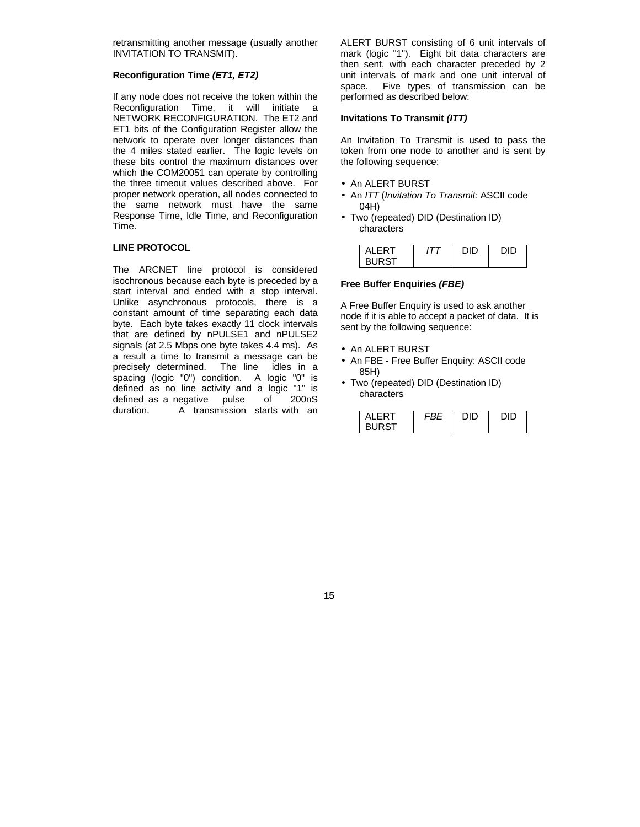retransmitting another message (usually another INVITATION TO TRANSMIT).

## **Reconfiguration Time** *(ET1, ET2)*

If any node does not receive the token within the Reconfiguration Time, it will initiate a NETWORK RECONFIGURATION. The ET2 and ET1 bits of the Configuration Register allow the network to operate over longer distances than the 4 miles stated earlier. The logic levels on these bits control the maximum distances over which the COM20051 can operate by controlling the three timeout values described above. For proper network operation, all nodes connected to the same network must have the same Response Time, Idle Time, and Reconfiguration Time.

## **LINE PROTOCOL**

The ARCNET line protocol is considered isochronous because each byte is preceded by a start interval and ended with a stop interval. Unlike asynchronous protocols, there is a constant amount of time separating each data byte. Each byte takes exactly 11 clock intervals that are defined by nPULSE1 and nPULSE2 signals (at 2.5 Mbps one byte takes 4.4 ms). As a result a time to transmit a message can be precisely determined. The line idles in a The line idles in a spacing (logic "0") condition. A logic "0" is defined as no line activity and a logic "1" is defined as a negative pulse of 200nS duration. A transmission starts with an ALERT BURST consisting of 6 unit intervals of mark (logic "1"). Eight bit data characters are then sent, with each character preceded by 2 unit intervals of mark and one unit interval of space. Five types of transmission can be performed as described below:

#### **Invitations To Transmit** *(ITT)*

An Invitation To Transmit is used to pass the token from one node to another and is sent by the following sequence:

- An ALERT BURST
- An *ITT* (*Invitation To Transmit:* ASCII code 04H)
- Two (repeated) DID (Destination ID) characters

| ALERT        | חור | חוח |
|--------------|-----|-----|
| <b>BURST</b> |     |     |

#### **Free Buffer Enquiries** *(FBE)*

A Free Buffer Enquiry is used to ask another node if it is able to accept a packet of data. It is sent by the following sequence:

- An ALERT BURST
- An FBE Free Buffer Enquiry: ASCII code 85H)
- Two (repeated) DID (Destination ID) characters

| AI FRT       | חור | חור |
|--------------|-----|-----|
| <b>BURST</b> |     |     |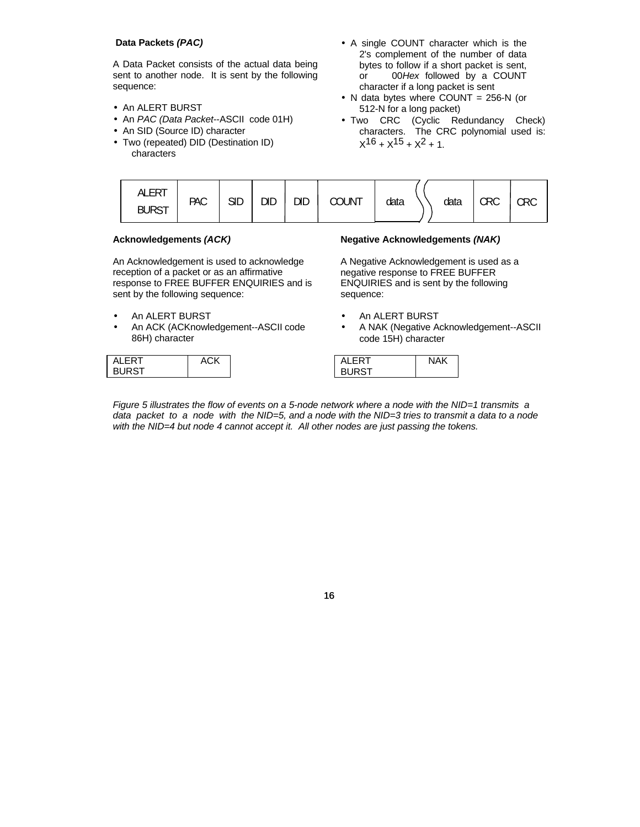## **Data Packets** *(PAC)*

A Data Packet consists of the actual data being sent to another node. It is sent by the following sequence:

- An ALERT BURST
- An *PAC (Data Packet*--ASCII code 01H)
- An SID (Source ID) character
- Two (repeated) DID (Destination ID) characters
- A single COUNT character which is the 2's complement of the number of data bytes to follow if a short packet is sent, or 00*Hex* followed by a COUNT character if a long packet is sent
- N data bytes where COUNT = 256-N (or 512-N for a long packet)
- Two CRC (Cyclic Redundancy Check) characters. The CRC polynomial used is:  $x^{16} + x^{15} + x^2 + 1$ .

| <b>ALERT</b><br><b>BURST</b> | <b>PAC</b> | <b>SID</b> | <b>DID</b> | DID | <b>COUNT</b> | data |  | data | <b>CRC</b> | CRC |
|------------------------------|------------|------------|------------|-----|--------------|------|--|------|------------|-----|
|------------------------------|------------|------------|------------|-----|--------------|------|--|------|------------|-----|

## **Acknowledgements** *(ACK)*

An Acknowledgement is used to acknowledge reception of a packet or as an affirmative response to FREE BUFFER ENQUIRIES and is sent by the following sequence:

- An ALERT BURST
- An ACK (ACKnowledgement--ASCII code 86H) character

| AL FRT<br><b>BURST</b> |  |
|------------------------|--|
|------------------------|--|

## **Negative Acknowledgements** *(NAK)*

A Negative Acknowledgement is used as a negative response to FREE BUFFER ENQUIRIES and is sent by the following sequence:

- An ALERT BURST
- A NAK (Negative Acknowledgement--ASCII code 15H) character

| AL FRT       | NAK |
|--------------|-----|
| <b>BURST</b> |     |

*Figure 5 illustrates the flow of events on a 5-node network where a node with the NID=1 transmits a data packet to a node with the NID=5, and a node with the NID=3 tries to transmit a data to a node with the NID=4 but node 4 cannot accept it. All other nodes are just passing the tokens.*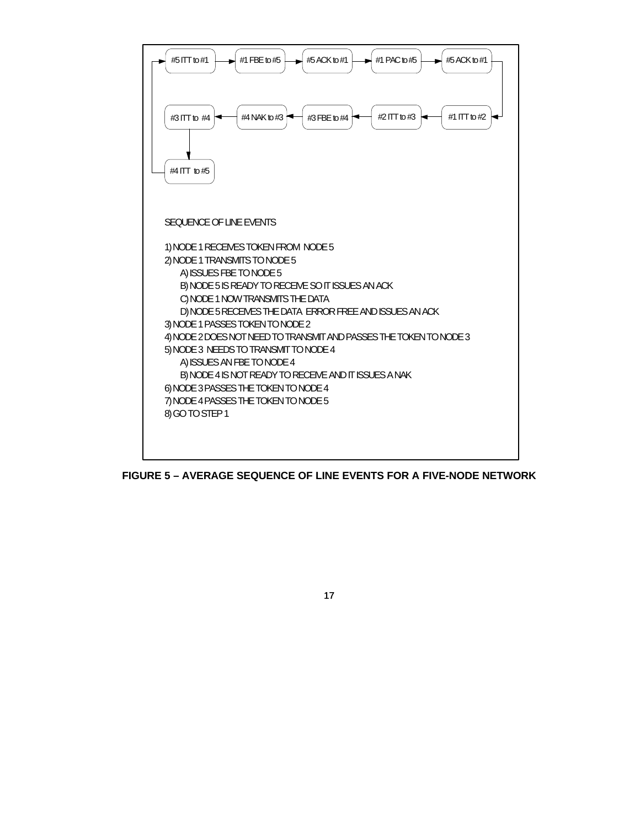

**FIGURE 5 – AVERAGE SEQUENCE OF LINE EVENTS FOR A FIVE-NODE NETWORK**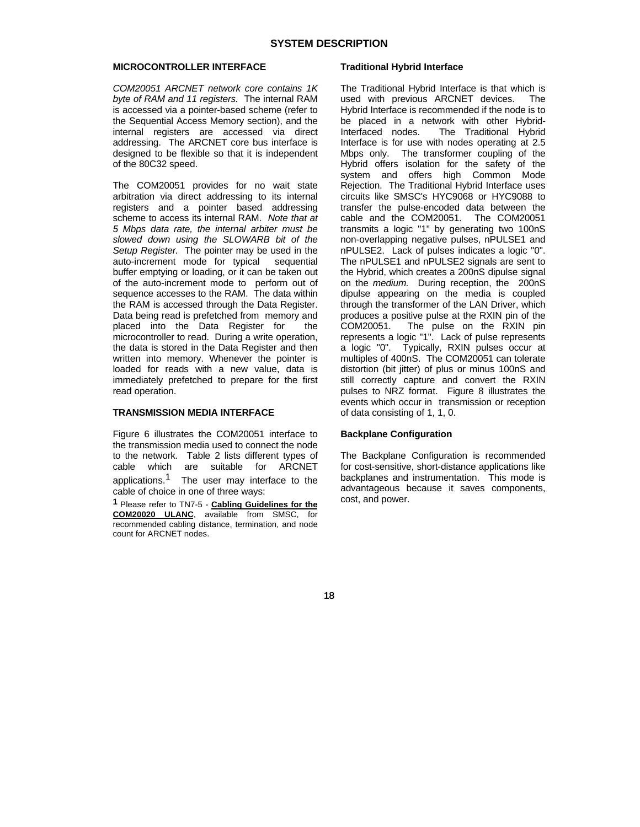#### **MICROCONTROLLER INTERFACE**

*COM20051 ARCNET network core contains 1K byte of RAM and 11 registers.* The internal RAM is accessed via a pointer-based scheme (refer to the Sequential Access Memory section), and the internal registers are accessed via direct addressing. The ARCNET core bus interface is designed to be flexible so that it is independent of the 80C32 speed.

The COM20051 provides for no wait state arbitration via direct addressing to its internal registers and a pointer based addressing scheme to access its internal RAM. *Note that at 5 Mbps data rate, the internal arbiter must be slowed down using the SLOWARB bit of the Setup Register.* The pointer may be used in the auto-increment mode for typical sequential buffer emptying or loading, or it can be taken out of the auto-increment mode to perform out of sequence accesses to the RAM. The data within the RAM is accessed through the Data Register. Data being read is prefetched from memory and placed into the Data Register for the microcontroller to read. During a write operation, the data is stored in the Data Register and then written into memory. Whenever the pointer is loaded for reads with a new value, data is immediately prefetched to prepare for the first read operation.

## **TRANSMISSION MEDIA INTERFACE**

Figure 6 illustrates the COM20051 interface to the transmission media used to connect the node to the network. Table 2 lists different types of cable which are suitable for ARCNET applications.<sup>1</sup> The user may interface to the cable of choice in one of three ways:

**1** Please refer to TN7-5 - **Cabling Guidelines for the COM20020 ULANC**, available from SMSC, for recommended cabling distance, termination, and node count for ARCNET nodes.

#### **Traditional Hybrid Interface**

The Traditional Hybrid Interface is that which is used with previous ARCNET devices. The Hybrid Interface is recommended if the node is to be placed in a network with other Hybrid-<br>Interfaced nodes. The Traditional Hybrid The Traditional Hybrid Interface is for use with nodes operating at 2.5 Mbps only. The transformer coupling of the Hybrid offers isolation for the safety of the system and offers high Common Mode Rejection. The Traditional Hybrid Interface uses circuits like SMSC's HYC9068 or HYC9088 to transfer the pulse-encoded data between the cable and the COM20051. The COM20051 transmits a logic "1" by generating two 100nS non-overlapping negative pulses, nPULSE1 and nPULSE2. Lack of pulses indicates a logic "0". The nPULSE1 and nPULSE2 signals are sent to the Hybrid, which creates a 200nS dipulse signal on the *medium.* During reception, the 200nS dipulse appearing on the media is coupled through the transformer of the LAN Driver, which produces a positive pulse at the RXIN pin of the The pulse on the RXIN pin represents a logic "1". Lack of pulse represents a logic "0". Typically, RXIN pulses occur at multiples of 400nS. The COM20051 can tolerate distortion (bit jitter) of plus or minus 100nS and still correctly capture and convert the RXIN pulses to NRZ format. Figure 8 illustrates the events which occur in transmission or reception of data consisting of 1, 1, 0.

#### **Backplane Configuration**

The Backplane Configuration is recommended for cost-sensitive, short-distance applications like backplanes and instrumentation. This mode is advantageous because it saves components, cost, and power.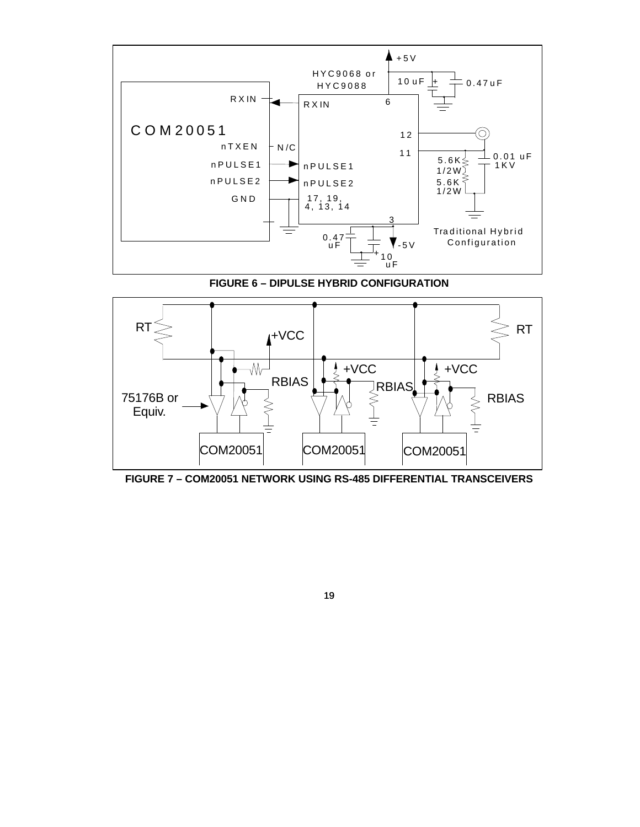

**FIGURE 6 – DIPULSE HYBRID CONFIGURATION**



**FIGURE 7 – COM20051 NETWORK USING RS-485 DIFFERENTIAL TRANSCEIVERS**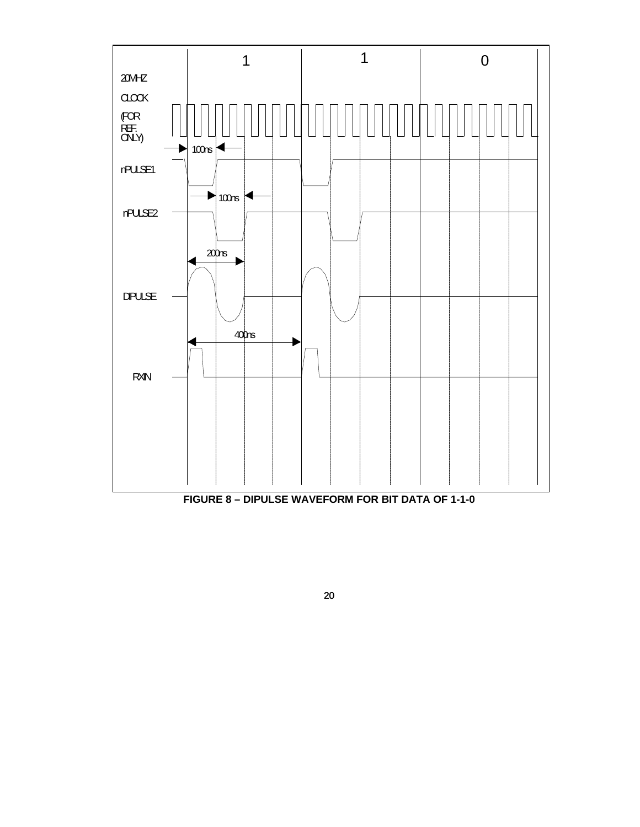

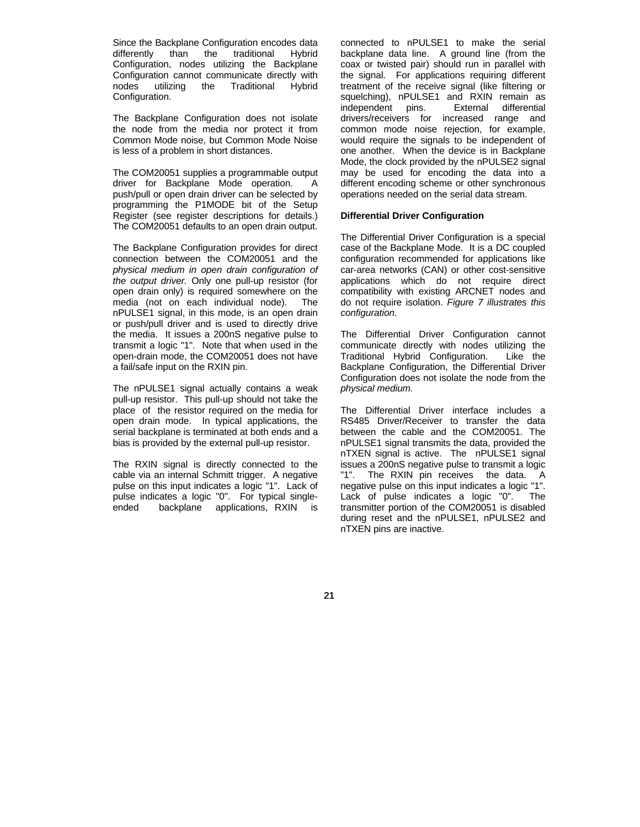Since the Backplane Configuration encodes data differently than the traditional Hybrid Configuration, nodes utilizing the Backplane Configuration cannot communicate directly with nodes utilizing the Traditional Hybrid Configuration.

The Backplane Configuration does not isolate the node from the media nor protect it from Common Mode noise, but Common Mode Noise is less of a problem in short distances.

The COM20051 supplies a programmable output driver for Backplane Mode operation. A push/pull or open drain driver can be selected by programming the P1MODE bit of the Setup Register (see register descriptions for details.) The COM20051 defaults to an open drain output.

The Backplane Configuration provides for direct connection between the COM20051 and the *physical medium in open drain configuration of the output driver.* Only one pull-up resistor (for open drain only) is required somewhere on the media (not on each individual node). The nPULSE1 signal, in this mode, is an open drain or push/pull driver and is used to directly drive the media. It issues a 200nS negative pulse to transmit a logic "1". Note that when used in the open-drain mode, the COM20051 does not have a fail/safe input on the RXIN pin.

The nPULSE1 signal actually contains a weak pull-up resistor. This pull-up should not take the place of the resistor required on the media for open drain mode. In typical applications, the serial backplane is terminated at both ends and a bias is provided by the external pull-up resistor.

The RXIN signal is directly connected to the cable via an internal Schmitt trigger. A negative pulse on this input indicates a logic "1". Lack of pulse indicates a logic "0". For typical singleended backplane applications, RXIN is

connected to nPULSE1 to make the serial backplane data line. A ground line (from the coax or twisted pair) should run in parallel with the signal. For applications requiring different treatment of the receive signal (like filtering or squelching), nPULSE1 and RXIN remain as independent pins. External differential drivers/receivers for increased range and common mode noise rejection, for example, would require the signals to be independent of one another. When the device is in Backplane Mode, the clock provided by the nPULSE2 signal may be used for encoding the data into a different encoding scheme or other synchronous operations needed on the serial data stream.

#### **Differential Driver Configuration**

The Differential Driver Configuration is a special case of the Backplane Mode. It is a DC coupled configuration recommended for applications like car-area networks (CAN) or other cost-sensitive applications which do not require direct compatibility with existing ARCNET nodes and do not require isolation. *Figure 7 illustrates this configuration.*

The Differential Driver Configuration cannot communicate directly with nodes utilizing the Traditional Hybrid Configuration. Like the Backplane Configuration, the Differential Driver Configuration does not isolate the node from the *physical medium.*

The Differential Driver interface includes a RS485 Driver/Receiver to transfer the data between the cable and the COM20051. The nPULSE1 signal transmits the data, provided the nTXEN signal is active. The nPULSE1 signal issues a 200nS negative pulse to transmit a logic "1". The RXIN pin receives the data. A negative pulse on this input indicates a logic "1". Lack of pulse indicates a logic "0". The transmitter portion of the COM20051 is disabled during reset and the nPULSE1, nPULSE2 and nTXEN pins are inactive.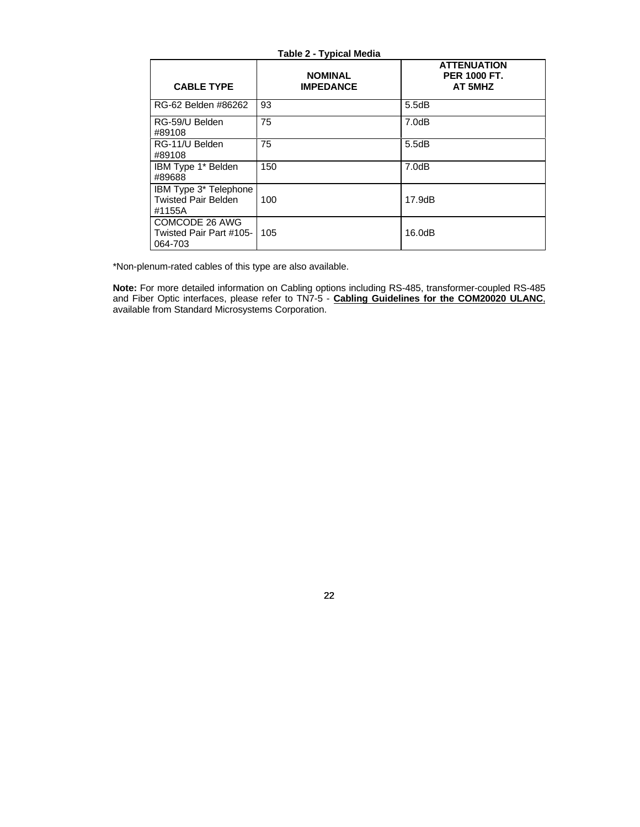| <b>Table 2 - Typical Media</b>                                |                                    |                                                      |  |  |  |  |  |
|---------------------------------------------------------------|------------------------------------|------------------------------------------------------|--|--|--|--|--|
| <b>CABLE TYPE</b>                                             | <b>NOMINAL</b><br><b>IMPEDANCE</b> | <b>ATTENUATION</b><br><b>PER 1000 FT.</b><br>AT 5MHZ |  |  |  |  |  |
| RG-62 Belden #86262                                           | 93                                 | 5.5dB                                                |  |  |  |  |  |
| RG-59/U Belden<br>#89108                                      | 75                                 | 7.0dB                                                |  |  |  |  |  |
| RG-11/U Belden<br>#89108                                      | 75                                 | 5.5dB                                                |  |  |  |  |  |
| IBM Type 1* Belden<br>#89688                                  | 150                                | 7.0dB                                                |  |  |  |  |  |
| IBM Type 3* Telephone<br><b>Twisted Pair Belden</b><br>#1155A | 100                                | 17.9dB                                               |  |  |  |  |  |
| COMCODE 26 AWG<br>Twisted Pair Part #105-<br>064-703          | 105                                | 16.0dB                                               |  |  |  |  |  |

\*Non-plenum-rated cables of this type are also available.

**Note:** For more detailed information on Cabling options including RS-485, transformer-coupled RS-485 and Fiber Optic interfaces, please refer to TN7-5 - **Cabling Guidelines for the COM20020 ULANC**, available from Standard Microsystems Corporation.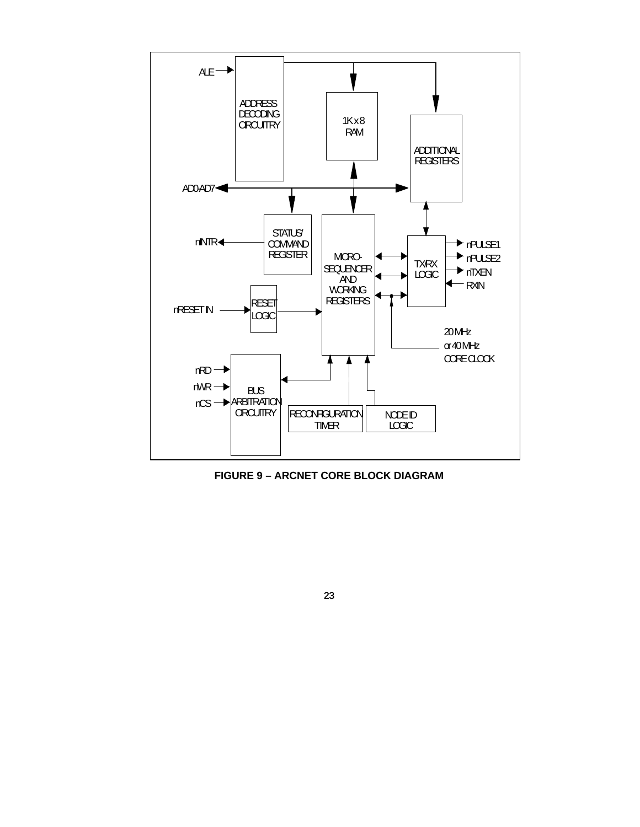

**FIGURE 9 – ARCNET CORE BLOCK DIAGRAM**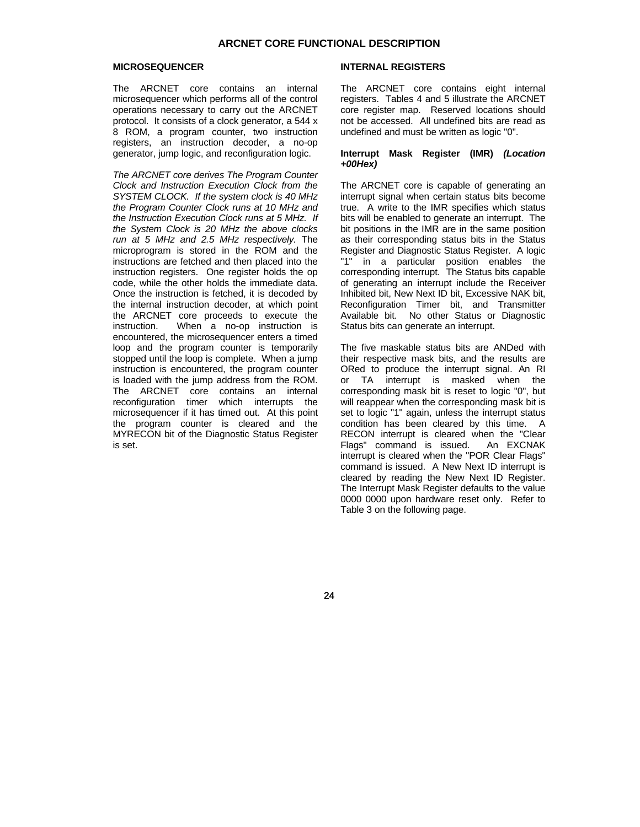#### **MICROSEQUENCER**

The ARCNET core contains an internal microsequencer which performs all of the control operations necessary to carry out the ARCNET protocol. It consists of a clock generator, a 544 x 8 ROM, a program counter, two instruction registers, an instruction decoder, a no-op generator, jump logic, and reconfiguration logic.

*The ARCNET core derives The Program Counter Clock and Instruction Execution Clock from the SYSTEM CLOCK. If the system clock is 40 MHz the Program Counter Clock runs at 10 MHz and the Instruction Execution Clock runs at 5 MHz. If the System Clock is 20 MHz the above clocks run at 5 MHz and 2.5 MHz respectively.* The microprogram is stored in the ROM and the instructions are fetched and then placed into the instruction registers. One register holds the op code, while the other holds the immediate data. Once the instruction is fetched, it is decoded by the internal instruction decoder, at which point the ARCNET core proceeds to execute the<br>instruction. When a no-op instruction is When a no-op instruction is encountered, the microsequencer enters a timed loop and the program counter is temporarily stopped until the loop is complete. When a jump instruction is encountered, the program counter is loaded with the jump address from the ROM. The ARCNET core contains an internal reconfiguration timer which interrupts the microsequencer if it has timed out. At this point the program counter is cleared and the MYRECON bit of the Diagnostic Status Register is set.

#### **INTERNAL REGISTERS**

The ARCNET core contains eight internal registers. Tables 4 and 5 illustrate the ARCNET core register map. Reserved locations should not be accessed. All undefined bits are read as undefined and must be written as logic "0".

#### **Interrupt Mask Register (IMR)** *(Location +00Hex)*

The ARCNET core is capable of generating an interrupt signal when certain status bits become true. A write to the IMR specifies which status bits will be enabled to generate an interrupt. The bit positions in the IMR are in the same position as their corresponding status bits in the Status Register and Diagnostic Status Register. A logic "1" in a particular position enables the corresponding interrupt. The Status bits capable of generating an interrupt include the Receiver Inhibited bit, New Next ID bit, Excessive NAK bit, Reconfiguration Timer bit, and Transmitter Available bit. No other Status or Diagnostic Status bits can generate an interrupt.

The five maskable status bits are ANDed with their respective mask bits, and the results are ORed to produce the interrupt signal. An RI or TA interrupt is masked when the corresponding mask bit is reset to logic "0", but will reappear when the corresponding mask bit is set to logic "1" again, unless the interrupt status condition has been cleared by this time. A RECON interrupt is cleared when the "Clear<br>Flags" command is issued. An EXCNAK Flags" command is issued. interrupt is cleared when the "POR Clear Flags" command is issued. A New Next ID interrupt is cleared by reading the New Next ID Register. The Interrupt Mask Register defaults to the value 0000 0000 upon hardware reset only. Refer to Table 3 on the following page.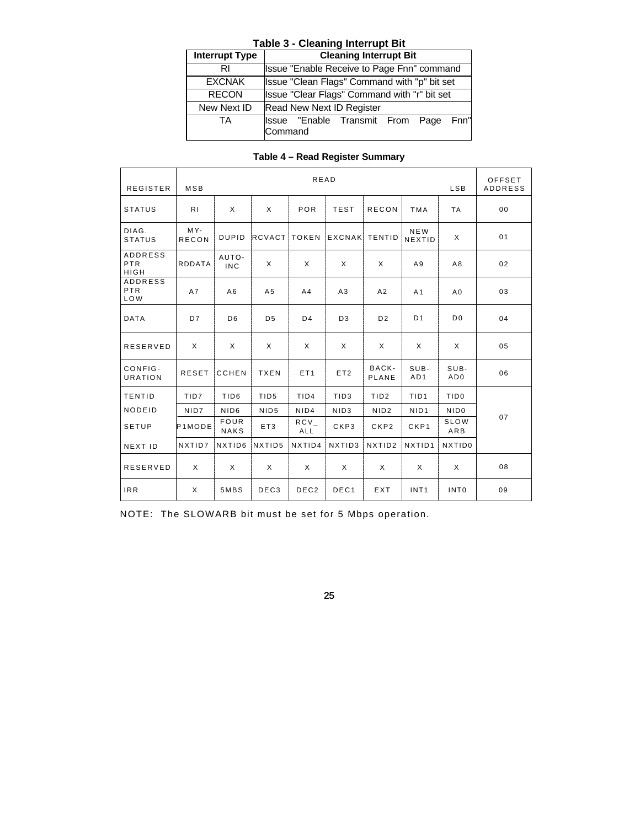|                | <b>Table 3 - Cleaning Interrupt Bit</b> |  |                                              |  |  |  |
|----------------|-----------------------------------------|--|----------------------------------------------|--|--|--|
| Interrupt Type |                                         |  | <b>Cleaning Interrupt Bit</b>                |  |  |  |
| RI             |                                         |  | Issue "Enable Receive to Page Fnn" command   |  |  |  |
| <b>EXCNAK</b>  |                                         |  | Issue "Clean Flags" Command with "p" bit set |  |  |  |
| <b>RECON</b>   |                                         |  | Issue "Clear Flags" Command with "r" bit set |  |  |  |
| New Next ID    |                                         |  | Read New Next ID Register                    |  |  |  |
| TA             | Command                                 |  | Issue "Enable Transmit From Page Fnn"        |  |  |  |

| <b>REGISTER</b>                            | MSB                 |                            |                  | <b>READ</b>      |                  |                    |                             | <b>LSB</b>         | OFFSET<br><b>ADDRESS</b> |
|--------------------------------------------|---------------------|----------------------------|------------------|------------------|------------------|--------------------|-----------------------------|--------------------|--------------------------|
| <b>STATUS</b>                              | R <sub>1</sub>      | X                          | X                | POR              | <b>TEST</b>      | <b>RECON</b>       | <b>TMA</b>                  | <b>TA</b>          | 00                       |
| DIAG.<br><b>STATUS</b>                     | MY-<br><b>RECON</b> | <b>DUPID</b>               | RCVACT           | <b>TOKEN</b>     | <b>EXCNAK</b>    | TENTID             | <b>NEW</b><br><b>NEXTID</b> | X                  | 01                       |
| <b>ADDRESS</b><br>PTR<br><b>HIGH</b>       | <b>RDDATA</b>       | AUTO-<br><b>INC</b>        | X                | X                | X                | X                  | A9                          | A8                 | 02                       |
| <b>ADDRESS</b><br><b>PTR</b><br><b>LOW</b> | A7                  | A6                         | A <sub>5</sub>   | A <sub>4</sub>   | A3               | A2                 | A <sub>1</sub>              | A <sub>0</sub>     | 03                       |
| <b>DATA</b>                                | D7                  | D <sub>6</sub>             | D <sub>5</sub>   | D <sub>4</sub>   | D <sub>3</sub>   | D <sub>2</sub>     | D <sub>1</sub>              | D <sub>0</sub>     | 04                       |
| <b>RESERVED</b>                            | X                   | X                          | X                | X                | X                | X                  | X                           | X                  | 05                       |
| CONFIG-<br><b>URATION</b>                  | <b>RESET</b>        | <b>CCHEN</b>               | <b>TXEN</b>      | ET <sub>1</sub>  | ET <sub>2</sub>  | BACK-<br>PLANE     | SUB-<br>AD1                 | SUB-<br>AD0        | 06                       |
| TENTID                                     | TID7                | TID <sub>6</sub>           | TID <sub>5</sub> | TID4             | TID <sub>3</sub> | TID <sub>2</sub>   | TID <sub>1</sub>            | TID <sub>0</sub>   |                          |
| NODEID                                     | NID7                | NID <sub>6</sub>           | NID <sub>5</sub> | NID4             | NID <sub>3</sub> | NID <sub>2</sub>   | NID <sub>1</sub>            | NID <sub>0</sub>   |                          |
| <b>SETUP</b>                               | P <sub>1</sub> MODE | <b>FOUR</b><br><b>NAKS</b> | ET3              | $RCV_{-}$<br>ALL | CKP3             | CKP2               | CKP1                        | SLOW<br>ARB        | 07                       |
| NEXT ID                                    | NXTID7              | NXTID6                     | NXTID5           | NXTID4           | NXTID3           | NXTID <sub>2</sub> | NXTID1                      | NXTID <sub>0</sub> |                          |
| <b>RESERVED</b>                            | Χ                   | X                          | X                | X                | $\times$         | Χ                  | X                           | X                  | 08                       |
| <b>IRR</b>                                 | X                   | 5MBS                       | DEC <sub>3</sub> | DEC <sub>2</sub> | DEC <sub>1</sub> | EXT                | INT <sub>1</sub>            | INT <sub>0</sub>   | 09                       |

NOTE: The SLOWARB bit must be set for 5 Mbps operation.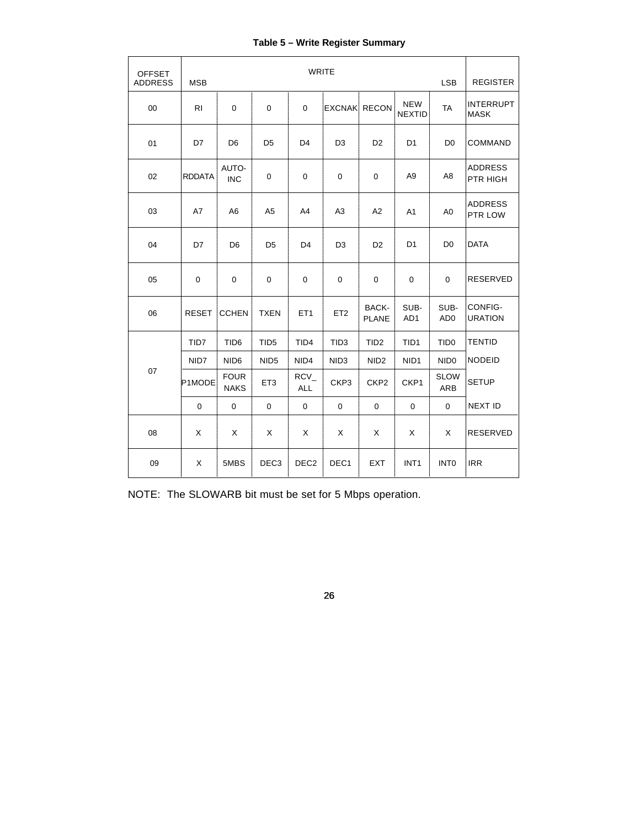# **Table 5 – Write Register Summary**

| <b>OFFSET</b><br><b>ADDRESS</b> | <b>MSB</b>    |                            |                  | <b>WRITE</b>         |                  |                       |                             | <b>LSB</b>              | <b>REGISTER</b>                 |
|---------------------------------|---------------|----------------------------|------------------|----------------------|------------------|-----------------------|-----------------------------|-------------------------|---------------------------------|
| 00                              | <b>RI</b>     | $\pmb{0}$                  | $\mathbf 0$      | 0                    |                  | <b>EXCNAK RECON</b>   | <b>NEW</b><br><b>NEXTID</b> | <b>TA</b>               | <b>INTERRUPT</b><br><b>MASK</b> |
| 01                              | D7            | D <sub>6</sub>             | D <sub>5</sub>   | D <sub>4</sub>       | D <sub>3</sub>   | D <sub>2</sub>        | D <sub>1</sub>              | D <sub>0</sub>          | <b>COMMAND</b>                  |
| 02                              | <b>RDDATA</b> | AUTO-<br><b>INC</b>        | 0                | 0                    | 0                | $\mathbf 0$           | A <sub>9</sub>              | A <sub>8</sub>          | <b>ADDRESS</b><br>PTR HIGH      |
| 03                              | A7            | A <sub>6</sub>             | A <sub>5</sub>   | A4                   | A3               | A2                    | A1                          | A <sub>0</sub>          | <b>ADDRESS</b><br>PTR LOW       |
| 04                              | D7            | D <sub>6</sub>             | D <sub>5</sub>   | D <sub>4</sub>       | D <sub>3</sub>   | D <sub>2</sub>        | D <sub>1</sub>              | D <sub>0</sub>          | <b>DATA</b>                     |
| 05                              | $\mathbf 0$   | 0                          | $\mathbf 0$      | 0                    | 0                | $\mathbf 0$           | 0                           | $\Omega$                | <b>RESERVED</b>                 |
| 06                              | <b>RESET</b>  | <b>CCHEN</b>               | <b>TXEN</b>      | ET <sub>1</sub>      | ET <sub>2</sub>  | BACK-<br><b>PLANE</b> | SUB-<br>AD1                 | SUB-<br>AD <sub>0</sub> | CONFIG-<br><b>URATION</b>       |
|                                 | TID7          | TID <sub>6</sub>           | TID <sub>5</sub> | TID <sub>4</sub>     | TID <sub>3</sub> | TID <sub>2</sub>      | TID <sub>1</sub>            | TID <sub>0</sub>        | <b>TENTID</b>                   |
|                                 | NID7          | NID <sub>6</sub>           | NID <sub>5</sub> | NID4                 | NID <sub>3</sub> | NID <sub>2</sub>      | NID <sub>1</sub>            | NID <sub>0</sub>        | <b>NODEID</b>                   |
| 07                              | P1MODE        | <b>FOUR</b><br><b>NAKS</b> | ET <sub>3</sub>  | $RCV_$<br><b>ALL</b> | CKP3             | CKP <sub>2</sub>      | CKP1                        | <b>SLOW</b><br>ARB      | <b>SETUP</b>                    |
|                                 | $\mathbf 0$   | $\mathbf 0$                | $\mathbf{0}$     | $\boldsymbol{0}$     | $\mathbf 0$      | $\mathbf 0$           | $\pmb{0}$                   | $\mathbf 0$             | <b>NEXT ID</b>                  |
| 08                              | X             | Χ                          | X                | Χ                    | X                | X                     | X                           | X                       | <b>RESERVED</b>                 |
| 09                              | X             | 5MBS                       | DEC <sub>3</sub> | DEC <sub>2</sub>     | DEC <sub>1</sub> | EXT                   | INT <sub>1</sub>            | <b>INTO</b>             | <b>IRR</b>                      |

NOTE: The SLOWARB bit must be set for 5 Mbps operation.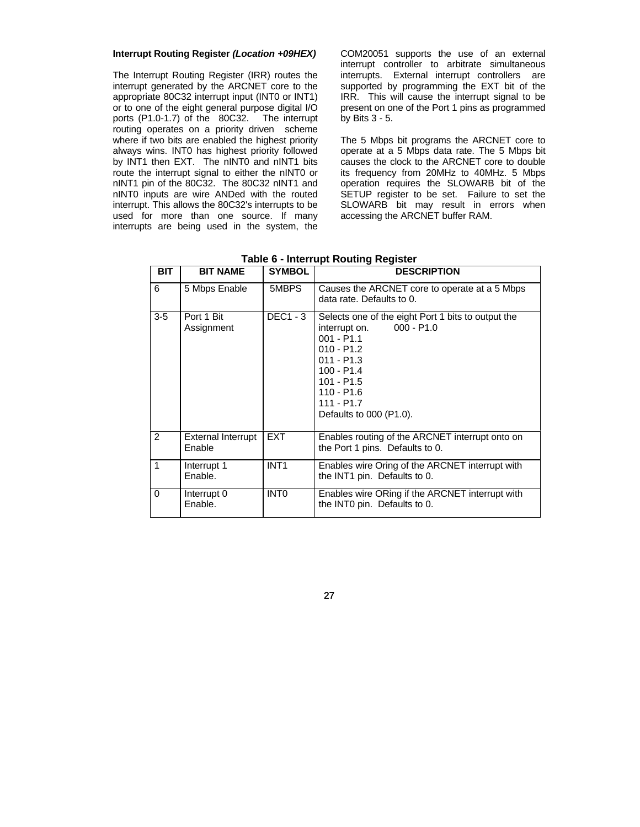#### **Interrupt Routing Register** *(Location +09HEX)*

The Interrupt Routing Register (IRR) routes the interrupt generated by the ARCNET core to the appropriate 80C32 interrupt input (INT0 or INT1) or to one of the eight general purpose digital I/O ports (P1.0-1.7) of the 80C32. The interrupt routing operates on a priority driven scheme where if two bits are enabled the highest priority always wins. INT0 has highest priority followed by INT1 then EXT. The nINT0 and nINT1 bits route the interrupt signal to either the nINT0 or nINT1 pin of the 80C32. The 80C32 nINT1 and nINT0 inputs are wire ANDed with the routed interrupt. This allows the 80C32's interrupts to be used for more than one source. If many interrupts are being used in the system, the COM20051 supports the use of an external interrupt controller to arbitrate simultaneous interrupts. External interrupt controllers are supported by programming the EXT bit of the IRR. This will cause the interrupt signal to be present on one of the Port 1 pins as programmed by Bits 3 - 5.

The 5 Mbps bit programs the ARCNET core to operate at a 5 Mbps data rate. The 5 Mbps bit causes the clock to the ARCNET core to double its frequency from 20MHz to 40MHz. 5 Mbps operation requires the SLOWARB bit of the SETUP register to be set. Failure to set the SLOWARB bit may result in errors when accessing the ARCNET buffer RAM.

| BIT.           | <b>BIT NAME</b>                     | <b>SYMBOL</b>    | <b>DESCRIPTION</b>                                                                                                                                                                                                             |
|----------------|-------------------------------------|------------------|--------------------------------------------------------------------------------------------------------------------------------------------------------------------------------------------------------------------------------|
| 6              | 5 Mbps Enable                       | 5MBPS            | Causes the ARCNET core to operate at a 5 Mbps<br>data rate. Defaults to 0.                                                                                                                                                     |
| $3-5$          | Port 1 Bit<br>Assignment            | <b>DEC1 - 3</b>  | Selects one of the eight Port 1 bits to output the<br>$000 - P1.0$<br>interrupt on.<br>$001 - P1.1$<br>$010 - P1.2$<br>$011 - P1.3$<br>$100 - P1.4$<br>$101 - P1.5$<br>$110 - P1.6$<br>$111 - P1.7$<br>Defaults to 000 (P1.0). |
| $\overline{2}$ | <b>External Interrupt</b><br>Enable | <b>EXT</b>       | Enables routing of the ARCNET interrupt onto on<br>the Port 1 pins. Defaults to 0.                                                                                                                                             |
| 1              | Interrupt 1<br>Enable.              | INT <sub>1</sub> | Enables wire Oring of the ARCNET interrupt with<br>the INT1 pin. Defaults to 0.                                                                                                                                                |
| $\Omega$       | Interrupt 0<br>Enable.              | INT <sub>0</sub> | Enables wire ORing if the ARCNET interrupt with<br>the INTO pin. Defaults to 0.                                                                                                                                                |

**Table 6 - Interrupt Routing Register**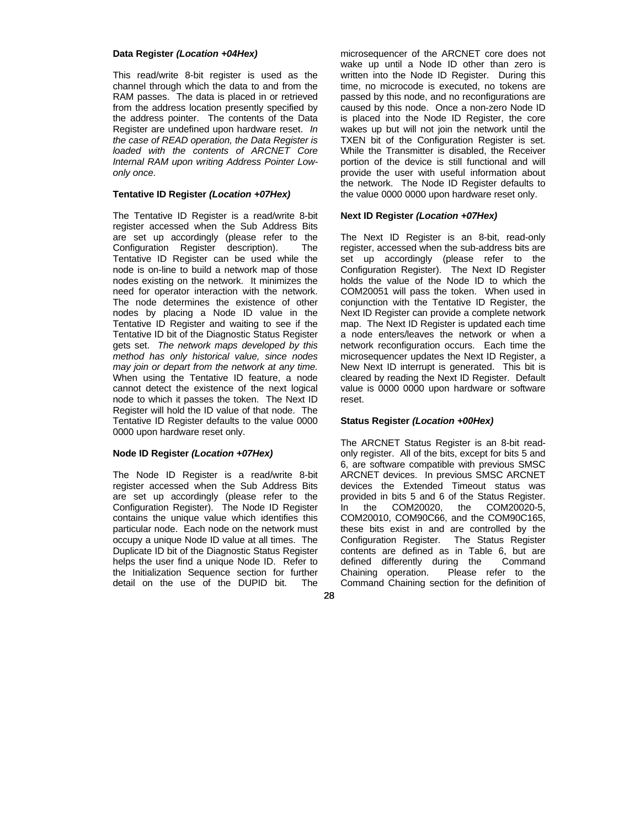#### **Data Register** *(Location +04Hex)*

This read/write 8-bit register is used as the channel through which the data to and from the RAM passes. The data is placed in or retrieved from the address location presently specified by the address pointer. The contents of the Data Register are undefined upon hardware reset. *In the case of READ operation, the Data Register is loaded with the contents of ARCNET Core Internal RAM upon writing Address Pointer Lowonly once.*

## **Tentative ID Register** *(Location +07Hex)*

The Tentative ID Register is a read/write 8-bit register accessed when the Sub Address Bits are set up accordingly (please refer to the Configuration Register description). The Tentative ID Register can be used while the node is on-line to build a network map of those nodes existing on the network. It minimizes the need for operator interaction with the network. The node determines the existence of other nodes by placing a Node ID value in the Tentative ID Register and waiting to see if the Tentative ID bit of the Diagnostic Status Register gets set. *The network maps developed by this method has only historical value, since nodes may join or depart from the network at any time.* When using the Tentative ID feature, a node cannot detect the existence of the next logical node to which it passes the token. The Next ID Register will hold the ID value of that node. The Tentative ID Register defaults to the value 0000 0000 upon hardware reset only.

## **Node ID Register** *(Location +07Hex)*

The Node ID Register is a read/write 8-bit register accessed when the Sub Address Bits are set up accordingly (please refer to the Configuration Register). The Node ID Register contains the unique value which identifies this particular node. Each node on the network must occupy a unique Node ID value at all times. The Duplicate ID bit of the Diagnostic Status Register helps the user find a unique Node ID. Refer to the Initialization Sequence section for further detail on the use of the DUPID bit. The microsequencer of the ARCNET core does not wake up until a Node ID other than zero is written into the Node ID Register. During this time, no microcode is executed, no tokens are passed by this node, and no reconfigurations are caused by this node. Once a non-zero Node ID is placed into the Node ID Register, the core wakes up but will not join the network until the TXEN bit of the Configuration Register is set. While the Transmitter is disabled, the Receiver portion of the device is still functional and will provide the user with useful information about the network. The Node ID Register defaults to the value 0000 0000 upon hardware reset only.

## **Next ID Register** *(Location +07Hex)*

The Next ID Register is an 8-bit, read-only register, accessed when the sub-address bits are set up accordingly (please refer to the Configuration Register). The Next ID Register holds the value of the Node ID to which the COM20051 will pass the token. When used in conjunction with the Tentative ID Register, the Next ID Register can provide a complete network map. The Next ID Register is updated each time a node enters/leaves the network or when a network reconfiguration occurs. Each time the microsequencer updates the Next ID Register, a New Next ID interrupt is generated. This bit is cleared by reading the Next ID Register. Default value is 0000 0000 upon hardware or software reset.

## **Status Register** *(Location +00Hex)*

The ARCNET Status Register is an 8-bit readonly register. All of the bits, except for bits 5 and 6, are software compatible with previous SMSC ARCNET devices. In previous SMSC ARCNET devices the Extended Timeout status was provided in bits 5 and 6 of the Status Register. In the COM20020, the COM20020-5, COM20010, COM90C66, and the COM90C165, these bits exist in and are controlled by the Configuration Register. The Status Register contents are defined as in Table 6, but are defined differently during the Command Chaining operation. Please refer to the Command Chaining section for the definition of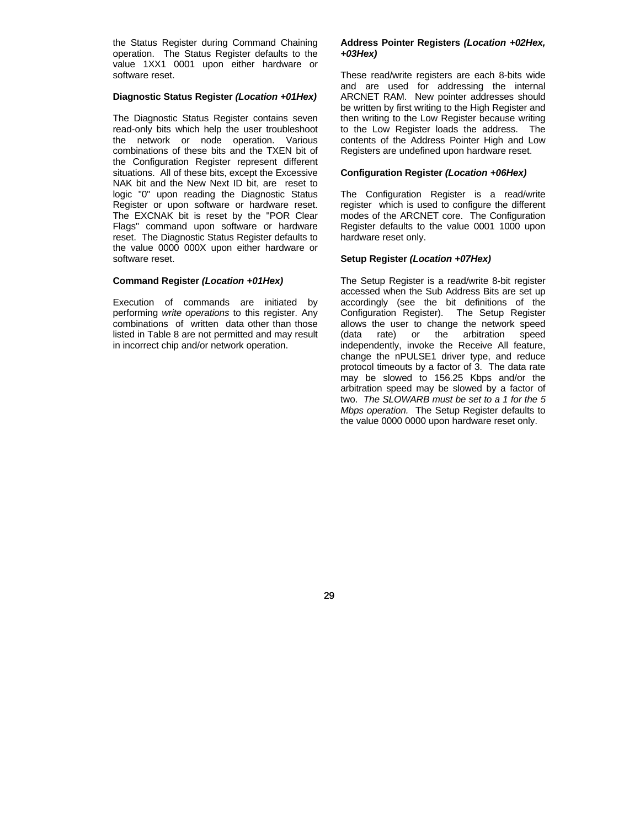the Status Register during Command Chaining operation. The Status Register defaults to the value 1XX1 0001 upon either hardware or software reset.

## **Diagnostic Status Register** *(Location +01Hex)*

The Diagnostic Status Register contains seven read-only bits which help the user troubleshoot the network or node operation. Various combinations of these bits and the TXEN bit of the Configuration Register represent different situations. All of these bits, except the Excessive NAK bit and the New Next ID bit, are reset to logic "0" upon reading the Diagnostic Status Register or upon software or hardware reset. The EXCNAK bit is reset by the "POR Clear Flags" command upon software or hardware reset. The Diagnostic Status Register defaults to the value 0000 000X upon either hardware or software reset.

## **Command Register** *(Location +01Hex)*

Execution of commands are initiated by performing *write operations* to this register. Any combinations of written data other than those listed in Table 8 are not permitted and may result in incorrect chip and/or network operation.

## **Address Pointer Registers** *(Location +02Hex, +03Hex)*

These read/write registers are each 8-bits wide and are used for addressing the internal ARCNET RAM. New pointer addresses should be written by first writing to the High Register and then writing to the Low Register because writing to the Low Register loads the address. The contents of the Address Pointer High and Low Registers are undefined upon hardware reset.

## **Configuration Register** *(Location +06Hex)*

The Configuration Register is a read/write register which is used to configure the different modes of the ARCNET core. The Configuration Register defaults to the value 0001 1000 upon hardware reset only.

## **Setup Register** *(Location +07Hex)*

The Setup Register is a read/write 8-bit register accessed when the Sub Address Bits are set up accordingly (see the bit definitions of the Configuration Register). The Setup Register allows the user to change the network speed (data rate) or the arbitration speed independently, invoke the Receive All feature, change the nPULSE1 driver type, and reduce protocol timeouts by a factor of 3. The data rate may be slowed to 156.25 Kbps and/or the arbitration speed may be slowed by a factor of two. *The SLOWARB must be set to a 1 for the 5 Mbps operation.* The Setup Register defaults to the value 0000 0000 upon hardware reset only.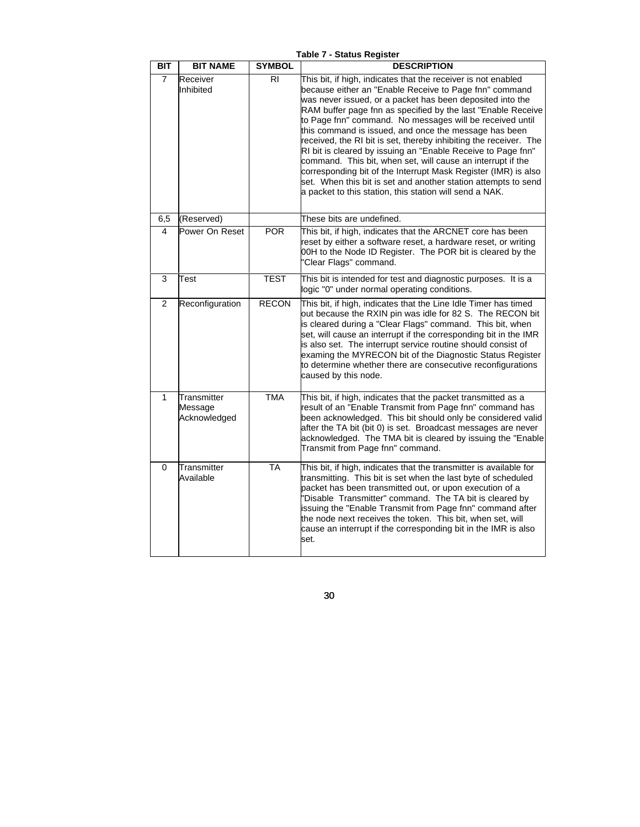| BIT            | <b>BIT NAME</b>                        | <b>SYMBOL</b> | <b>DESCRIPTION</b>                                                                                                                                                                                                                                                                                                                                                                                                                                                                                                                                                                                                                                                                                                                                                           |
|----------------|----------------------------------------|---------------|------------------------------------------------------------------------------------------------------------------------------------------------------------------------------------------------------------------------------------------------------------------------------------------------------------------------------------------------------------------------------------------------------------------------------------------------------------------------------------------------------------------------------------------------------------------------------------------------------------------------------------------------------------------------------------------------------------------------------------------------------------------------------|
| $\overline{7}$ | Receiver<br>Inhibited                  | RI            | This bit, if high, indicates that the receiver is not enabled<br>because either an "Enable Receive to Page fnn" command<br>was never issued, or a packet has been deposited into the<br>RAM buffer page fnn as specified by the last "Enable Receive<br>to Page fnn" command. No messages will be received until<br>this command is issued, and once the message has been<br>received, the RI bit is set, thereby inhibiting the receiver. The<br>RI bit is cleared by issuing an "Enable Receive to Page fnn"<br>command. This bit, when set, will cause an interrupt if the<br>corresponding bit of the Interrupt Mask Register (IMR) is also<br>set. When this bit is set and another station attempts to send<br>a packet to this station, this station will send a NAK. |
| 6,5            | (Reserved)                             |               | These bits are undefined.                                                                                                                                                                                                                                                                                                                                                                                                                                                                                                                                                                                                                                                                                                                                                    |
| 4              | Power On Reset                         | <b>POR</b>    | This bit, if high, indicates that the ARCNET core has been<br>reset by either a software reset, a hardware reset, or writing<br>00H to the Node ID Register. The POR bit is cleared by the<br>"Clear Flags" command.                                                                                                                                                                                                                                                                                                                                                                                                                                                                                                                                                         |
| 3              | Test                                   | <b>TEST</b>   | This bit is intended for test and diagnostic purposes. It is a<br>logic "0" under normal operating conditions.                                                                                                                                                                                                                                                                                                                                                                                                                                                                                                                                                                                                                                                               |
| $\overline{2}$ | Reconfiguration                        | <b>RECON</b>  | This bit, if high, indicates that the Line Idle Timer has timed<br>out because the RXIN pin was idle for 82 S. The RECON bit<br>is cleared during a "Clear Flags" command. This bit, when<br>set, will cause an interrupt if the corresponding bit in the IMR<br>is also set. The interrupt service routine should consist of<br>examing the MYRECON bit of the Diagnostic Status Register<br>to determine whether there are consecutive reconfigurations<br>caused by this node.                                                                                                                                                                                                                                                                                            |
| 1              | Transmitter<br>Message<br>Acknowledged | <b>TMA</b>    | This bit, if high, indicates that the packet transmitted as a<br>result of an "Enable Transmit from Page fnn" command has<br>been acknowledged. This bit should only be considered valid<br>after the TA bit (bit 0) is set. Broadcast messages are never<br>acknowledged. The TMA bit is cleared by issuing the "Enable<br>Transmit from Page fnn" command.                                                                                                                                                                                                                                                                                                                                                                                                                 |
| $\Omega$       | Transmitter<br>Available               | <b>TA</b>     | This bit, if high, indicates that the transmitter is available for<br>transmitting. This bit is set when the last byte of scheduled<br>packet has been transmitted out, or upon execution of a<br>'Disable Transmitter" command. The TA bit is cleared by<br>issuing the "Enable Transmit from Page fnn" command after<br>the node next receives the token. This bit, when set, will<br>cause an interrupt if the corresponding bit in the IMR is also<br>set.                                                                                                                                                                                                                                                                                                               |

**Table 7 - Status Register**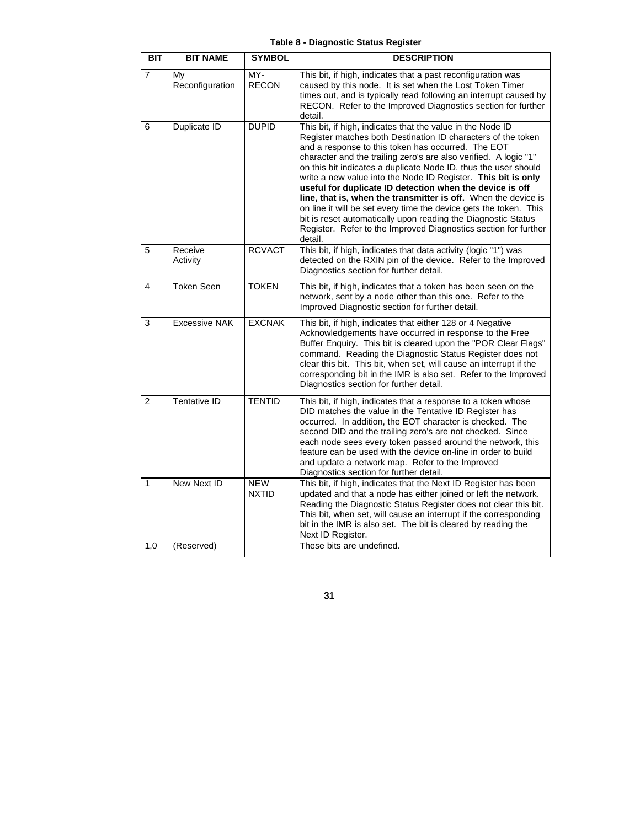|  | Table 8 - Diagnostic Status Register |  |  |
|--|--------------------------------------|--|--|
|--|--------------------------------------|--|--|

| <b>BIT</b>     | <b>BIT NAME</b>       | <b>SYMBOL</b>              | <b>DESCRIPTION</b>                                                                                                                                                                                                                                                                                                                                                                                                                                                                                                                                                                                                                                                                                                                         |
|----------------|-----------------------|----------------------------|--------------------------------------------------------------------------------------------------------------------------------------------------------------------------------------------------------------------------------------------------------------------------------------------------------------------------------------------------------------------------------------------------------------------------------------------------------------------------------------------------------------------------------------------------------------------------------------------------------------------------------------------------------------------------------------------------------------------------------------------|
| $\overline{7}$ | My<br>Reconfiguration | MY-<br><b>RECON</b>        | This bit, if high, indicates that a past reconfiguration was<br>caused by this node. It is set when the Lost Token Timer<br>times out, and is typically read following an interrupt caused by<br>RECON. Refer to the Improved Diagnostics section for further<br>detail.                                                                                                                                                                                                                                                                                                                                                                                                                                                                   |
| 6              | Duplicate ID          | <b>DUPID</b>               | This bit, if high, indicates that the value in the Node ID<br>Register matches both Destination ID characters of the token<br>and a response to this token has occurred. The EOT<br>character and the trailing zero's are also verified. A logic "1"<br>on this bit indicates a duplicate Node ID, thus the user should<br>write a new value into the Node ID Register. This bit is only<br>useful for duplicate ID detection when the device is off<br>line, that is, when the transmitter is off. When the device is<br>on line it will be set every time the device gets the token. This<br>bit is reset automatically upon reading the Diagnostic Status<br>Register. Refer to the Improved Diagnostics section for further<br>detail. |
| 5              | Receive<br>Activity   | <b>RCVACT</b>              | This bit, if high, indicates that data activity (logic "1") was<br>detected on the RXIN pin of the device. Refer to the Improved<br>Diagnostics section for further detail.                                                                                                                                                                                                                                                                                                                                                                                                                                                                                                                                                                |
| 4              | <b>Token Seen</b>     | <b>TOKEN</b>               | This bit, if high, indicates that a token has been seen on the<br>network, sent by a node other than this one. Refer to the<br>Improved Diagnostic section for further detail.                                                                                                                                                                                                                                                                                                                                                                                                                                                                                                                                                             |
| 3              | <b>Excessive NAK</b>  | <b>EXCNAK</b>              | This bit, if high, indicates that either 128 or 4 Negative<br>Acknowledgements have occurred in response to the Free<br>Buffer Enquiry. This bit is cleared upon the "POR Clear Flags"<br>command. Reading the Diagnostic Status Register does not<br>clear this bit. This bit, when set, will cause an interrupt if the<br>corresponding bit in the IMR is also set. Refer to the Improved<br>Diagnostics section for further detail.                                                                                                                                                                                                                                                                                                     |
| $\overline{2}$ | Tentative ID          | <b>TENTID</b>              | This bit, if high, indicates that a response to a token whose<br>DID matches the value in the Tentative ID Register has<br>occurred. In addition, the EOT character is checked. The<br>second DID and the trailing zero's are not checked. Since<br>each node sees every token passed around the network, this<br>feature can be used with the device on-line in order to build<br>and update a network map. Refer to the Improved<br>Diagnostics section for further detail.                                                                                                                                                                                                                                                              |
| $\mathbf{1}$   | New Next ID           | <b>NEW</b><br><b>NXTID</b> | This bit, if high, indicates that the Next ID Register has been<br>updated and that a node has either joined or left the network.<br>Reading the Diagnostic Status Register does not clear this bit.<br>This bit, when set, will cause an interrupt if the corresponding<br>bit in the IMR is also set. The bit is cleared by reading the<br>Next ID Register.                                                                                                                                                                                                                                                                                                                                                                             |
| 1,0            | (Reserved)            |                            | These bits are undefined.                                                                                                                                                                                                                                                                                                                                                                                                                                                                                                                                                                                                                                                                                                                  |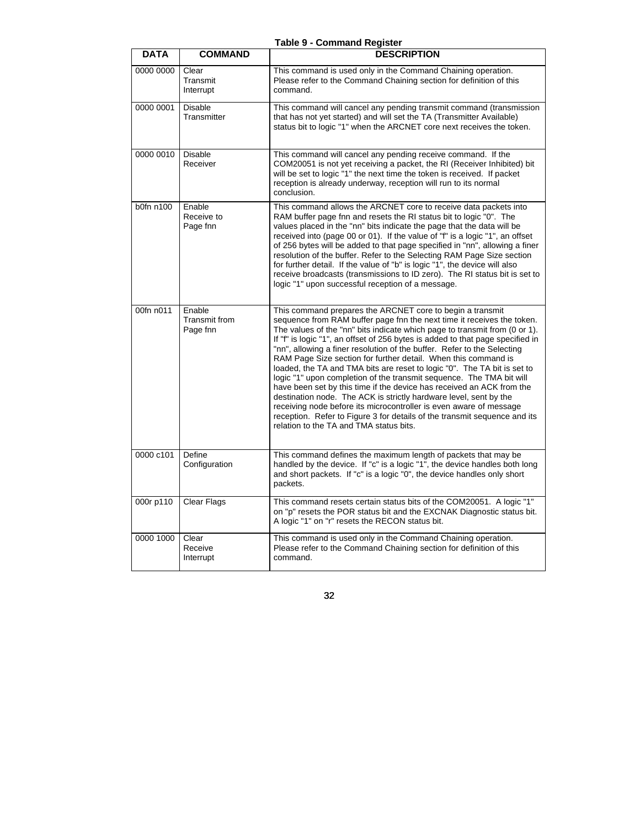|             |                                            | Table 9 - Command Register                                                                                                                                                                                                                                                                                                                                                                                                                                                                                                                                                                                                                                                                                                                                                                                                                                                                                                                       |
|-------------|--------------------------------------------|--------------------------------------------------------------------------------------------------------------------------------------------------------------------------------------------------------------------------------------------------------------------------------------------------------------------------------------------------------------------------------------------------------------------------------------------------------------------------------------------------------------------------------------------------------------------------------------------------------------------------------------------------------------------------------------------------------------------------------------------------------------------------------------------------------------------------------------------------------------------------------------------------------------------------------------------------|
| <b>DATA</b> | <b>COMMAND</b>                             | <b>DESCRIPTION</b>                                                                                                                                                                                                                                                                                                                                                                                                                                                                                                                                                                                                                                                                                                                                                                                                                                                                                                                               |
| 0000 0000   | Clear<br>Transmit<br>Interrupt             | This command is used only in the Command Chaining operation.<br>Please refer to the Command Chaining section for definition of this<br>command.                                                                                                                                                                                                                                                                                                                                                                                                                                                                                                                                                                                                                                                                                                                                                                                                  |
| 0000 0001   | <b>Disable</b><br>Transmitter              | This command will cancel any pending transmit command (transmission<br>that has not yet started) and will set the TA (Transmitter Available)<br>status bit to logic "1" when the ARCNET core next receives the token.                                                                                                                                                                                                                                                                                                                                                                                                                                                                                                                                                                                                                                                                                                                            |
| 0000 0010   | <b>Disable</b><br>Receiver                 | This command will cancel any pending receive command. If the<br>COM20051 is not yet receiving a packet, the RI (Receiver Inhibited) bit<br>will be set to logic "1" the next time the token is received. If packet<br>reception is already underway, reception will run to its normal<br>conclusion.                                                                                                                                                                                                                                                                                                                                                                                                                                                                                                                                                                                                                                             |
| b0fn n100   | Enable<br>Receive to<br>Page fnn           | This command allows the ARCNET core to receive data packets into<br>RAM buffer page finn and resets the RI status bit to logic "0". The<br>values placed in the "nn" bits indicate the page that the data will be<br>received into (page 00 or 01). If the value of "f" is a logic "1", an offset<br>of 256 bytes will be added to that page specified in "nn", allowing a finer<br>resolution of the buffer. Refer to the Selecting RAM Page Size section<br>for further detail. If the value of "b" is logic "1", the device will also<br>receive broadcasts (transmissions to ID zero). The RI status bit is set to<br>logic "1" upon successful reception of a message.                                                                                                                                                                                                                                                                      |
| 00fn n011   | Enable<br><b>Transmit from</b><br>Page fnn | This command prepares the ARCNET core to begin a transmit<br>sequence from RAM buffer page fin the next time it receives the token.<br>The values of the "nn" bits indicate which page to transmit from (0 or 1).<br>If "f" is logic "1", an offset of 256 bytes is added to that page specified in<br>"nn", allowing a finer resolution of the buffer. Refer to the Selecting<br>RAM Page Size section for further detail. When this command is<br>loaded, the TA and TMA bits are reset to logic "0". The TA bit is set to<br>logic "1" upon completion of the transmit sequence. The TMA bit will<br>have been set by this time if the device has received an ACK from the<br>destination node. The ACK is strictly hardware level, sent by the<br>receiving node before its microcontroller is even aware of message<br>reception. Refer to Figure 3 for details of the transmit sequence and its<br>relation to the TA and TMA status bits. |
| 0000 c101   | Define<br>Configuration                    | This command defines the maximum length of packets that may be<br>handled by the device. If "c" is a logic "1", the device handles both long<br>and short packets. If "c" is a logic "0", the device handles only short<br>packets.                                                                                                                                                                                                                                                                                                                                                                                                                                                                                                                                                                                                                                                                                                              |
| 000r p110   | <b>Clear Flags</b>                         | This command resets certain status bits of the COM20051. A logic "1"<br>on "p" resets the POR status bit and the EXCNAK Diagnostic status bit.<br>A logic "1" on "r" resets the RECON status bit.                                                                                                                                                                                                                                                                                                                                                                                                                                                                                                                                                                                                                                                                                                                                                |
| 0000 1000   | Clear<br>Receive<br>Interrupt              | This command is used only in the Command Chaining operation.<br>Please refer to the Command Chaining section for definition of this<br>command.                                                                                                                                                                                                                                                                                                                                                                                                                                                                                                                                                                                                                                                                                                                                                                                                  |

**Table 9 - Command Register**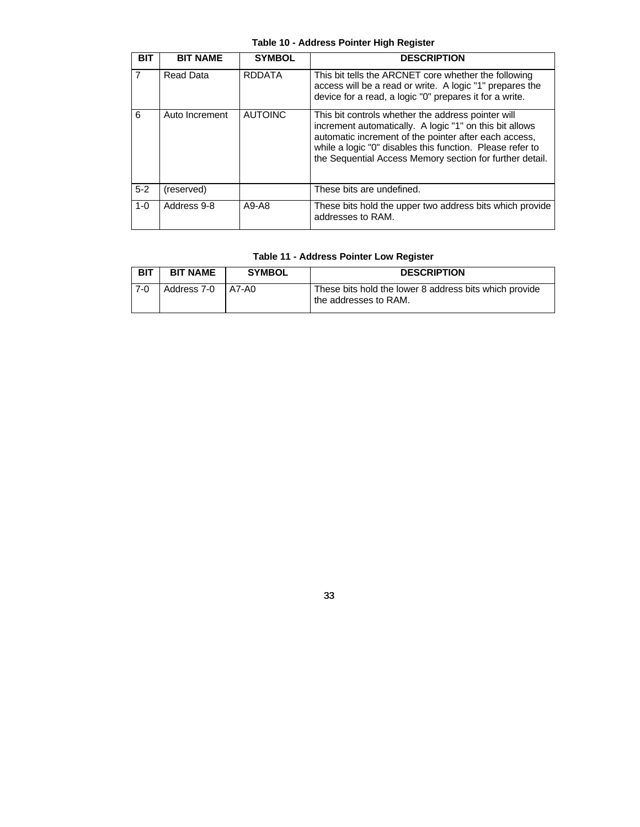# **Table 10 - Address Pointer High Register**

| BIT     | <b>BIT NAME</b> | <b>SYMBOL</b>  | <b>DESCRIPTION</b>                                                                                                                                                                                                                                                                              |
|---------|-----------------|----------------|-------------------------------------------------------------------------------------------------------------------------------------------------------------------------------------------------------------------------------------------------------------------------------------------------|
| 7       | Read Data       | <b>RDDATA</b>  | This bit tells the ARCNET core whether the following<br>access will be a read or write. A logic "1" prepares the<br>device for a read, a logic "0" prepares it for a write.                                                                                                                     |
| 6       | Auto Increment  | <b>AUTOINC</b> | This bit controls whether the address pointer will<br>increment automatically. A logic "1" on this bit allows<br>automatic increment of the pointer after each access,<br>while a logic "0" disables this function. Please refer to<br>the Sequential Access Memory section for further detail. |
| $5 - 2$ | (reserved)      |                | These bits are undefined.                                                                                                                                                                                                                                                                       |
| $1 - 0$ | Address 9-8     | $A9-AB$        | These bits hold the upper two address bits which provide<br>addresses to RAM.                                                                                                                                                                                                                   |

# **Table 11 - Address Pointer Low Register**

| <b>BIT</b> | <b>BIT NAME</b>     | <b>SYMBOL</b> | <b>DESCRIPTION</b>                                                              |
|------------|---------------------|---------------|---------------------------------------------------------------------------------|
| $7-0$      | Address 7-0   A7-A0 |               | These bits hold the lower 8 address bits which provide<br>the addresses to RAM. |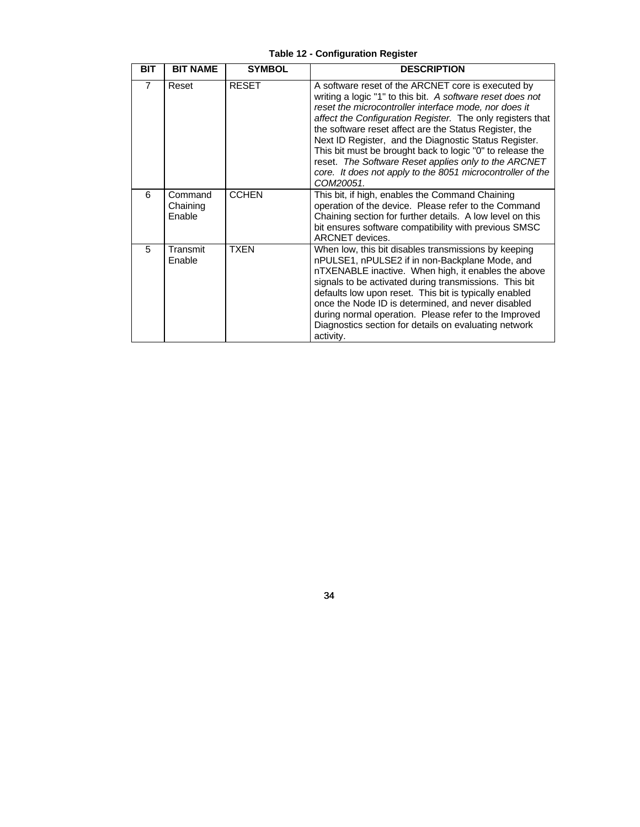| <b>BIT</b>     | <b>BIT NAME</b>               | <b>SYMBOL</b> | <b>DESCRIPTION</b>                                                                                                                                                                                                                                                                                                                                                                                                                                                                                                                                         |
|----------------|-------------------------------|---------------|------------------------------------------------------------------------------------------------------------------------------------------------------------------------------------------------------------------------------------------------------------------------------------------------------------------------------------------------------------------------------------------------------------------------------------------------------------------------------------------------------------------------------------------------------------|
| $\overline{7}$ | Reset                         | <b>RESET</b>  | A software reset of the ARCNET core is executed by<br>writing a logic "1" to this bit. A software reset does not<br>reset the microcontroller interface mode, nor does it<br>affect the Configuration Register. The only registers that<br>the software reset affect are the Status Register, the<br>Next ID Register, and the Diagnostic Status Register.<br>This bit must be brought back to logic "0" to release the<br>reset. The Software Reset applies only to the ARCNET<br>core. It does not apply to the 8051 microcontroller of the<br>COM20051. |
| 6              | Command<br>Chaining<br>Enable | <b>CCHEN</b>  | This bit, if high, enables the Command Chaining<br>operation of the device. Please refer to the Command<br>Chaining section for further details. A low level on this<br>bit ensures software compatibility with previous SMSC<br>ARCNET devices.                                                                                                                                                                                                                                                                                                           |
| 5              | Transmit<br>Enable            | <b>TXEN</b>   | When low, this bit disables transmissions by keeping<br>nPULSE1, nPULSE2 if in non-Backplane Mode, and<br>nTXENABLE inactive. When high, it enables the above<br>signals to be activated during transmissions. This bit<br>defaults low upon reset. This bit is typically enabled<br>once the Node ID is determined, and never disabled<br>during normal operation. Please refer to the Improved<br>Diagnostics section for details on evaluating network<br>activity.                                                                                     |

**Table 12 - Configuration Register**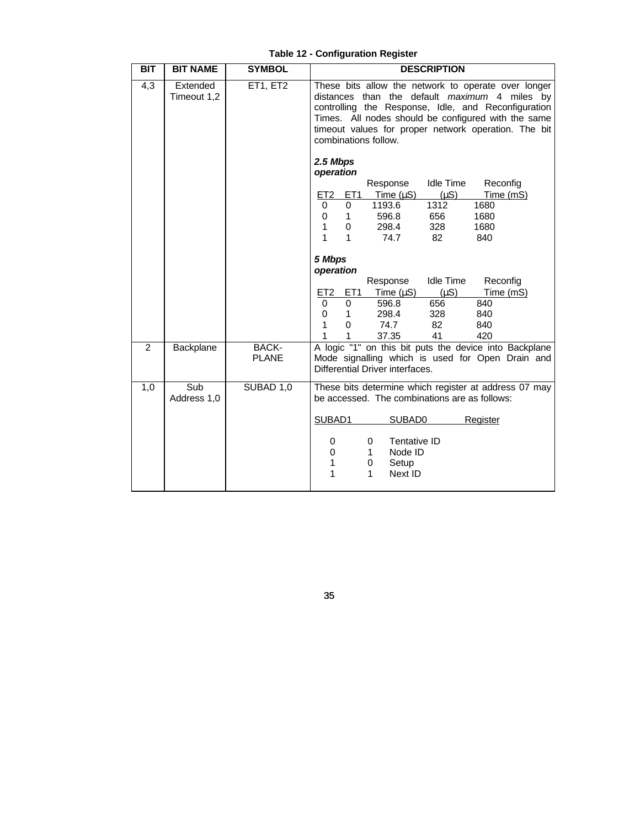| <b>BIT</b>     | <b>BIT NAME</b>         | <b>SYMBOL</b>         | <b>DESCRIPTION</b>                                                                                                                                                                                                                                                                                                          |
|----------------|-------------------------|-----------------------|-----------------------------------------------------------------------------------------------------------------------------------------------------------------------------------------------------------------------------------------------------------------------------------------------------------------------------|
| 4,3            | Extended<br>Timeout 1,2 | ET1, ET2              | These bits allow the network to operate over longer<br>distances than the default maximum 4 miles by<br>controlling the Response, Idle, and Reconfiguration<br>Times. All nodes should be configured with the same<br>timeout values for proper network operation. The bit<br>combinations follow.<br>2.5 Mbps<br>operation |
|                |                         |                       | <b>Idle Time</b><br>Reconfig<br>Response                                                                                                                                                                                                                                                                                    |
|                |                         |                       | Time $(\mu S)$<br>$(\mu S)$<br>Time (mS)<br><u>ET2</u><br>ET <sub>1</sub>                                                                                                                                                                                                                                                   |
|                |                         |                       | 1193.6<br>1312<br>1680<br>$\Omega$<br>0                                                                                                                                                                                                                                                                                     |
|                |                         |                       | 596.8<br>1680<br>$\mathbf{1}$<br>656<br>0                                                                                                                                                                                                                                                                                   |
|                |                         |                       | 328<br>1680<br>1<br>298.4<br>0                                                                                                                                                                                                                                                                                              |
|                |                         |                       | 1<br>1<br>74.7<br>82<br>840                                                                                                                                                                                                                                                                                                 |
|                |                         |                       | 5 Mbps<br>operation                                                                                                                                                                                                                                                                                                         |
|                |                         |                       | <b>Idle Time</b><br>Reconfig<br>Response                                                                                                                                                                                                                                                                                    |
|                |                         |                       | ET1<br>Time (µS)<br>$(\mu S)$<br>Time (mS)<br>ET <sub>2</sub>                                                                                                                                                                                                                                                               |
|                |                         |                       | 596.8<br>656<br>840<br>0<br>0                                                                                                                                                                                                                                                                                               |
|                |                         |                       | 298.4<br>328<br>840<br>0<br>$\mathbf{1}$                                                                                                                                                                                                                                                                                    |
|                |                         |                       | 1<br>$\mathbf 0$<br>74.7<br>82<br>840                                                                                                                                                                                                                                                                                       |
|                |                         |                       | 37.35<br>41<br>420<br>1<br>1                                                                                                                                                                                                                                                                                                |
| $\overline{2}$ | Backplane               | BACK-<br><b>PLANE</b> | A logic "1" on this bit puts the device into Backplane<br>Mode signalling which is used for Open Drain and<br>Differential Driver interfaces.                                                                                                                                                                               |
| 1,0            | Sub<br>Address 1,0      | SUBAD 1,0             | These bits determine which register at address 07 may<br>be accessed. The combinations are as follows:                                                                                                                                                                                                                      |
|                |                         |                       | SUBAD1<br>SUBAD0<br>Register                                                                                                                                                                                                                                                                                                |
|                |                         |                       | Tentative ID<br>0<br>0<br>Node ID<br>$\mathbf 0$<br>1<br>1<br>Setup<br>0<br>Next ID<br>1<br>1                                                                                                                                                                                                                               |

**Table 12 - Configuration Register**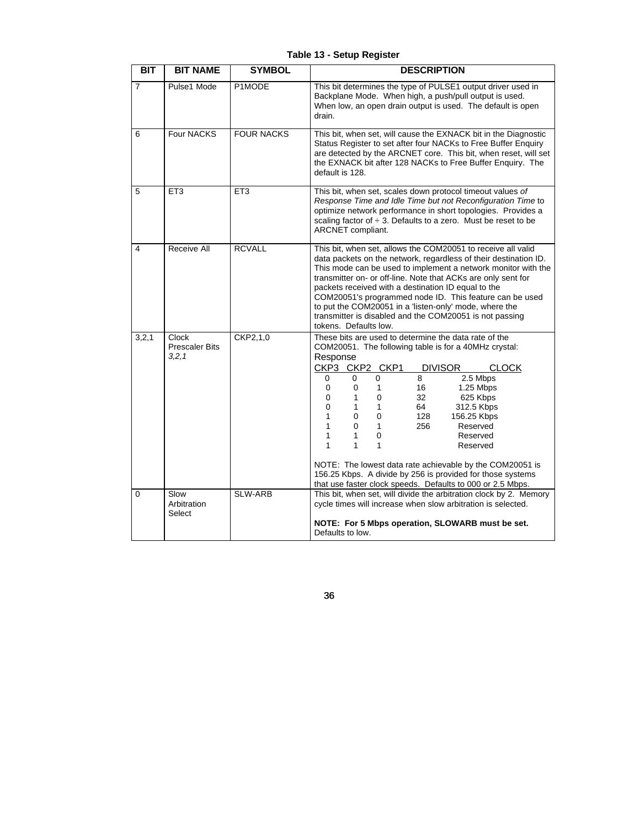| <b>BIT</b>     | <b>BIT NAME</b>                           | <b>SYMBOL</b>     | <b>DESCRIPTION</b>                                                                                                                                                                                                                                                                                                                                                                                                                                                                                                                                                                                                                                                 |
|----------------|-------------------------------------------|-------------------|--------------------------------------------------------------------------------------------------------------------------------------------------------------------------------------------------------------------------------------------------------------------------------------------------------------------------------------------------------------------------------------------------------------------------------------------------------------------------------------------------------------------------------------------------------------------------------------------------------------------------------------------------------------------|
| $\overline{7}$ | Pulse1 Mode                               | P1MODE            | This bit determines the type of PULSE1 output driver used in<br>Backplane Mode. When high, a push/pull output is used.<br>When low, an open drain output is used. The default is open<br>drain.                                                                                                                                                                                                                                                                                                                                                                                                                                                                    |
| 6              | Four NACKS                                | <b>FOUR NACKS</b> | This bit, when set, will cause the EXNACK bit in the Diagnostic<br>Status Register to set after four NACKs to Free Buffer Enquiry<br>are detected by the ARCNET core. This bit, when reset, will set<br>the EXNACK bit after 128 NACKs to Free Buffer Enquiry. The<br>default is 128.                                                                                                                                                                                                                                                                                                                                                                              |
| 5              | ET <sub>3</sub>                           | ET <sub>3</sub>   | This bit, when set, scales down protocol timeout values of<br>Response Time and Idle Time but not Reconfiguration Time to<br>optimize network performance in short topologies. Provides a<br>scaling factor of $\div$ 3. Defaults to a zero. Must be reset to be<br>ARCNET compliant.                                                                                                                                                                                                                                                                                                                                                                              |
| 4              | Receive All                               | <b>RCVALL</b>     | This bit, when set, allows the COM20051 to receive all valid<br>data packets on the network, regardless of their destination ID.<br>This mode can be used to implement a network monitor with the<br>transmitter on- or off-line. Note that ACKs are only sent for<br>packets received with a destination ID equal to the<br>COM20051's programmed node ID. This feature can be used<br>to put the COM20051 in a 'listen-only' mode, where the<br>transmitter is disabled and the COM20051 is not passing<br>tokens. Defaults low.                                                                                                                                 |
| 3, 2, 1        | Clock<br><b>Prescaler Bits</b><br>3, 2, 1 | CKP2,1,0          | These bits are used to determine the data rate of the<br>COM20051. The following table is for a 40MHz crystal:<br>Response<br>CKP3 CKP2 CKP1<br><b>DIVISOR</b><br><b>CLOCK</b><br>8<br>$\Omega$<br>2.5 Mbps<br>0<br>0<br>1.25 Mbps<br>0<br>0<br>16<br>1<br>0<br>0<br>32<br>625 Kbps<br>1<br>0<br>312.5 Kbps<br>1<br>1<br>64<br>1<br>128<br>156.25 Kbps<br>0<br>0<br>1<br>$\Omega$<br>$\mathbf{1}$<br>256<br>Reserved<br>1<br>Reserved<br>1<br>0<br>1<br>1<br>1<br>Reserved<br>NOTE: The lowest data rate achievable by the COM20051 is<br>156.25 Kbps. A divide by 256 is provided for those systems<br>that use faster clock speeds. Defaults to 000 or 2.5 Mbps. |
| $\Omega$       | Slow<br>Arbitration<br>Select             | <b>SLW-ARB</b>    | This bit, when set, will divide the arbitration clock by 2. Memory<br>cycle times will increase when slow arbitration is selected.<br>NOTE: For 5 Mbps operation, SLOWARB must be set.<br>Defaults to low.                                                                                                                                                                                                                                                                                                                                                                                                                                                         |

**Table 13 - Setup Register**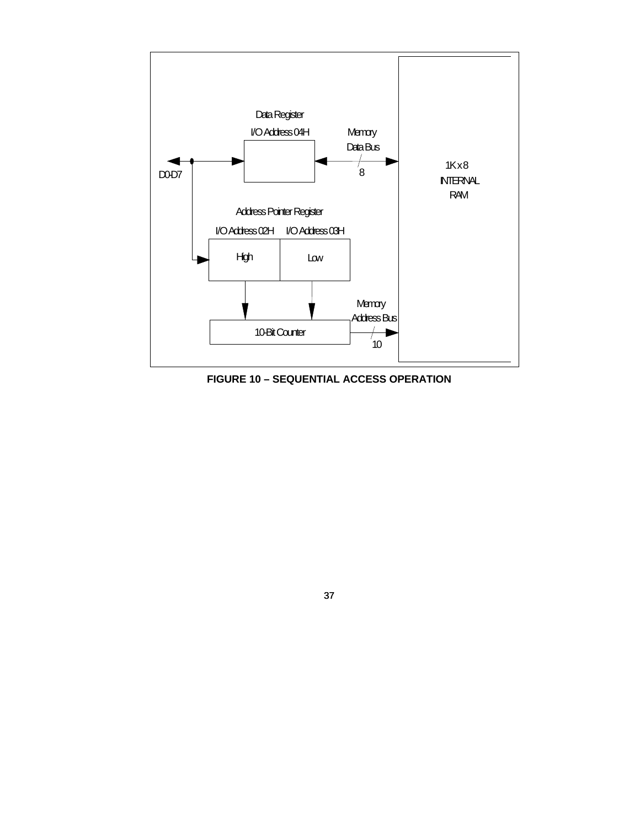

**FIGURE 10 – SEQUENTIAL ACCESS OPERATION**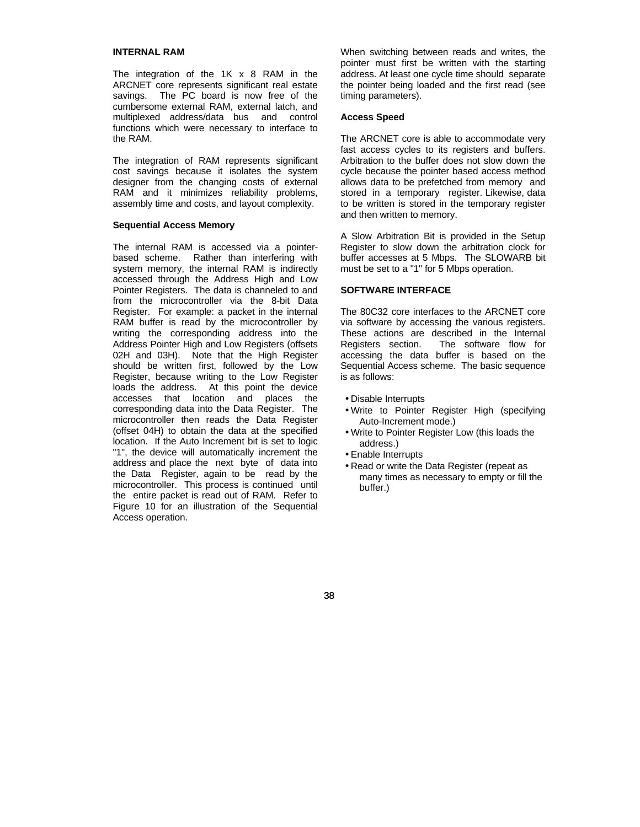## **INTERNAL RAM**

The integration of the  $1K \times 8$  RAM in the ARCNET core represents significant real estate savings. The PC board is now free of the cumbersome external RAM, external latch, and multiplexed address/data bus and control functions which were necessary to interface to the RAM.

The integration of RAM represents significant cost savings because it isolates the system designer from the changing costs of external RAM and it minimizes reliability problems, assembly time and costs, and layout complexity.

## **Sequential Access Memory**

The internal RAM is accessed via a pointerbased scheme. Rather than interfering with system memory, the internal RAM is indirectly accessed through the Address High and Low Pointer Registers. The data is channeled to and from the microcontroller via the 8-bit Data Register. For example: a packet in the internal RAM buffer is read by the microcontroller by writing the corresponding address into the Address Pointer High and Low Registers (offsets 02H and 03H). Note that the High Register should be written first, followed by the Low Register, because writing to the Low Register loads the address. At this point the device accesses that location and places the corresponding data into the Data Register. The microcontroller then reads the Data Register (offset 04H) to obtain the data at the specified location. If the Auto Increment bit is set to logic "1", the device will automatically increment the address and place the next byte of data into the Data Register, again to be read by the microcontroller. This process is continued until the entire packet is read out of RAM. Refer to Figure 10 for an illustration of the Sequential Access operation.

When switching between reads and writes, the pointer must first be written with the starting address. At least one cycle time should separate the pointer being loaded and the first read (see timing parameters).

#### **Access Speed**

The ARCNET core is able to accommodate very fast access cycles to its registers and buffers. Arbitration to the buffer does not slow down the cycle because the pointer based access method allows data to be prefetched from memory and stored in a temporary register. Likewise, data to be written is stored in the temporary register and then written to memory.

A Slow Arbitration Bit is provided in the Setup Register to slow down the arbitration clock for buffer accesses at 5 Mbps. The SLOWARB bit must be set to a "1" for 5 Mbps operation.

## **SOFTWARE INTERFACE**

The 80C32 core interfaces to the ARCNET core via software by accessing the various registers. These actions are described in the Internal Registers section. The software flow for accessing the data buffer is based on the Sequential Access scheme. The basic sequence is as follows:

- Disable Interrupts
- Write to Pointer Register High (specifying Auto-Increment mode.)
- Write to Pointer Register Low (this loads the address.)
- Enable Interrupts
- Read or write the Data Register (repeat as many times as necessary to empty or fill the buffer.)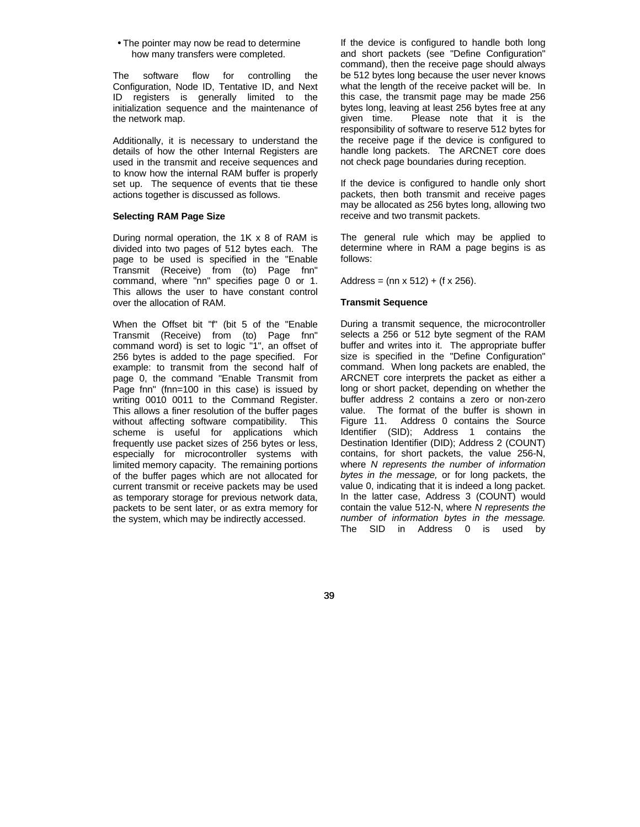• The pointer may now be read to determine how many transfers were completed.

The software flow for controlling the Configuration, Node ID, Tentative ID, and Next ID registers is generally limited to the initialization sequence and the maintenance of the network map.

Additionally, it is necessary to understand the details of how the other Internal Registers are used in the transmit and receive sequences and to know how the internal RAM buffer is properly set up. The sequence of events that tie these actions together is discussed as follows.

## **Selecting RAM Page Size**

During normal operation, the 1K x 8 of RAM is divided into two pages of 512 bytes each. The page to be used is specified in the "Enable Transmit (Receive) from (to) Page fnn" command, where "nn" specifies page 0 or 1. This allows the user to have constant control over the allocation of RAM.

When the Offset bit "f" (bit 5 of the "Enable Transmit (Receive) from (to) Page fnn" command word) is set to logic "1", an offset of 256 bytes is added to the page specified. For example: to transmit from the second half of page 0, the command "Enable Transmit from Page fnn" (fnn=100 in this case) is issued by writing 0010 0011 to the Command Register. This allows a finer resolution of the buffer pages without affecting software compatibility. This scheme is useful for applications which frequently use packet sizes of 256 bytes or less, especially for microcontroller systems with limited memory capacity. The remaining portions of the buffer pages which are not allocated for current transmit or receive packets may be used as temporary storage for previous network data, packets to be sent later, or as extra memory for the system, which may be indirectly accessed.

If the device is configured to handle both long and short packets (see "Define Configuration" command), then the receive page should always be 512 bytes long because the user never knows what the length of the receive packet will be. In this case, the transmit page may be made 256 bytes long, leaving at least 256 bytes free at any given time. Please note that it is the responsibility of software to reserve 512 bytes for the receive page if the device is configured to handle long packets. The ARCNET core does not check page boundaries during reception.

If the device is configured to handle only short packets, then both transmit and receive pages may be allocated as 256 bytes long, allowing two receive and two transmit packets.

The general rule which may be applied to determine where in RAM a page begins is as follows:

Address =  $(nn \times 512) + (f \times 256)$ .

## **Transmit Sequence**

During a transmit sequence, the microcontroller selects a 256 or 512 byte segment of the RAM buffer and writes into it. The appropriate buffer size is specified in the "Define Configuration" command. When long packets are enabled, the ARCNET core interprets the packet as either a long or short packet, depending on whether the buffer address 2 contains a zero or non-zero value. The format of the buffer is shown in Figure 11. Address 0 contains the Source Identifier (SID); Address 1 contains the Destination Identifier (DID); Address 2 (COUNT) contains, for short packets, the value 256-N, where *N represents the number of information bytes in the message,* or for long packets, the value 0, indicating that it is indeed a long packet. In the latter case, Address 3 (COUNT) would contain the value 512-N, where *N represents the number of information bytes in the message.* The SID in Address 0 is used by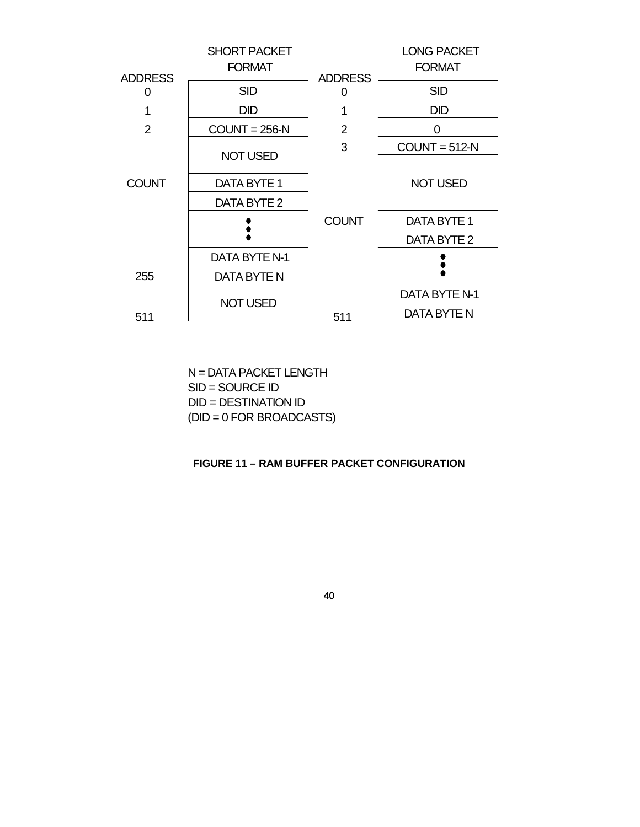

**FIGURE 11 – RAM BUFFER PACKET CONFIGURATION**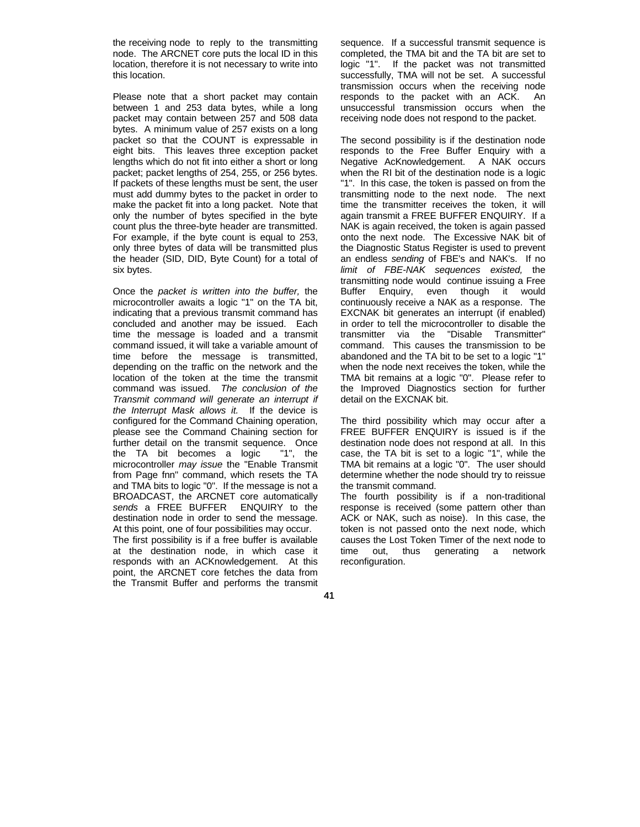the receiving node to reply to the transmitting node. The ARCNET core puts the local ID in this location, therefore it is not necessary to write into this location.

Please note that a short packet may contain between 1 and 253 data bytes, while a long packet may contain between 257 and 508 data bytes. A minimum value of 257 exists on a long packet so that the COUNT is expressable in eight bits. This leaves three exception packet lengths which do not fit into either a short or long packet; packet lengths of 254, 255, or 256 bytes. If packets of these lengths must be sent, the user must add dummy bytes to the packet in order to make the packet fit into a long packet. Note that only the number of bytes specified in the byte count plus the three-byte header are transmitted. For example, if the byte count is equal to 253, only three bytes of data will be transmitted plus the header (SID, DID, Byte Count) for a total of six bytes.

Once the *packet is written into the buffer,* the microcontroller awaits a logic "1" on the TA bit, indicating that a previous transmit command has concluded and another may be issued. Each time the message is loaded and a transmit command issued, it will take a variable amount of time before the message is transmitted, depending on the traffic on the network and the location of the token at the time the transmit command was issued. *The conclusion of the Transmit command will generate an interrupt if the Interrupt Mask allows it.* If the device is configured for the Command Chaining operation, please see the Command Chaining section for further detail on the transmit sequence. Once the TA bit becomes a logic "1", the microcontroller *may issue* the "Enable Transmit from Page fnn" command, which resets the TA and TMA bits to logic "0". If the message is not a BROADCAST, the ARCNET core automatically *sends* a FREE BUFFER ENQUIRY to the destination node in order to send the message. At this point, one of four possibilities may occur.

The first possibility is if a free buffer is available at the destination node, in which case it responds with an ACKnowledgement. At this point, the ARCNET core fetches the data from the Transmit Buffer and performs the transmit sequence. If a successful transmit sequence is completed, the TMA bit and the TA bit are set to logic "1". If the packet was not transmitted successfully, TMA will not be set. A successful transmission occurs when the receiving node responds to the packet with an ACK. An unsuccessful transmission occurs when the receiving node does not respond to the packet.

The second possibility is if the destination node responds to the Free Buffer Enquiry with a Negative AcKnowledgement. A NAK occurs when the RI bit of the destination node is a logic "1". In this case, the token is passed on from the transmitting node to the next node. The next time the transmitter receives the token, it will again transmit a FREE BUFFER ENQUIRY. If a NAK is again received, the token is again passed onto the next node. The Excessive NAK bit of the Diagnostic Status Register is used to prevent an endless *sending* of FBE's and NAK's. If no *limit of FBE-NAK sequences existed,* the transmitting node would continue issuing a Free Buffer Enquiry, even though it would continuously receive a NAK as a response. The EXCNAK bit generates an interrupt (if enabled) in order to tell the microcontroller to disable the transmitter via the "Disable Transmitter" command. This causes the transmission to be abandoned and the TA bit to be set to a logic "1" when the node next receives the token, while the TMA bit remains at a logic "0". Please refer to the Improved Diagnostics section for further detail on the EXCNAK bit.

The third possibility which may occur after a FREE BUFFER ENQUIRY is issued is if the destination node does not respond at all. In this case, the TA bit is set to a logic "1", while the TMA bit remains at a logic "0". The user should determine whether the node should try to reissue the transmit command.

The fourth possibility is if a non-traditional response is received (some pattern other than ACK or NAK, such as noise). In this case, the token is not passed onto the next node, which causes the Lost Token Timer of the next node to time out, thus generating a network reconfiguration.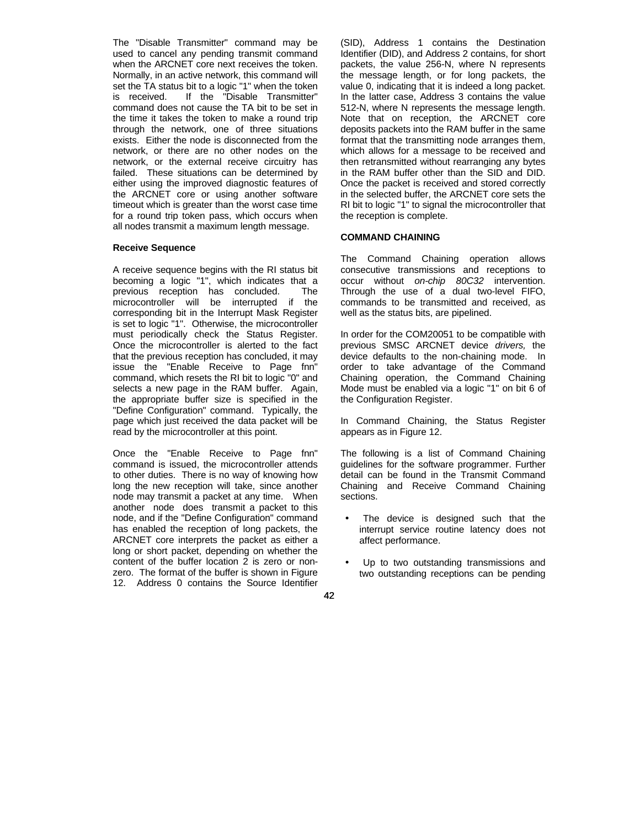The "Disable Transmitter" command may be used to cancel any pending transmit command when the ARCNET core next receives the token. Normally, in an active network, this command will set the TA status bit to a logic "1" when the token is received. If the "Disable Transmitter" command does not cause the TA bit to be set in the time it takes the token to make a round trip through the network, one of three situations exists. Either the node is disconnected from the network, or there are no other nodes on the network, or the external receive circuitry has failed. These situations can be determined by either using the improved diagnostic features of the ARCNET core or using another software timeout which is greater than the worst case time for a round trip token pass, which occurs when all nodes transmit a maximum length message.

## **Receive Sequence**

A receive sequence begins with the RI status bit becoming a logic "1", which indicates that a previous reception has concluded. The microcontroller will be interrupted if the corresponding bit in the Interrupt Mask Register is set to logic "1". Otherwise, the microcontroller must periodically check the Status Register. Once the microcontroller is alerted to the fact that the previous reception has concluded, it may issue the "Enable Receive to Page fnn" command, which resets the RI bit to logic "0" and selects a new page in the RAM buffer. Again, the appropriate buffer size is specified in the "Define Configuration" command. Typically, the page which just received the data packet will be read by the microcontroller at this point.

Once the "Enable Receive to Page fnn" command is issued, the microcontroller attends to other duties. There is no way of knowing how long the new reception will take, since another node may transmit a packet at any time. When another node does transmit a packet to this node, and if the "Define Configuration" command has enabled the reception of long packets, the ARCNET core interprets the packet as either a long or short packet, depending on whether the content of the buffer location 2 is zero or nonzero. The format of the buffer is shown in Figure 12. Address 0 contains the Source Identifier

(SID), Address 1 contains the Destination Identifier (DID), and Address 2 contains, for short packets, the value 256-N, where N represents the message length, or for long packets, the value 0, indicating that it is indeed a long packet. In the latter case, Address 3 contains the value 512-N, where N represents the message length. Note that on reception, the ARCNET core deposits packets into the RAM buffer in the same format that the transmitting node arranges them, which allows for a message to be received and then retransmitted without rearranging any bytes in the RAM buffer other than the SID and DID. Once the packet is received and stored correctly in the selected buffer, the ARCNET core sets the RI bit to logic "1" to signal the microcontroller that the reception is complete.

## **COMMAND CHAINING**

The Command Chaining operation allows consecutive transmissions and receptions to occur without *on-chip 80C32* intervention. Through the use of a dual two-level FIFO, commands to be transmitted and received, as well as the status bits, are pipelined.

In order for the COM20051 to be compatible with previous SMSC ARCNET device *drivers,* the device defaults to the non-chaining mode. In order to take advantage of the Command Chaining operation, the Command Chaining Mode must be enabled via a logic "1" on bit 6 of the Configuration Register.

In Command Chaining, the Status Register appears as in Figure 12.

The following is a list of Command Chaining guidelines for the software programmer. Further detail can be found in the Transmit Command Chaining and Receive Command Chaining sections.

- The device is designed such that the interrupt service routine latency does not affect performance.
- Up to two outstanding transmissions and two outstanding receptions can be pending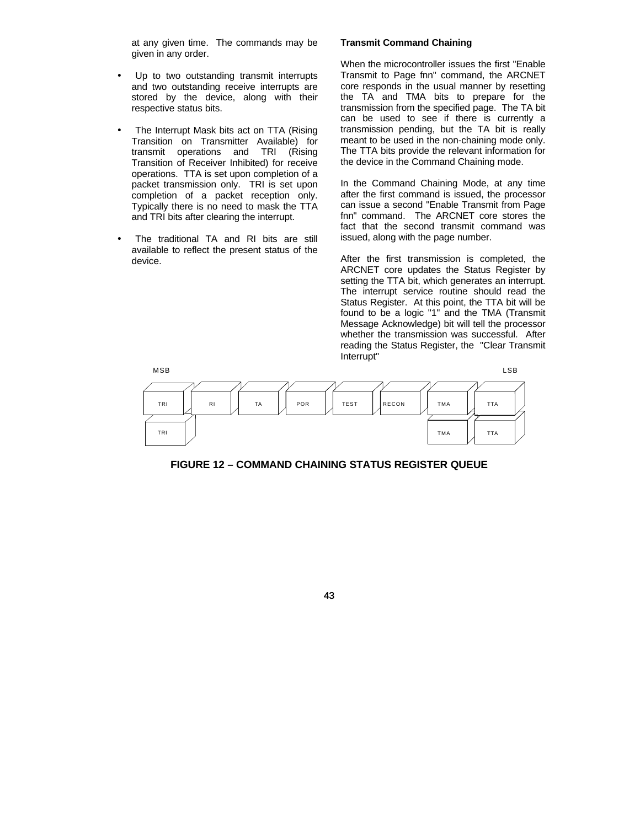at any given time. The commands may be given in any order.

- Up to two outstanding transmit interrupts and two outstanding receive interrupts are stored by the device, along with their respective status bits.
- The Interrupt Mask bits act on TTA (Rising Transition on Transmitter Available) for transmit operations and TRI (Rising Transition of Receiver Inhibited) for receive operations. TTA is set upon completion of a packet transmission only. TRI is set upon completion of a packet reception only. Typically there is no need to mask the TTA and TRI bits after clearing the interrupt.
- The traditional TA and RI bits are still available to reflect the present status of the device.

## **Transmit Command Chaining**

When the microcontroller issues the first "Enable Transmit to Page fnn" command, the ARCNET core responds in the usual manner by resetting the TA and TMA bits to prepare for the transmission from the specified page. The TA bit can be used to see if there is currently a transmission pending, but the TA bit is really meant to be used in the non-chaining mode only. The TTA bits provide the relevant information for the device in the Command Chaining mode.

In the Command Chaining Mode, at any time after the first command is issued, the processor can issue a second "Enable Transmit from Page fnn" command. The ARCNET core stores the fact that the second transmit command was issued, along with the page number.

After the first transmission is completed, the ARCNET core updates the Status Register by setting the TTA bit, which generates an interrupt. The interrupt service routine should read the Status Register. At this point, the TTA bit will be found to be a logic "1" and the TMA (Transmit Message Acknowledge) bit will tell the processor whether the transmission was successful. After reading the Status Register, the "Clear Transmit Interrupt"



**FIGURE 12 – COMMAND CHAINING STATUS REGISTER QUEUE**

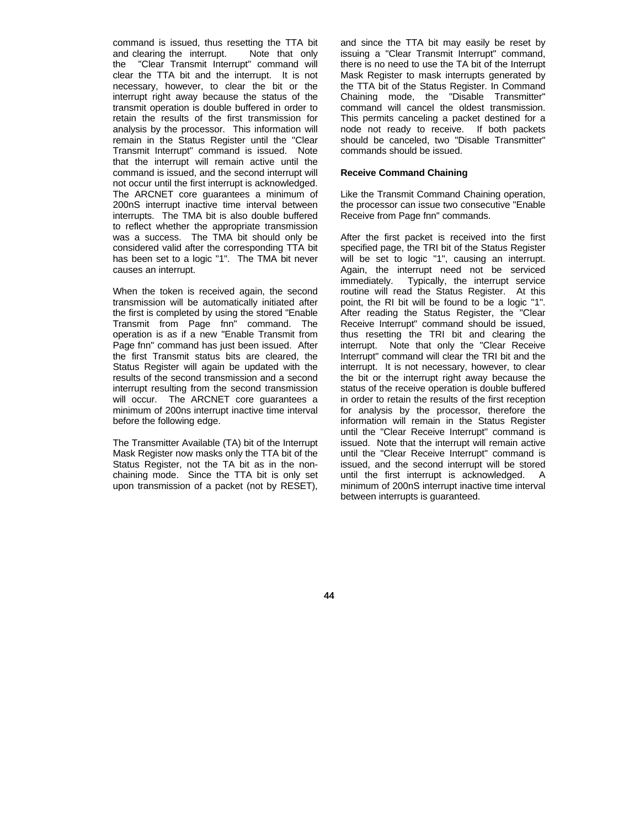command is issued, thus resetting the TTA bit<br>and clearing the interrupt. Note that only and clearing the interrupt. the "Clear Transmit Interrupt" command will clear the TTA bit and the interrupt. It is not necessary, however, to clear the bit or the interrupt right away because the status of the transmit operation is double buffered in order to retain the results of the first transmission for analysis by the processor. This information will remain in the Status Register until the "Clear Transmit Interrupt" command is issued. Note that the interrupt will remain active until the command is issued, and the second interrupt will not occur until the first interrupt is acknowledged. The ARCNET core guarantees a minimum of 200nS interrupt inactive time interval between interrupts. The TMA bit is also double buffered to reflect whether the appropriate transmission was a success. The TMA bit should only be considered valid after the corresponding TTA bit has been set to a logic "1". The TMA bit never causes an interrupt.

When the token is received again, the second transmission will be automatically initiated after the first is completed by using the stored "Enable Transmit from Page fnn" command. The operation is as if a new "Enable Transmit from Page fnn" command has just been issued. After the first Transmit status bits are cleared, the Status Register will again be updated with the results of the second transmission and a second interrupt resulting from the second transmission will occur. The ARCNET core guarantees a minimum of 200ns interrupt inactive time interval before the following edge.

The Transmitter Available (TA) bit of the Interrupt Mask Register now masks only the TTA bit of the Status Register, not the TA bit as in the nonchaining mode. Since the TTA bit is only set upon transmission of a packet (not by RESET), and since the TTA bit may easily be reset by issuing a "Clear Transmit Interrupt" command, there is no need to use the TA bit of the Interrupt Mask Register to mask interrupts generated by the TTA bit of the Status Register. In Command Chaining mode, the "Disable Transmitter" command will cancel the oldest transmission. This permits canceling a packet destined for a node not ready to receive. If both packets should be canceled, two "Disable Transmitter" commands should be issued.

## **Receive Command Chaining**

Like the Transmit Command Chaining operation, the processor can issue two consecutive "Enable Receive from Page fnn" commands.

After the first packet is received into the first specified page, the TRI bit of the Status Register will be set to logic "1", causing an interrupt. Again, the interrupt need not be serviced immediately. Typically, the interrupt service routine will read the Status Register. At this point, the RI bit will be found to be a logic "1". After reading the Status Register, the "Clear Receive Interrupt" command should be issued, thus resetting the TRI bit and clearing the interrupt. Note that only the "Clear Receive Interrupt" command will clear the TRI bit and the interrupt. It is not necessary, however, to clear the bit or the interrupt right away because the status of the receive operation is double buffered in order to retain the results of the first reception for analysis by the processor, therefore the information will remain in the Status Register until the "Clear Receive Interrupt" command is issued. Note that the interrupt will remain active until the "Clear Receive Interrupt" command is issued, and the second interrupt will be stored until the first interrupt is acknowledged. A minimum of 200nS interrupt inactive time interval between interrupts is guaranteed.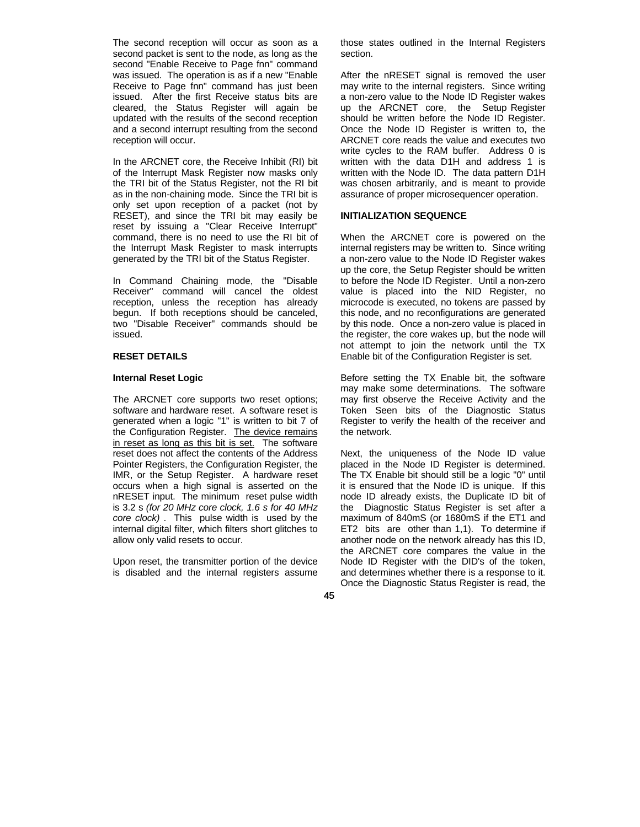The second reception will occur as soon as a second packet is sent to the node, as long as the second "Enable Receive to Page fnn" command was issued. The operation is as if a new "Enable Receive to Page fnn" command has just been issued. After the first Receive status bits are cleared, the Status Register will again be updated with the results of the second reception and a second interrupt resulting from the second reception will occur.

In the ARCNET core, the Receive Inhibit (RI) bit of the Interrupt Mask Register now masks only the TRI bit of the Status Register, not the RI bit as in the non-chaining mode. Since the TRI bit is only set upon reception of a packet (not by RESET), and since the TRI bit may easily be reset by issuing a "Clear Receive Interrupt" command, there is no need to use the RI bit of the Interrupt Mask Register to mask interrupts generated by the TRI bit of the Status Register.

In Command Chaining mode, the "Disable Receiver" command will cancel the oldest reception, unless the reception has already begun. If both receptions should be canceled, two "Disable Receiver" commands should be issued.

# **RESET DETAILS**

## **Internal Reset Logic**

The ARCNET core supports two reset options; software and hardware reset. A software reset is generated when a logic "1" is written to bit 7 of the Configuration Register. The device remains in reset as long as this bit is set. The software reset does not affect the contents of the Address Pointer Registers, the Configuration Register, the IMR, or the Setup Register. A hardware reset occurs when a high signal is asserted on the nRESET input. The minimum reset pulse width is 3.2 s *(for 20 MHz core clock, 1.6 s for 40 MHz core clock)* . This pulse width is used by the internal digital filter, which filters short glitches to allow only valid resets to occur.

Upon reset, the transmitter portion of the device is disabled and the internal registers assume those states outlined in the Internal Registers section.

After the nRESET signal is removed the user may write to the internal registers. Since writing a non-zero value to the Node ID Register wakes up the ARCNET core, the Setup Register should be written before the Node ID Register. Once the Node ID Register is written to, the ARCNET core reads the value and executes two write cycles to the RAM buffer. Address 0 is written with the data D1H and address 1 is written with the Node ID. The data pattern D1H was chosen arbitrarily, and is meant to provide assurance of proper microsequencer operation.

## **INITIALIZATION SEQUENCE**

When the ARCNET core is powered on the internal registers may be written to. Since writing a non-zero value to the Node ID Register wakes up the core, the Setup Register should be written to before the Node ID Register. Until a non-zero value is placed into the NID Register, no microcode is executed, no tokens are passed by this node, and no reconfigurations are generated by this node. Once a non-zero value is placed in the register, the core wakes up, but the node will not attempt to join the network until the TX Enable bit of the Configuration Register is set.

Before setting the TX Enable bit, the software may make some determinations. The software may first observe the Receive Activity and the Token Seen bits of the Diagnostic Status Register to verify the health of the receiver and the network.

Next, the uniqueness of the Node ID value placed in the Node ID Register is determined. The TX Enable bit should still be a logic "0" until it is ensured that the Node ID is unique. If this node ID already exists, the Duplicate ID bit of the Diagnostic Status Register is set after a maximum of 840mS (or 1680mS if the ET1 and ET2 bits are other than 1,1). To determine if another node on the network already has this ID, the ARCNET core compares the value in the Node ID Register with the DID's of the token, and determines whether there is a response to it. Once the Diagnostic Status Register is read, the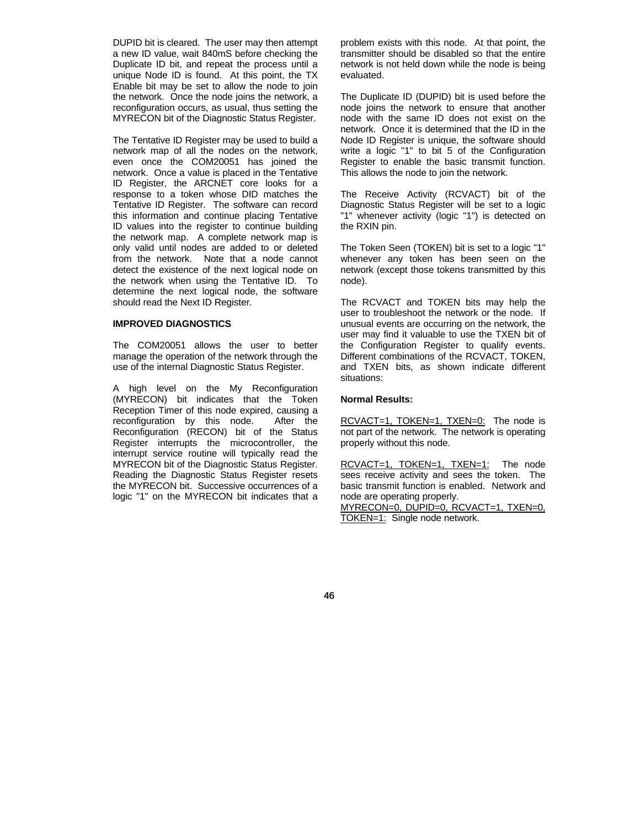DUPID bit is cleared. The user may then attempt a new ID value, wait 840mS before checking the Duplicate ID bit, and repeat the process until a unique Node ID is found. At this point, the TX Enable bit may be set to allow the node to join the network. Once the node joins the network, a reconfiguration occurs, as usual, thus setting the MYRECON bit of the Diagnostic Status Register.

The Tentative ID Register may be used to build a network map of all the nodes on the network, even once the COM20051 has joined the network. Once a value is placed in the Tentative ID Register, the ARCNET core looks for a response to a token whose DID matches the Tentative ID Register. The software can record this information and continue placing Tentative ID values into the register to continue building the network map. A complete network map is only valid until nodes are added to or deleted from the network. Note that a node cannot detect the existence of the next logical node on the network when using the Tentative ID. To determine the next logical node, the software should read the Next ID Register.

## **IMPROVED DIAGNOSTICS**

The COM20051 allows the user to better manage the operation of the network through the use of the internal Diagnostic Status Register.

A high level on the My Reconfiguration (MYRECON) bit indicates that the Token Reception Timer of this node expired, causing a reconfiguration by this node. After the Reconfiguration (RECON) bit of the Status Register interrupts the microcontroller, the interrupt service routine will typically read the MYRECON bit of the Diagnostic Status Register. Reading the Diagnostic Status Register resets the MYRECON bit. Successive occurrences of a logic "1" on the MYRECON bit indicates that a

problem exists with this node. At that point, the transmitter should be disabled so that the entire network is not held down while the node is being evaluated.

The Duplicate ID (DUPID) bit is used before the node joins the network to ensure that another node with the same ID does not exist on the network. Once it is determined that the ID in the Node ID Register is unique, the software should write a logic "1" to bit 5 of the Configuration Register to enable the basic transmit function. This allows the node to join the network.

The Receive Activity (RCVACT) bit of the Diagnostic Status Register will be set to a logic "1" whenever activity (logic "1") is detected on the RXIN pin.

The Token Seen (TOKEN) bit is set to a logic "1" whenever any token has been seen on the network (except those tokens transmitted by this node).

The RCVACT and TOKEN bits may help the user to troubleshoot the network or the node. If unusual events are occurring on the network, the user may find it valuable to use the TXEN bit of the Configuration Register to qualify events. Different combinations of the RCVACT, TOKEN, and TXEN bits, as shown indicate different situations:

#### **Normal Results:**

RCVACT=1, TOKEN=1, TXEN=0: The node is not part of the network. The network is operating properly without this node.

RCVACT=1, TOKEN=1, TXEN=1: The node sees receive activity and sees the token. The basic transmit function is enabled. Network and node are operating properly.

MYRECON=0, DUPID=0, RCVACT=1, TXEN=0, TOKEN=1: Single node network.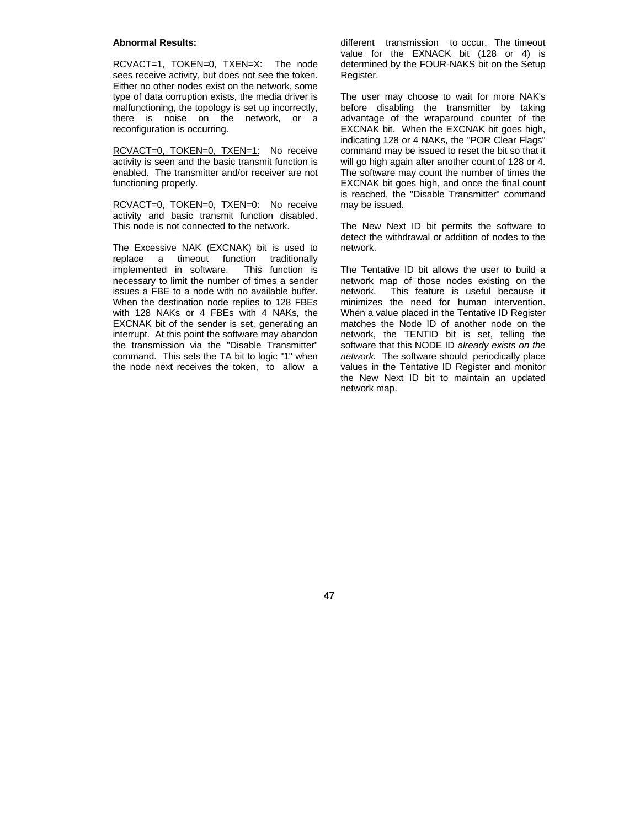#### **Abnormal Results:**

RCVACT=1, TOKEN=0, TXEN=X: The node sees receive activity, but does not see the token. Either no other nodes exist on the network, some type of data corruption exists, the media driver is malfunctioning, the topology is set up incorrectly, there is noise on the network, or a reconfiguration is occurring.

RCVACT=0, TOKEN=0, TXEN=1: No receive activity is seen and the basic transmit function is enabled. The transmitter and/or receiver are not functioning properly.

RCVACT=0, TOKEN=0, TXEN=0: No receive activity and basic transmit function disabled. This node is not connected to the network.

The Excessive NAK (EXCNAK) bit is used to replace a timeout function traditionally<br>implemented in software. This function is implemented in software. necessary to limit the number of times a sender issues a FBE to a node with no available buffer. When the destination node replies to 128 FBEs with 128 NAKs or 4 FBEs with 4 NAKs, the EXCNAK bit of the sender is set, generating an interrupt. At this point the software may abandon the transmission via the "Disable Transmitter" command. This sets the TA bit to logic "1" when the node next receives the token, to allow a different transmission to occur. The timeout value for the EXNACK bit (128 or 4) is determined by the FOUR-NAKS bit on the Setup Register.

The user may choose to wait for more NAK's before disabling the transmitter by taking advantage of the wraparound counter of the EXCNAK bit. When the EXCNAK bit goes high, indicating 128 or 4 NAKs, the "POR Clear Flags" command may be issued to reset the bit so that it will go high again after another count of 128 or 4. The software may count the number of times the EXCNAK bit goes high, and once the final count is reached, the "Disable Transmitter" command may be issued.

The New Next ID bit permits the software to detect the withdrawal or addition of nodes to the network.

The Tentative ID bit allows the user to build a network map of those nodes existing on the network. This feature is useful because it minimizes the need for human intervention. When a value placed in the Tentative ID Register matches the Node ID of another node on the network, the TENTID bit is set, telling the software that this NODE ID *already exists on the network.* The software should periodically place values in the Tentative ID Register and monitor the New Next ID bit to maintain an updated network map.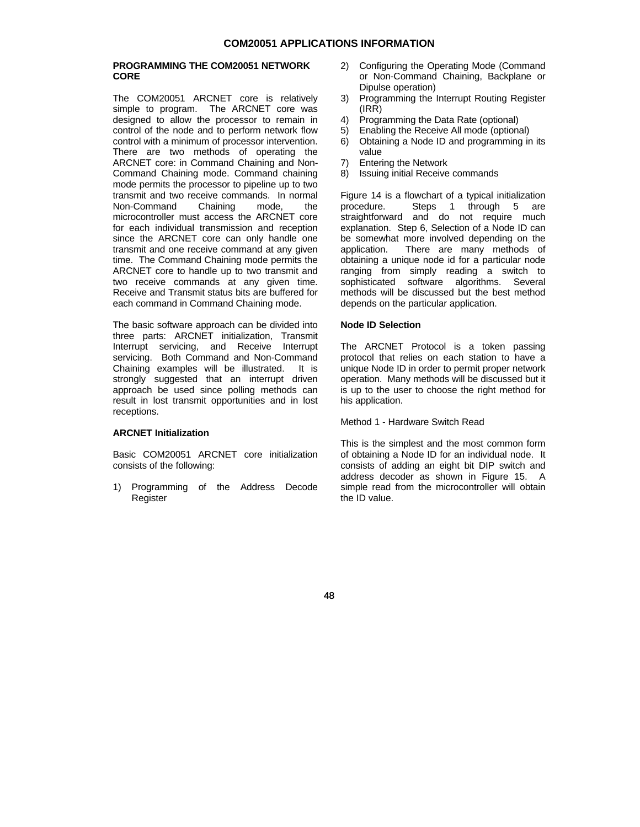## **PROGRAMMING THE COM20051 NETWORK CORE**

The COM20051 ARCNET core is relatively simple to program. The ARCNET core was designed to allow the processor to remain in control of the node and to perform network flow control with a minimum of processor intervention. There are two methods of operating the ARCNET core: in Command Chaining and Non-Command Chaining mode. Command chaining mode permits the processor to pipeline up to two transmit and two receive commands. In normal Non-Command Chaining mode, the microcontroller must access the ARCNET core for each individual transmission and reception since the ARCNET core can only handle one transmit and one receive command at any given time. The Command Chaining mode permits the ARCNET core to handle up to two transmit and two receive commands at any given time. Receive and Transmit status bits are buffered for each command in Command Chaining mode.

The basic software approach can be divided into three parts: ARCNET initialization, Transmit Interrupt servicing, and Receive Interrupt servicing. Both Command and Non-Command Chaining examples will be illustrated. It is strongly suggested that an interrupt driven approach be used since polling methods can result in lost transmit opportunities and in lost receptions.

#### **ARCNET Initialization**

Basic COM20051 ARCNET core initialization consists of the following:

1) Programming of the Address Decode Register

- 2) Configuring the Operating Mode (Command or Non-Command Chaining, Backplane or Dipulse operation)
- 3) Programming the Interrupt Routing Register (IRR)
- 4) Programming the Data Rate (optional)
- 5) Enabling the Receive All mode (optional)
- 6) Obtaining a Node ID and programming in its value
- 7) Entering the Network
- 8) Issuing initial Receive commands

Figure 14 is a flowchart of a typical initialization<br>procedure. Steps 1 through 5 are Steps 1 through 5 are straightforward and do not require much explanation. Step 6, Selection of a Node ID can be somewhat more involved depending on the application. There are many methods of obtaining a unique node id for a particular node ranging from simply reading a switch to sophisticated software algorithms. Several methods will be discussed but the best method depends on the particular application.

## **Node ID Selection**

The ARCNET Protocol is a token passing protocol that relies on each station to have a unique Node ID in order to permit proper network operation. Many methods will be discussed but it is up to the user to choose the right method for his application.

Method 1 - Hardware Switch Read

This is the simplest and the most common form of obtaining a Node ID for an individual node. It consists of adding an eight bit DIP switch and address decoder as shown in Figure 15. A simple read from the microcontroller will obtain the ID value.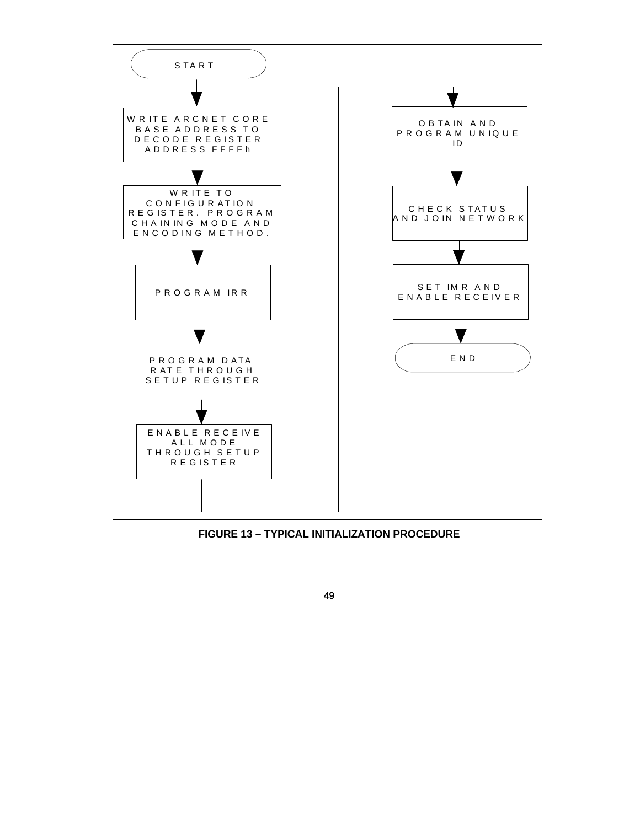

**FIGURE 13 – TYPICAL INITIALIZATION PROCEDURE**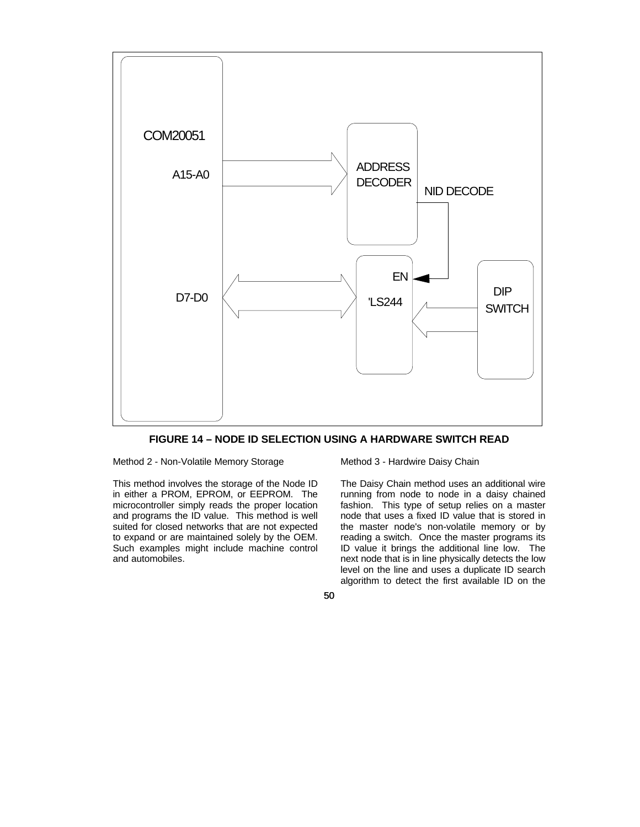



Method 2 - Non-Volatile Memory Storage

This method involves the storage of the Node ID in either a PROM, EPROM, or EEPROM. The microcontroller simply reads the proper location and programs the ID value. This method is well suited for closed networks that are not expected to expand or are maintained solely by the OEM. Such examples might include machine control and automobiles.

Method 3 - Hardwire Daisy Chain

The Daisy Chain method uses an additional wire running from node to node in a daisy chained fashion. This type of setup relies on a master node that uses a fixed ID value that is stored in the master node's non-volatile memory or by reading a switch. Once the master programs its ID value it brings the additional line low. The next node that is in line physically detects the low level on the line and uses a duplicate ID search algorithm to detect the first available ID on the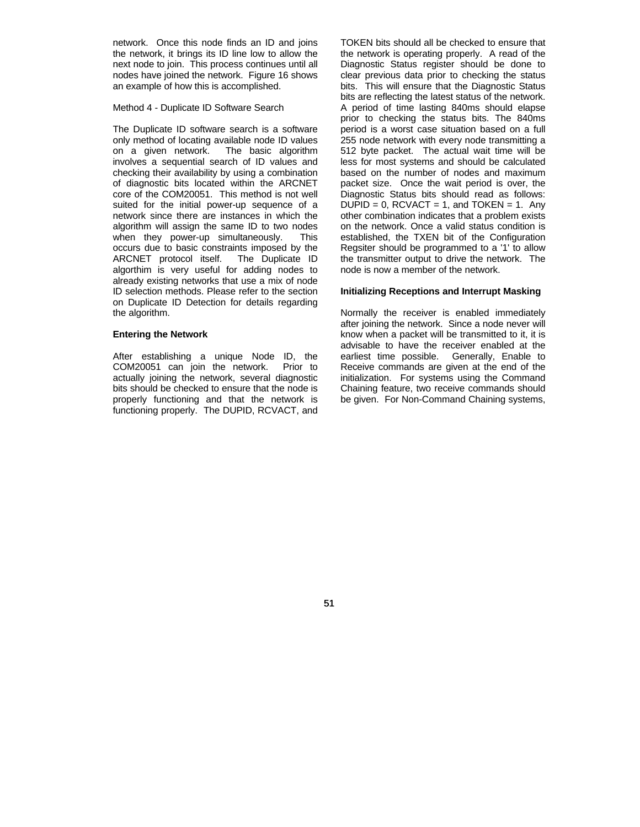network. Once this node finds an ID and joins the network, it brings its ID line low to allow the next node to join. This process continues until all nodes have joined the network. Figure 16 shows an example of how this is accomplished.

Method 4 - Duplicate ID Software Search

The Duplicate ID software search is a software only method of locating available node ID values on a given network. The basic algorithm involves a sequential search of ID values and checking their availability by using a combination of diagnostic bits located within the ARCNET core of the COM20051. This method is not well suited for the initial power-up sequence of a network since there are instances in which the algorithm will assign the same ID to two nodes when they power-up simultaneously. This occurs due to basic constraints imposed by the ARCNET protocol itself. The Duplicate ID algorthim is very useful for adding nodes to already existing networks that use a mix of node ID selection methods. Please refer to the section on Duplicate ID Detection for details regarding the algorithm.

#### **Entering the Network**

After establishing a unique Node ID, the COM20051 can join the network. Prior to actually joining the network, several diagnostic bits should be checked to ensure that the node is properly functioning and that the network is functioning properly. The DUPID, RCVACT, and

TOKEN bits should all be checked to ensure that the network is operating properly. A read of the Diagnostic Status register should be done to clear previous data prior to checking the status bits. This will ensure that the Diagnostic Status bits are reflecting the latest status of the network. A period of time lasting 840ms should elapse prior to checking the status bits. The 840ms period is a worst case situation based on a full 255 node network with every node transmitting a 512 byte packet. The actual wait time will be less for most systems and should be calculated based on the number of nodes and maximum packet size. Once the wait period is over, the Diagnostic Status bits should read as follows:  $DUPID = 0$ ,  $RCVACT = 1$ , and  $TOKEN = 1$ . Any other combination indicates that a problem exists on the network. Once a valid status condition is established, the TXEN bit of the Configuration Regsiter should be programmed to a '1' to allow the transmitter output to drive the network. The node is now a member of the network.

#### **Initializing Receptions and Interrupt Masking**

Normally the receiver is enabled immediately after joining the network. Since a node never will know when a packet will be transmitted to it, it is advisable to have the receiver enabled at the earliest time possible. Generally, Enable to Receive commands are given at the end of the initialization. For systems using the Command Chaining feature, two receive commands should be given. For Non-Command Chaining systems,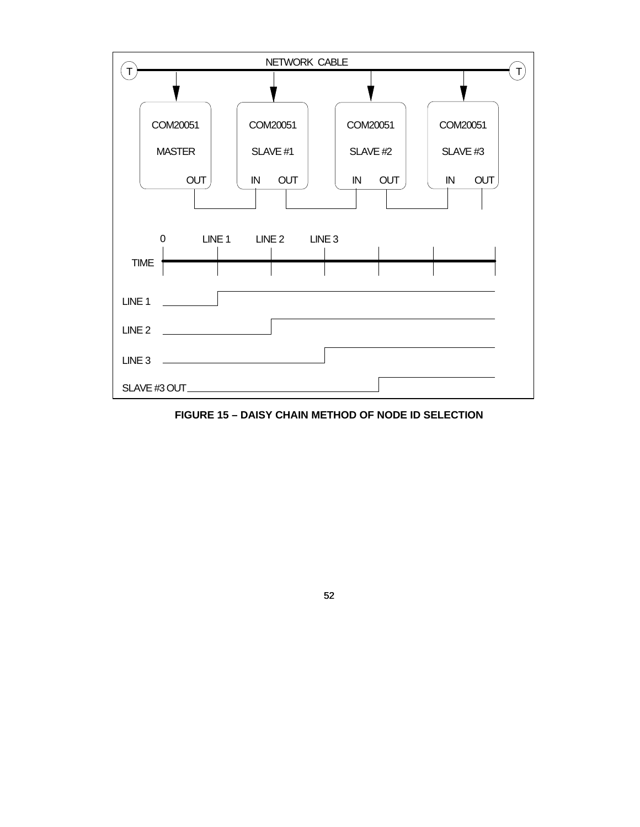

**FIGURE 15 – DAISY CHAIN METHOD OF NODE ID SELECTION**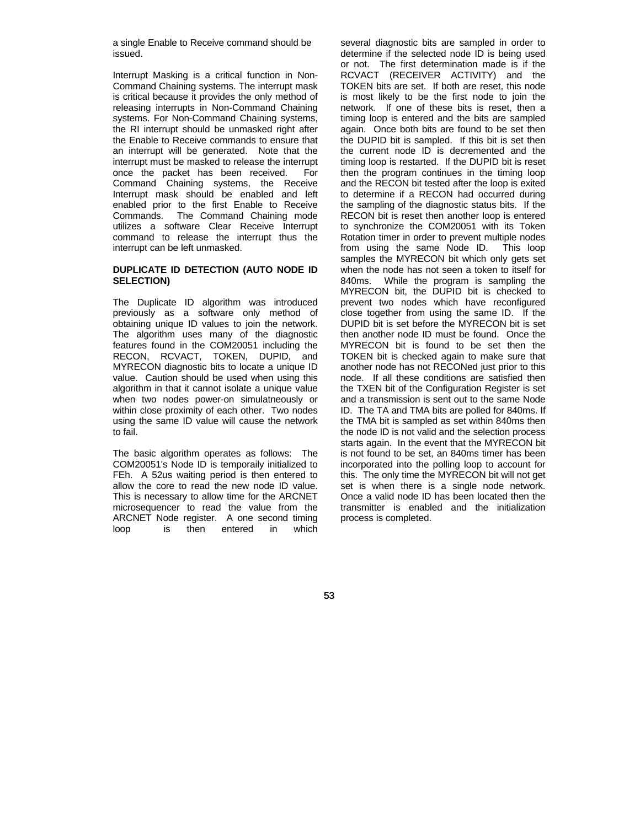a single Enable to Receive command should be issued.

Interrupt Masking is a critical function in Non-Command Chaining systems. The interrupt mask is critical because it provides the only method of releasing interrupts in Non-Command Chaining systems. For Non-Command Chaining systems, the RI interrupt should be unmasked right after the Enable to Receive commands to ensure that an interrupt will be generated. Note that the interrupt must be masked to release the interrupt once the packet has been received. For Command Chaining systems, the Receive Interrupt mask should be enabled and left enabled prior to the first Enable to Receive Commands. The Command Chaining mode utilizes a software Clear Receive Interrupt command to release the interrupt thus the interrupt can be left unmasked.

## **DUPLICATE ID DETECTION (AUTO NODE ID SELECTION)**

The Duplicate ID algorithm was introduced previously as a software only method of obtaining unique ID values to join the network. The algorithm uses many of the diagnostic features found in the COM20051 including the RECON, RCVACT, TOKEN, DUPID, and MYRECON diagnostic bits to locate a unique ID value. Caution should be used when using this algorithm in that it cannot isolate a unique value when two nodes power-on simulatneously or within close proximity of each other. Two nodes using the same ID value will cause the network to fail.

The basic algorithm operates as follows: The COM20051's Node ID is temporaily initialized to FEh. A 52us waiting period is then entered to allow the core to read the new node ID value. This is necessary to allow time for the ARCNET microsequencer to read the value from the ARCNET Node register. A one second timing loop is then entered in which

several diagnostic bits are sampled in order to determine if the selected node ID is being used or not. The first determination made is if the RCVACT (RECEIVER ACTIVITY) and the TOKEN bits are set. If both are reset, this node is most likely to be the first node to join the network. If one of these bits is reset, then a timing loop is entered and the bits are sampled again. Once both bits are found to be set then the DUPID bit is sampled. If this bit is set then the current node ID is decremented and the timing loop is restarted. If the DUPID bit is reset then the program continues in the timing loop and the RECON bit tested after the loop is exited to determine if a RECON had occurred during the sampling of the diagnostic status bits. If the RECON bit is reset then another loop is entered to synchronize the COM20051 with its Token Rotation timer in order to prevent multiple nodes from using the same Node ID. This loop samples the MYRECON bit which only gets set when the node has not seen a token to itself for 840ms. While the program is sampling the MYRECON bit, the DUPID bit is checked to prevent two nodes which have reconfigured close together from using the same ID. If the DUPID bit is set before the MYRECON bit is set then another node ID must be found. Once the MYRECON bit is found to be set then the TOKEN bit is checked again to make sure that another node has not RECONed just prior to this node. If all these conditions are satisfied then the TXEN bit of the Configuration Register is set and a transmission is sent out to the same Node ID. The TA and TMA bits are polled for 840ms. If the TMA bit is sampled as set within 840ms then the node ID is not valid and the selection process starts again. In the event that the MYRECON bit is not found to be set, an 840ms timer has been incorporated into the polling loop to account for this. The only time the MYRECON bit will not get set is when there is a single node network. Once a valid node ID has been located then the transmitter is enabled and the initialization process is completed.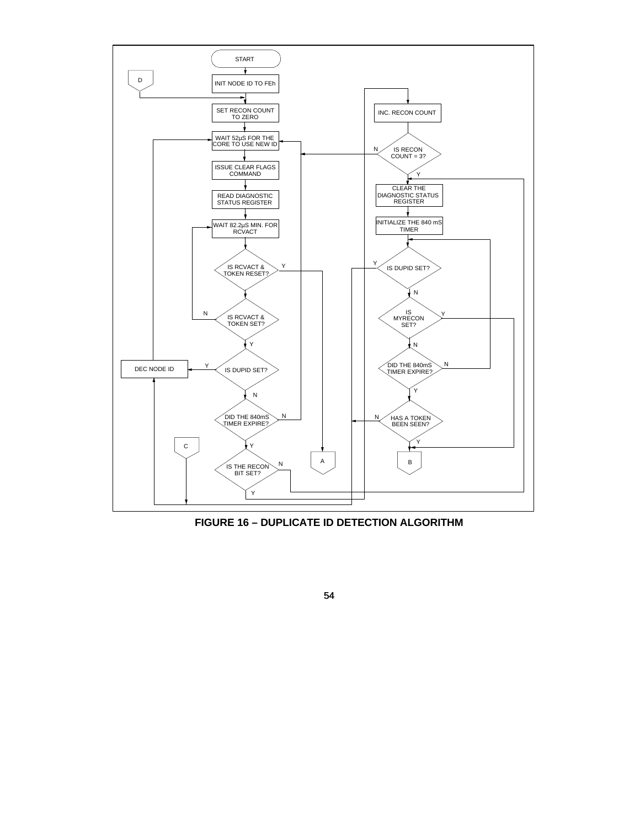

**FIGURE 16 – DUPLICATE ID DETECTION ALGORITHM**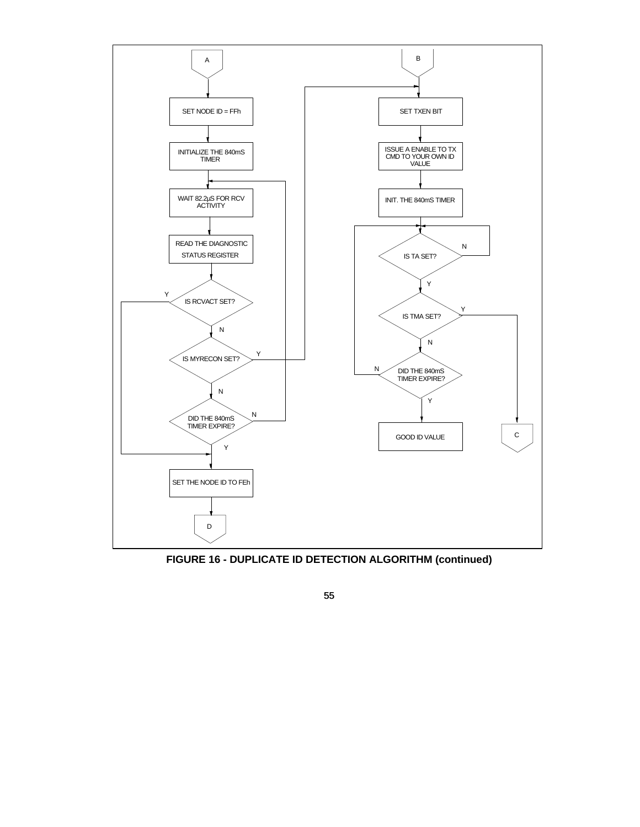

**FIGURE 16 - DUPLICATE ID DETECTION ALGORITHM (continued)**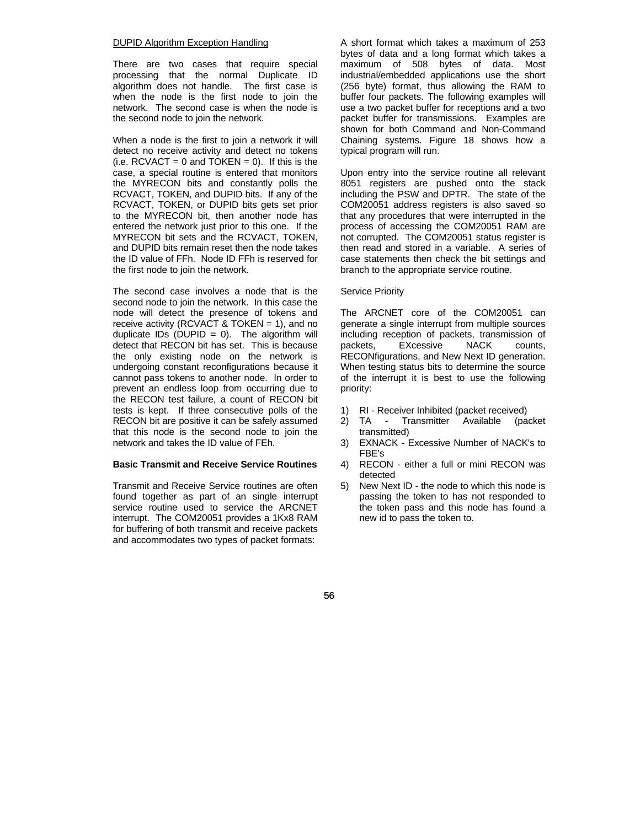#### DUPID Algorithm Exception Handling

There are two cases that require special processing that the normal Duplicate ID algorithm does not handle. The first case is when the node is the first node to join the network. The second case is when the node is the second node to join the network.

When a node is the first to join a network it will detect no receive activity and detect no tokens  $(i.e. RCVACT = 0$  and TOKEN = 0). If this is the case, a special routine is entered that monitors the MYRECON bits and constantly polls the RCVACT, TOKEN, and DUPID bits. If any of the RCVACT, TOKEN, or DUPID bits gets set prior to the MYRECON bit, then another node has entered the network just prior to this one. If the MYRECON bit sets and the RCVACT, TOKEN, and DUPID bits remain reset then the node takes the ID value of FFh. Node ID FFh is reserved for the first node to join the network.

The second case involves a node that is the second node to join the network. In this case the node will detect the presence of tokens and receive activity (RCVACT & TOKEN = 1), and no duplicate IDs (DUPID =  $0$ ). The algorithm will detect that RECON bit has set. This is because the only existing node on the network is undergoing constant reconfigurations because it cannot pass tokens to another node. In order to prevent an endless loop from occurring due to the RECON test failure, a count of RECON bit tests is kept. If three consecutive polls of the RECON bit are positive it can be safely assumed that this node is the second node to join the network and takes the ID value of FEh.

## **Basic Transmit and Receive Service Routines**

Transmit and Receive Service routines are often found together as part of an single interrupt service routine used to service the ARCNET interrupt. The COM20051 provides a 1Kx8 RAM for buffering of both transmit and receive packets and accommodates two types of packet formats:

A short format which takes a maximum of 253 bytes of data and a long format which takes a maximum of 508 bytes of data. Most industrial/embedded applications use the short (256 byte) format, thus allowing the RAM to buffer four packets. The following examples will use a two packet buffer for receptions and a two packet buffer for transmissions. Examples are shown for both Command and Non-Command Chaining systems. Figure 18 shows how a typical program will run.

Upon entry into the service routine all relevant 8051 registers are pushed onto the stack including the PSW and DPTR. The state of the COM20051 address registers is also saved so that any procedures that were interrupted in the process of accessing the COM20051 RAM are not corrupted. The COM20051 status register is then read and stored in a variable. A series of case statements then check the bit settings and branch to the appropriate service routine.

#### Service Priority

The ARCNET core of the COM20051 can generate a single interrupt from multiple sources including reception of packets, transmission of packets, EXcessive NACK counts, RECONfigurations, and New Next ID generation. When testing status bits to determine the source of the interrupt it is best to use the following priority:

- 1) RI Receiver Inhibited (packet received)
- 2) TA Transmitter Available (packet transmitted)
- 3) EXNACK Excessive Number of NACK's to FBE's
- 4) RECON either a full or mini RECON was detected
- 5) New Next ID the node to which this node is passing the token to has not responded to the token pass and this node has found a new id to pass the token to.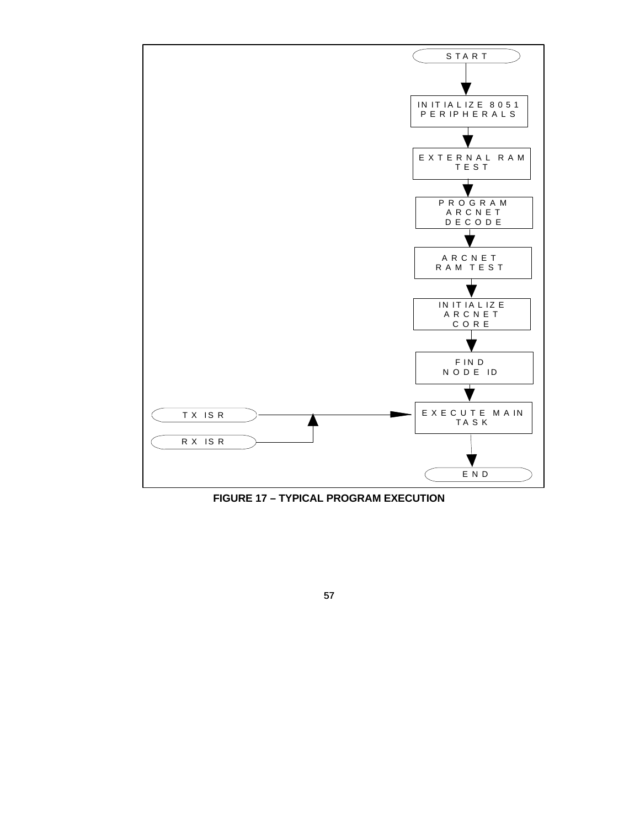

**FIGURE 17 – TYPICAL PROGRAM EXECUTION**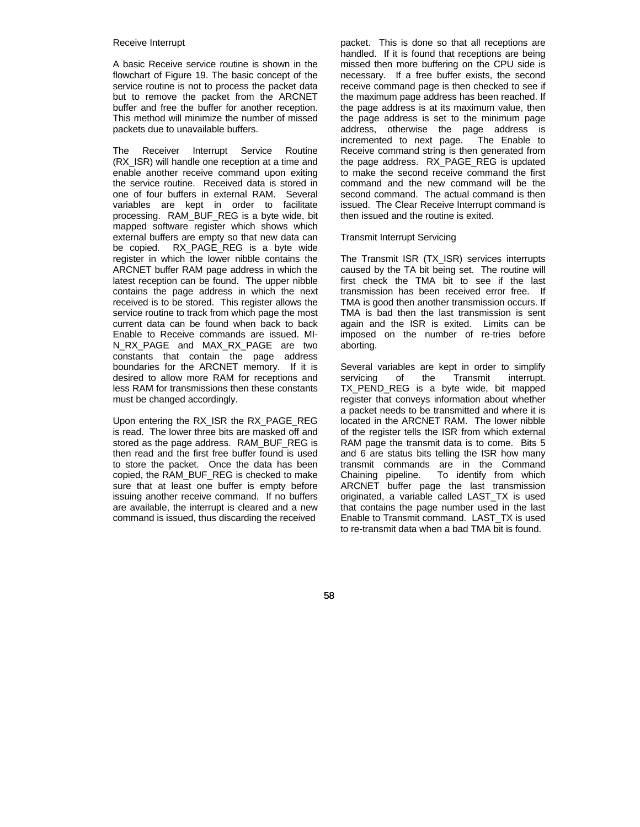#### Receive Interrupt

A basic Receive service routine is shown in the flowchart of Figure 19. The basic concept of the service routine is not to process the packet data but to remove the packet from the ARCNET buffer and free the buffer for another reception. This method will minimize the number of missed packets due to unavailable buffers.

The Receiver Interrupt Service Routine (RX\_ISR) will handle one reception at a time and enable another receive command upon exiting the service routine. Received data is stored in one of four buffers in external RAM. Several variables are kept in order to facilitate processing. RAM\_BUF\_REG is a byte wide, bit mapped software register which shows which external buffers are empty so that new data can be copied. RX\_PAGE\_REG is a byte wide register in which the lower nibble contains the ARCNET buffer RAM page address in which the latest reception can be found. The upper nibble contains the page address in which the next received is to be stored. This register allows the service routine to track from which page the most current data can be found when back to back Enable to Receive commands are issued. MI-N\_RX\_PAGE and MAX\_RX\_PAGE are two constants that contain the page address boundaries for the ARCNET memory. If it is desired to allow more RAM for receptions and less RAM for transmissions then these constants must be changed accordingly.

Upon entering the RX\_ISR the RX\_PAGE\_REG is read. The lower three bits are masked off and stored as the page address. RAM\_BUF\_REG is then read and the first free buffer found is used to store the packet. Once the data has been copied, the RAM\_BUF\_REG is checked to make sure that at least one buffer is empty before issuing another receive command. If no buffers are available, the interrupt is cleared and a new command is issued, thus discarding the received

packet. This is done so that all receptions are handled. If it is found that receptions are being missed then more buffering on the CPU side is necessary. If a free buffer exists, the second receive command page is then checked to see if the maximum page address has been reached. If the page address is at its maximum value, then the page address is set to the minimum page address, otherwise the page address is incremented to next page. The Enable to Receive command string is then generated from the page address. RX\_PAGE\_REG is updated to make the second receive command the first command and the new command will be the second command. The actual command is then issued. The Clear Receive Interrupt command is then issued and the routine is exited.

## Transmit Interrupt Servicing

The Transmit ISR (TX\_ISR) services interrupts caused by the TA bit being set. The routine will first check the TMA bit to see if the last transmission has been received error free. If TMA is good then another transmission occurs. If TMA is bad then the last transmission is sent again and the ISR is exited. Limits can be imposed on the number of re-tries before aborting.

Several variables are kept in order to simplify<br>servicing of the Transmit interrupt. servicing of the Transmit interrupt. TX PEND REG is a byte wide, bit mapped register that conveys information about whether a packet needs to be transmitted and where it is located in the ARCNET RAM. The lower nibble of the register tells the ISR from which external RAM page the transmit data is to come. Bits 5 and 6 are status bits telling the ISR how many transmit commands are in the Command Chaining pipeline. To identify from which ARCNET buffer page the last transmission originated, a variable called LAST\_TX is used that contains the page number used in the last Enable to Transmit command. LAST\_TX is used to re-transmit data when a bad TMA bit is found.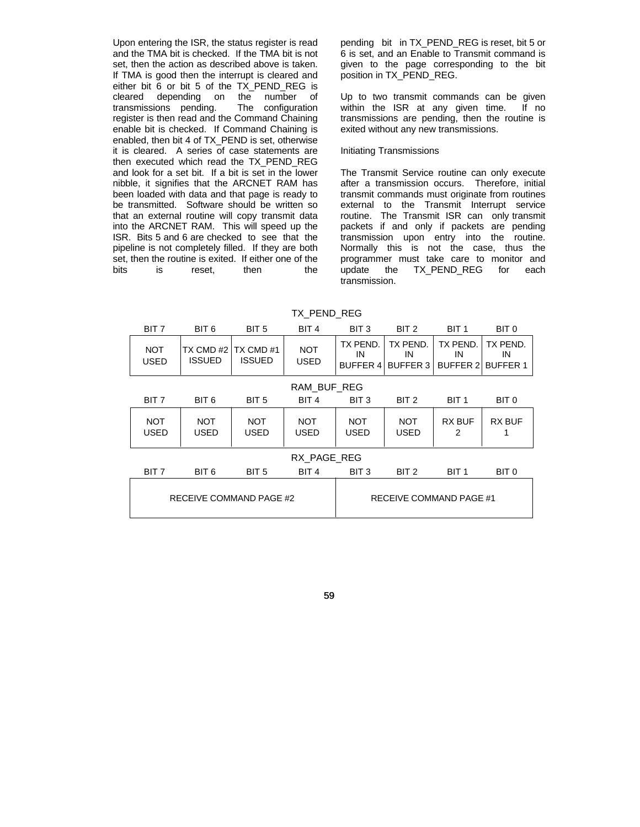Upon entering the ISR, the status register is read and the TMA bit is checked. If the TMA bit is not set, then the action as described above is taken. If TMA is good then the interrupt is cleared and either bit 6 or bit 5 of the TX\_PEND\_REG is cleared depending on the number of transmissions pending. The configuration register is then read and the Command Chaining enable bit is checked. If Command Chaining is enabled, then bit 4 of TX\_PEND is set, otherwise it is cleared. A series of case statements are then executed which read the TX\_PEND\_REG and look for a set bit. If a bit is set in the lower nibble, it signifies that the ARCNET RAM has been loaded with data and that page is ready to be transmitted. Software should be written so that an external routine will copy transmit data into the ARCNET RAM. This will speed up the ISR. Bits 5 and 6 are checked to see that the pipeline is not completely filled. If they are both set, then the routine is exited. If either one of the bits is reset. then the pending bit in TX\_PEND\_REG is reset, bit 5 or 6 is set, and an Enable to Transmit command is given to the page corresponding to the bit position in TX\_PEND\_REG.

Up to two transmit commands can be given within the ISR at any given time. If no transmissions are pending, then the routine is exited without any new transmissions.

### Initiating Transmissions

The Transmit Service routine can only execute after a transmission occurs. Therefore, initial transmit commands must originate from routines external to the Transmit Interrupt service routine. The Transmit ISR can only transmit packets if and only if packets are pending transmission upon entry into the routine. Normally this is not the case, thus the programmer must take care to monitor and update the TX\_PEND\_REG for each transmission.

| BIT 7                     | BIT 6                     | BIT <sub>5</sub>           | BIT 4                     | BIT <sub>3</sub><br>BIT <sub>2</sub> |                                   | BIT <sub>1</sub>                  | BIT 0                             |
|---------------------------|---------------------------|----------------------------|---------------------------|--------------------------------------|-----------------------------------|-----------------------------------|-----------------------------------|
| <b>NOT</b><br><b>USED</b> | TX CMD#2<br><b>ISSUED</b> | TX CMD #1<br><b>ISSUED</b> | <b>NOT</b><br><b>USED</b> | TX PEND.<br>IN<br><b>BUFFER 4</b>    | TX PEND.<br>IN<br><b>BUFFER 3</b> | TX PEND.<br>IN<br><b>BUFFER 2</b> | TX PEND.<br>IN<br><b>BUFFER 1</b> |
| RAM BUF REG               |                           |                            |                           |                                      |                                   |                                   |                                   |
| BIT 7                     | BIT 6                     | BIT <sub>5</sub>           | BIT 4                     | BIT <sub>3</sub>                     | BIT 2                             | BIT <sub>1</sub>                  | BIT 0                             |
| <b>NOT</b><br><b>USED</b> | <b>NOT</b><br>USED        | <b>NOT</b><br><b>USED</b>  | <b>NOT</b><br><b>USED</b> | <b>NOT</b><br><b>USED</b>            | <b>NOT</b><br><b>USED</b>         |                                   | RX BUF<br>1                       |
| RX PAGE REG               |                           |                            |                           |                                      |                                   |                                   |                                   |
| BIT 7                     | BIT 6                     | BIT <sub>5</sub>           | BIT <sub>4</sub>          | BIT <sub>3</sub>                     | BIT <sub>2</sub>                  | BIT <sub>1</sub>                  | BIT 0                             |
| RECEIVE COMMAND PAGE #2   |                           |                            | RECEIVE COMMAND PAGE #1   |                                      |                                   |                                   |                                   |

TX\_PEND\_REG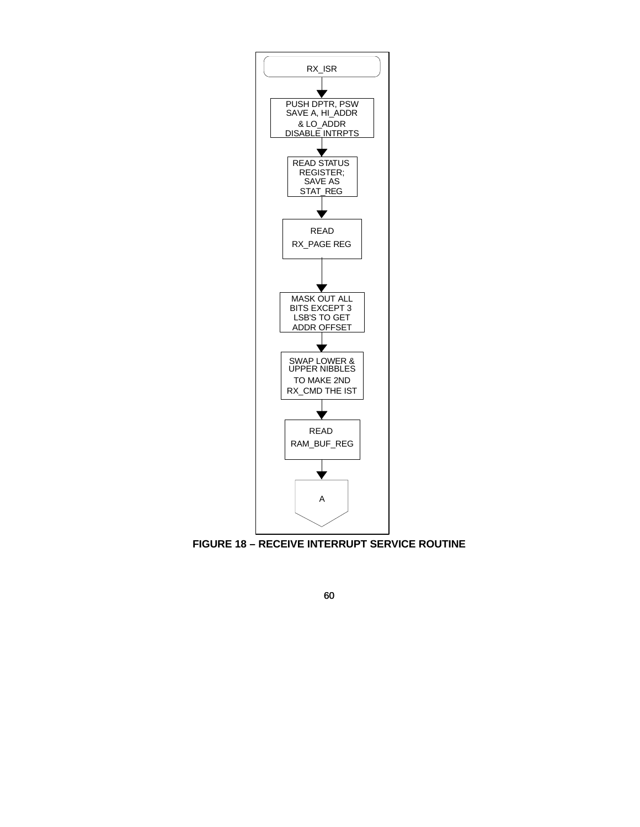

**FIGURE 18 – RECEIVE INTERRUPT SERVICE ROUTINE**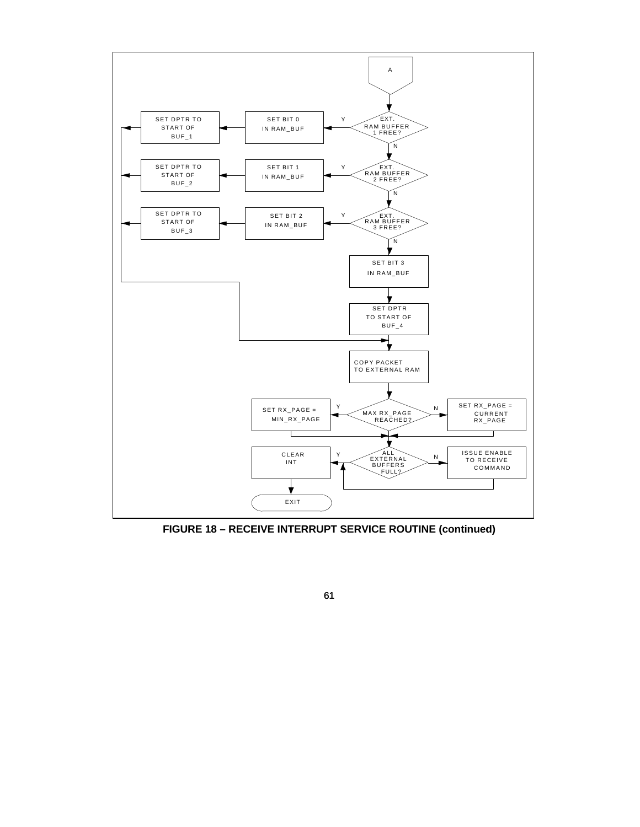

**FIGURE 18 – RECEIVE INTERRUPT SERVICE ROUTINE (continued)**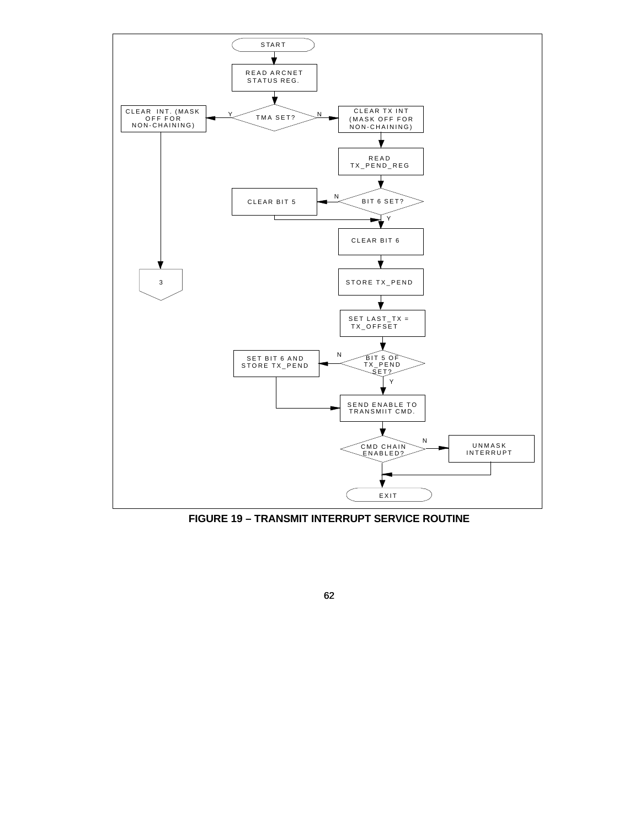

**FIGURE 19 – TRANSMIT INTERRUPT SERVICE ROUTINE**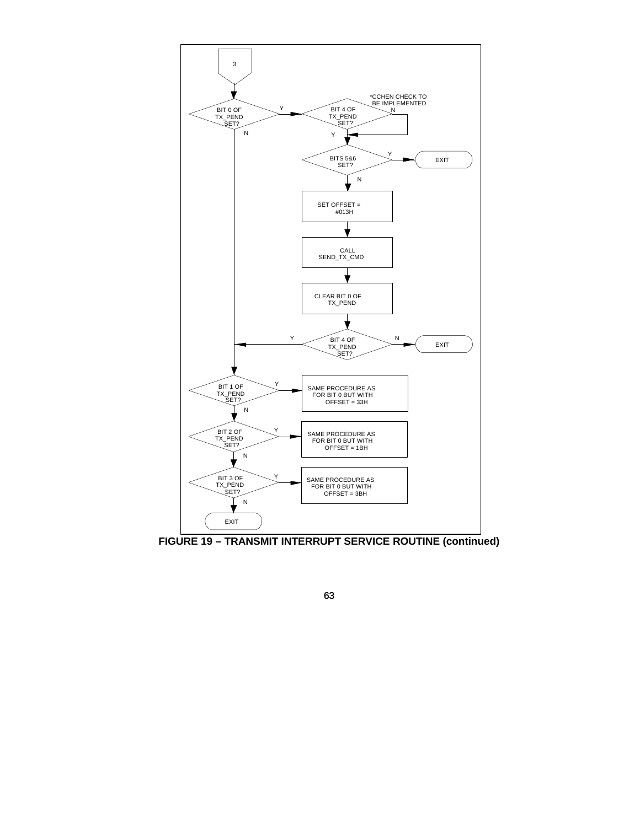

**FIGURE 19 – TRANSMIT INTERRUPT SERVICE ROUTINE (continued)**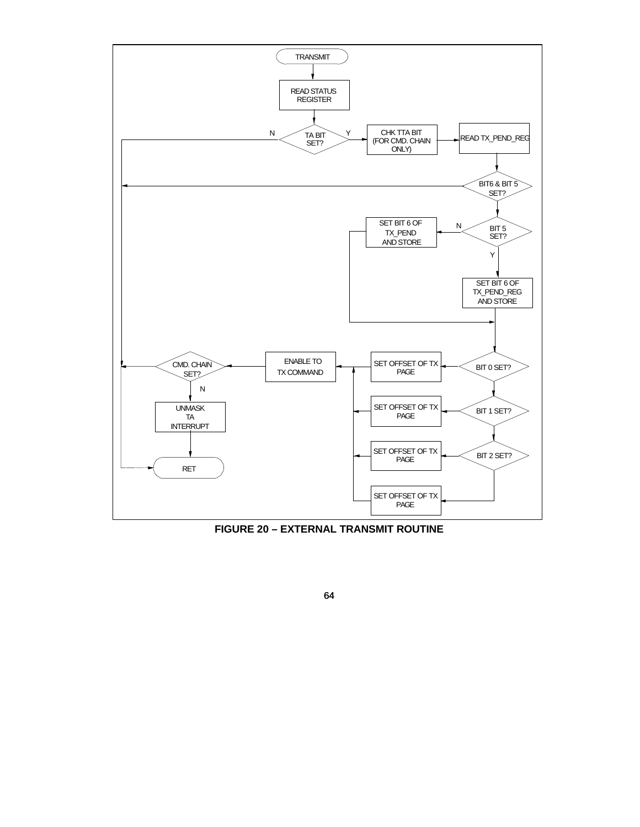

**FIGURE 20 – EXTERNAL TRANSMIT ROUTINE**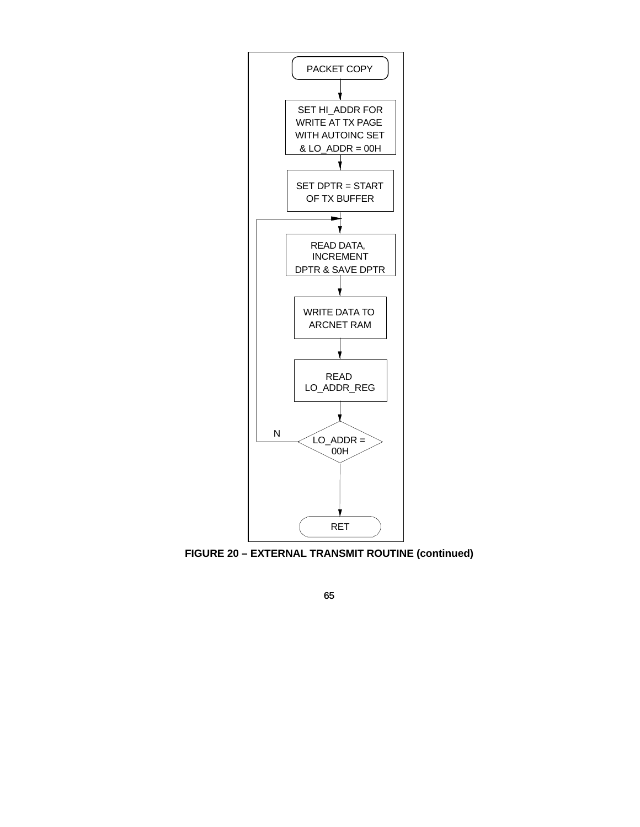

**FIGURE 20 – EXTERNAL TRANSMIT ROUTINE (continued)**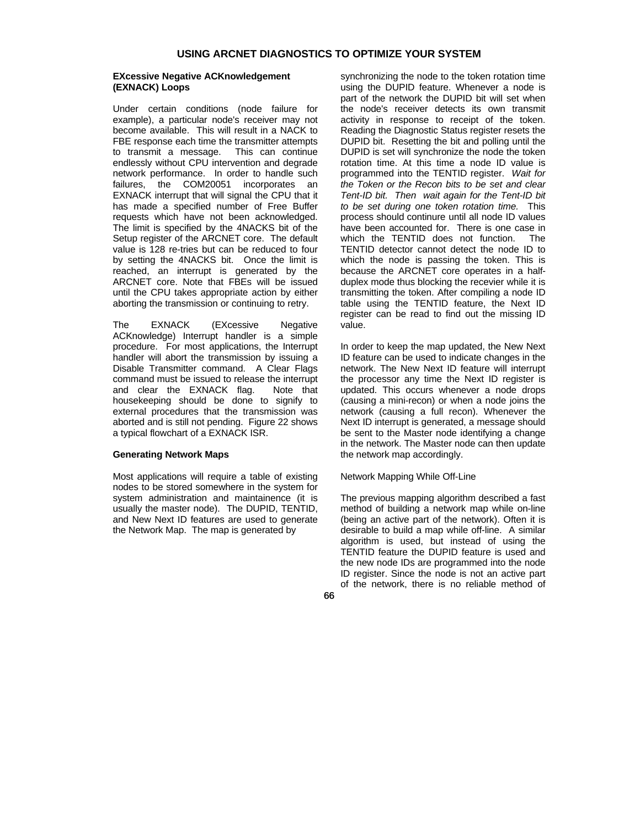# **USING ARCNET DIAGNOSTICS TO OPTIMIZE YOUR SYSTEM**

## **EXcessive Negative ACKnowledgement (EXNACK) Loops**

Under certain conditions (node failure for example), a particular node's receiver may not become available. This will result in a NACK to FBE response each time the transmitter attempts to transmit a message. This can continue endlessly without CPU intervention and degrade network performance. In order to handle such failures, the COM20051 incorporates an EXNACK interrupt that will signal the CPU that it has made a specified number of Free Buffer requests which have not been acknowledged. The limit is specified by the 4NACKS bit of the Setup register of the ARCNET core. The default value is 128 re-tries but can be reduced to four by setting the 4NACKS bit. Once the limit is reached, an interrupt is generated by the ARCNET core. Note that FBEs will be issued until the CPU takes appropriate action by either aborting the transmission or continuing to retry.

The EXNACK (EXcessive Negative ACKnowledge) Interrupt handler is a simple procedure. For most applications, the Interrupt handler will abort the transmission by issuing a Disable Transmitter command. A Clear Flags command must be issued to release the interrupt and clear the EXNACK flag. Note that housekeeping should be done to signify to external procedures that the transmission was aborted and is still not pending. Figure 22 shows a typical flowchart of a EXNACK ISR.

## **Generating Network Maps**

Most applications will require a table of existing nodes to be stored somewhere in the system for system administration and maintainence (it is usually the master node). The DUPID, TENTID, and New Next ID features are used to generate the Network Map. The map is generated by

synchronizing the node to the token rotation time using the DUPID feature. Whenever a node is part of the network the DUPID bit will set when the node's receiver detects its own transmit activity in response to receipt of the token. Reading the Diagnostic Status register resets the DUPID bit. Resetting the bit and polling until the DUPID is set will synchronize the node the token rotation time. At this time a node ID value is programmed into the TENTID register. *Wait for the Token or the Recon bits to be set and clear Tent-ID bit. Then wait again for the Tent-ID bit to be set during one token rotation time.* This process should continure until all node ID values have been accounted for. There is one case in which the TENTID does not function. The TENTID detector cannot detect the node ID to which the node is passing the token. This is because the ARCNET core operates in a halfduplex mode thus blocking the recevier while it is transmitting the token. After compiling a node ID table using the TENTID feature, the Next ID register can be read to find out the missing ID value.

In order to keep the map updated, the New Next ID feature can be used to indicate changes in the network. The New Next ID feature will interrupt the processor any time the Next ID register is updated. This occurs whenever a node drops (causing a mini-recon) or when a node joins the network (causing a full recon). Whenever the Next ID interrupt is generated, a message should be sent to the Master node identifying a change in the network. The Master node can then update the network map accordingly.

#### Network Mapping While Off-Line

The previous mapping algorithm described a fast method of building a network map while on-line (being an active part of the network). Often it is desirable to build a map while off-line. A similar algorithm is used, but instead of using the TENTID feature the DUPID feature is used and the new node IDs are programmed into the node ID register. Since the node is not an active part of the network, there is no reliable method of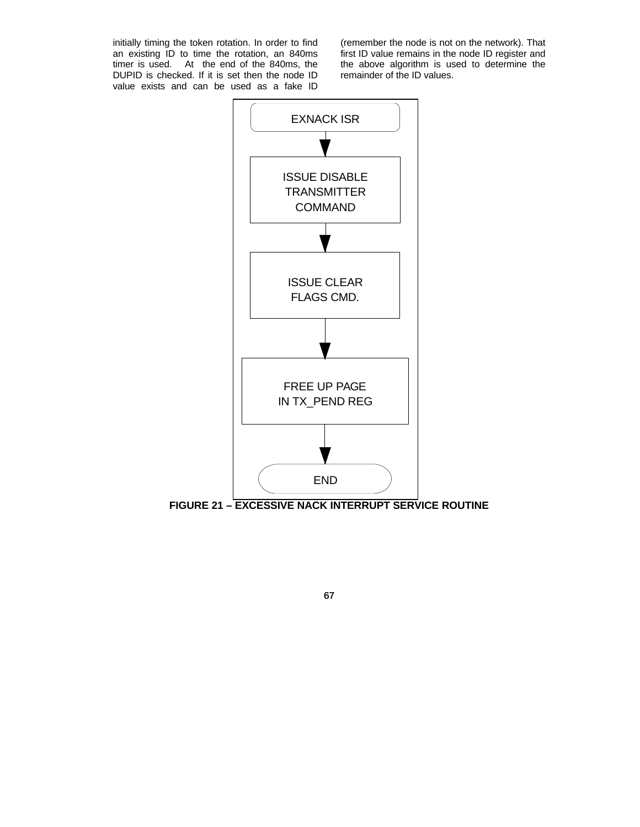initially timing the token rotation. In order to find an existing ID to time the rotation, an 840ms timer is used. At the end of the 840ms, the DUPID is checked. If it is set then the node ID value exists and can be used as a fake ID

(remember the node is not on the network). That first ID value remains in the node ID register and the above algorithm is used to determine the remainder of the ID values.



**FIGURE 21 – EXCESSIVE NACK INTERRUPT SERVICE ROUTINE**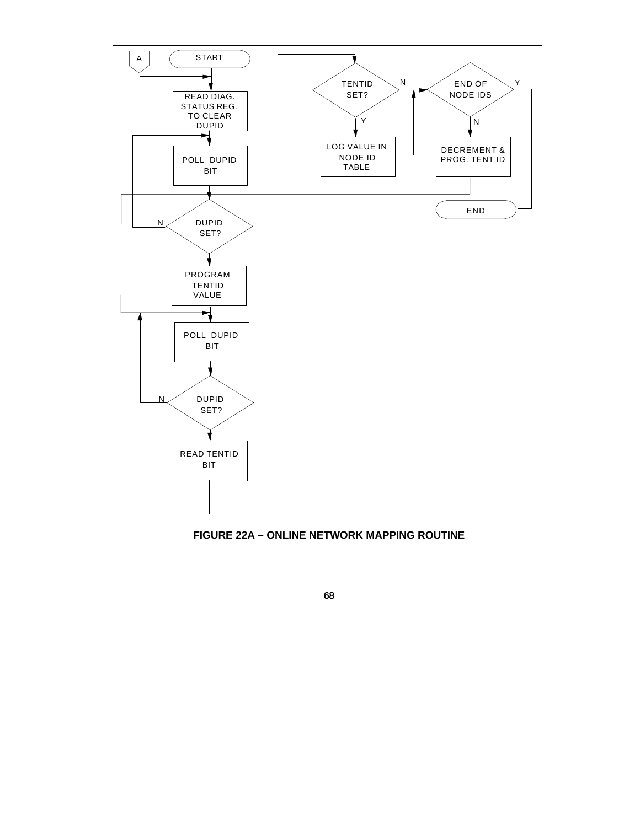

**FIGURE 22A – ONLINE NETWORK MAPPING ROUTINE**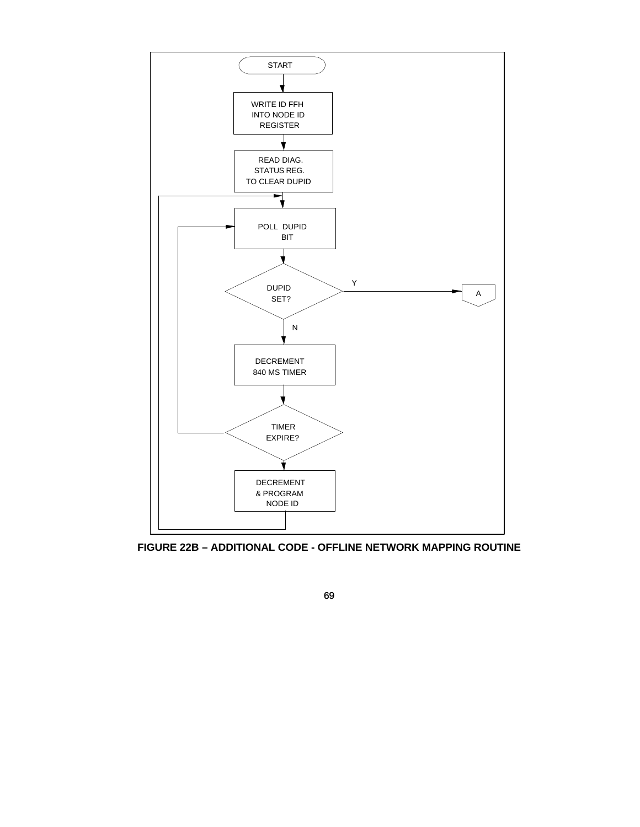

**FIGURE 22B – ADDITIONAL CODE - OFFLINE NETWORK MAPPING ROUTINE**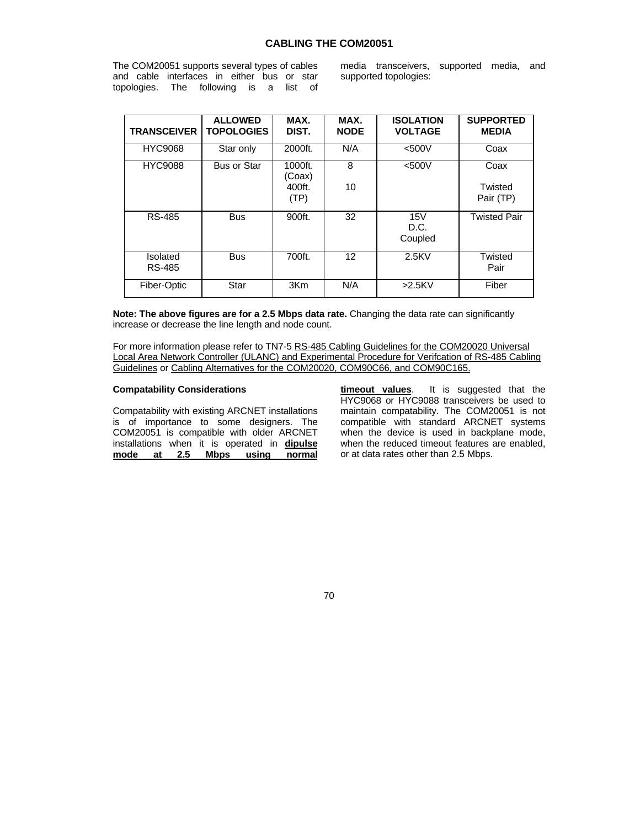## **CABLING THE COM20051**

The COM20051 supports several types of cables and cable interfaces in either bus or star topologies. The following is a list of

media transceivers, supported media, and supported topologies:

| <b>TRANSCEIVER</b> | <b>ALLOWED</b><br><b>TOPOLOGIES</b> | MAX.<br>DIST.     | MAX.<br><b>NODE</b> | <b>ISOLATION</b><br><b>VOLTAGE</b> | <b>SUPPORTED</b><br><b>MEDIA</b> |
|--------------------|-------------------------------------|-------------------|---------------------|------------------------------------|----------------------------------|
| <b>HYC9068</b>     | Star only                           | 2000ft.           | N/A                 | $<$ 500 $V$                        | Coax                             |
| <b>HYC9088</b>     | <b>Bus or Star</b>                  | 1000ft.<br>(Coax) | 8                   | $<$ 500 $V$                        | Coax                             |
|                    |                                     | 400ft.<br>(TP)    | 10                  |                                    | Twisted<br>Pair (TP)             |
| RS-485             | <b>Bus</b>                          | 900ft.            | 32                  | 15V<br>D.C.<br>Coupled             | <b>Twisted Pair</b>              |
| Isolated<br>RS-485 | <b>Bus</b>                          | 700ft.            | 12                  | $2.5$ KV                           | Twisted<br>Pair                  |
| Fiber-Optic        | Star                                | 3Km               | N/A                 | $>2.5$ KV                          | Fiber                            |

**Note: The above figures are for a 2.5 Mbps data rate.** Changing the data rate can significantly increase or decrease the line length and node count.

For more information please refer to TN7-5 RS-485 Cabling Guidelines for the COM20020 Universal Local Area Network Controller (ULANC) and Experimental Procedure for Verifcation of RS-485 Cabling Guidelines or Cabling Alternatives for the COM20020, COM90C66, and COM90C165.

## **Compatability Considerations**

Compatability with existing ARCNET installations is of importance to some designers. The COM20051 is compatible with older ARCNET installations when it is operated in **dipulse mode at 2.5 Mbps using normal**

**timeout values**. It is suggested that the HYC9068 or HYC9088 transceivers be used to maintain compatability. The COM20051 is not compatible with standard ARCNET systems when the device is used in backplane mode. when the reduced timeout features are enabled, or at data rates other than 2.5 Mbps.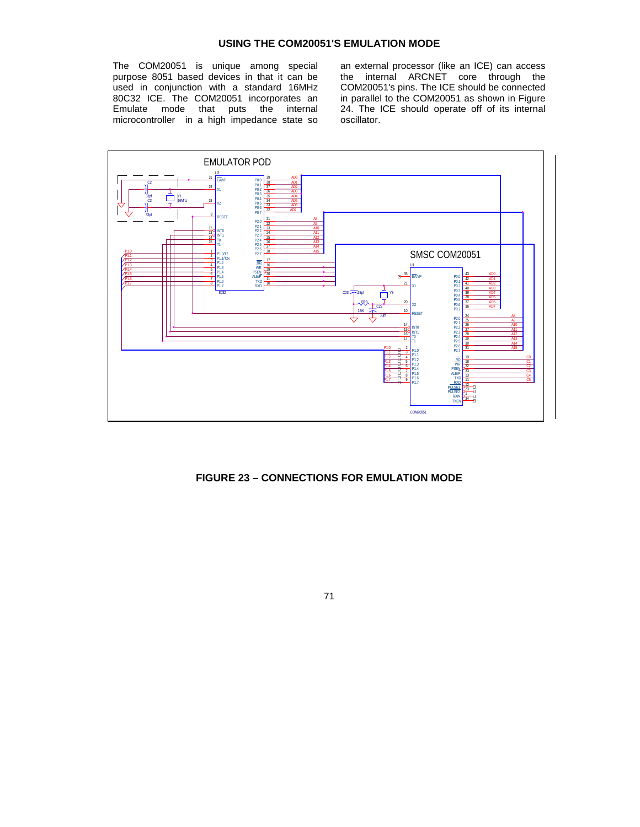# **USING THE COM20051'S EMULATION MODE**

The COM20051 is unique among special purpose 8051 based devices in that it can be used in conjunction with a standard 16MHz 80C32 ICE. The COM20051 incorporates an Emulate mode that puts the internal microcontroller in a high impedance state so an external processor (like an ICE) can access the internal ARCNET core through the COM20051's pins. The ICE should be connected in parallel to the COM20051 as shown in Figure 24. The ICE should operate off of its internal oscillator.



# **FIGURE 23 – CONNECTIONS FOR EMULATION MODE**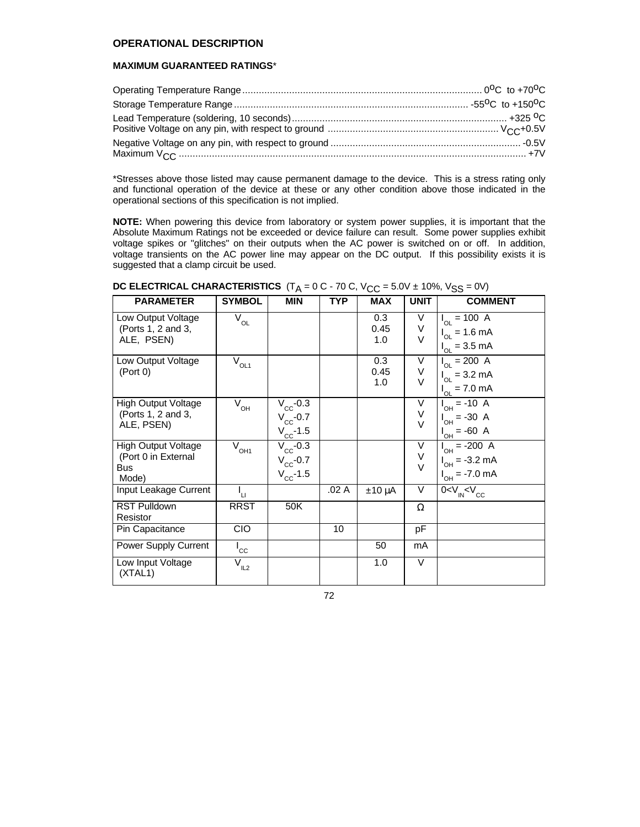# **OPERATIONAL DESCRIPTION**

# **MAXIMUM GUARANTEED RATINGS**\*

\*Stresses above those listed may cause permanent damage to the device. This is a stress rating only and functional operation of the device at these or any other condition above those indicated in the operational sections of this specification is not implied.

**NOTE:** When powering this device from laboratory or system power supplies, it is important that the Absolute Maximum Ratings not be exceeded or device failure can result. Some power supplies exhibit voltage spikes or "glitches" on their outputs when the AC power is switched on or off. In addition, voltage transients on the AC power line may appear on the DC output. If this possibility exists it is suggested that a clamp circuit be used.

| <b>PARAMETER</b>                         | <b>SYMBOL</b>                         | <b>MIN</b>        | TYP   | MAX         | <b>UNIT</b> | <b>COMMENT</b>                        |
|------------------------------------------|---------------------------------------|-------------------|-------|-------------|-------------|---------------------------------------|
| Low Output Voltage<br>(Ports 1, 2 and 3, | $\overline{\mathrm{V}}_{\mathrm{OL}}$ |                   |       | 0.3<br>0.45 | V<br>V      | $I_{OL} = 100 \text{ A}$              |
| ALE, PSEN)                               |                                       |                   |       | 1.0         | $\vee$      | $I_{OL} = 1.6 \text{ mA}$             |
|                                          |                                       |                   |       |             |             | $I_{OL} = 3.5 \text{ mA}$             |
| Low Output Voltage                       | $\bar{V}_{OL1}$                       |                   |       | 0.3         | V           | $I_{OL} = 200 \text{ A}$              |
| (Port 0)                                 |                                       |                   |       | 0.45        | V           | $I_{OL} = 3.2 \text{ mA}$             |
|                                          |                                       |                   |       | 1.0         | $\vee$      | $I_{OL} = 7.0 \text{ mA}$             |
| High Output Voltage                      | $\overline{V}_{\text{OH}}$            | $V_{\rm CC}$ -0.3 |       |             | V           | $I_{OH} = -10 \text{ A}$              |
| (Ports 1, 2 and 3,                       |                                       | $V_{\rm cc}$ -0.7 |       |             | V           | $I_{OH} = -30$ A                      |
| ALE, PSEN)                               |                                       | $V_{\rm cc}$ -1.5 |       |             | $\vee$      | $I_{OH} = -60$ A                      |
| <b>High Output Voltage</b>               | $\bar{V}^{\,}_{OH1}$                  | $V_{\rm cc}$ -0.3 |       |             | V           | $I_{OH} = -200 \text{ A}$             |
| (Port 0 in External                      |                                       | $V_{\rm cc}$ -0.7 |       |             | V           | $I_{OH} = -3.2 \text{ mA}$            |
| <b>Bus</b><br>Mode)                      |                                       | $V_{\rm cc}$ -1.5 |       |             | $\vee$      | $I_{OH} = -7.0 \text{ mA}$            |
| Input Leakage Current                    | ι,                                    |                   | .02 A | $±10 \mu A$ | V           | 0 < V <sub>IN</sub> < V <sub>CC</sub> |
| <b>RST Pulldown</b>                      | <b>RRST</b>                           | 50K               |       |             | Ω           |                                       |
| Resistor                                 |                                       |                   |       |             |             |                                       |
| Pin Capacitance                          | <b>CIO</b>                            |                   | 10    |             | pF          |                                       |
| Power Supply Current                     | $I_{\rm CC}$                          |                   |       | 50          | mA          |                                       |
| Low Input Voltage<br>(XTAL1)             | $\overline{V}_{IL2}$                  |                   |       | 1.0         | $\vee$      |                                       |

# $\overline{\text{DC}}$  **ELECTRICAL CHARACTERISTICS**  $(T_A = 0 \text{ C}$  - 70 C, V<sub>CC</sub> = 5.0V ± 10%, V<sub>SS</sub> = 0V)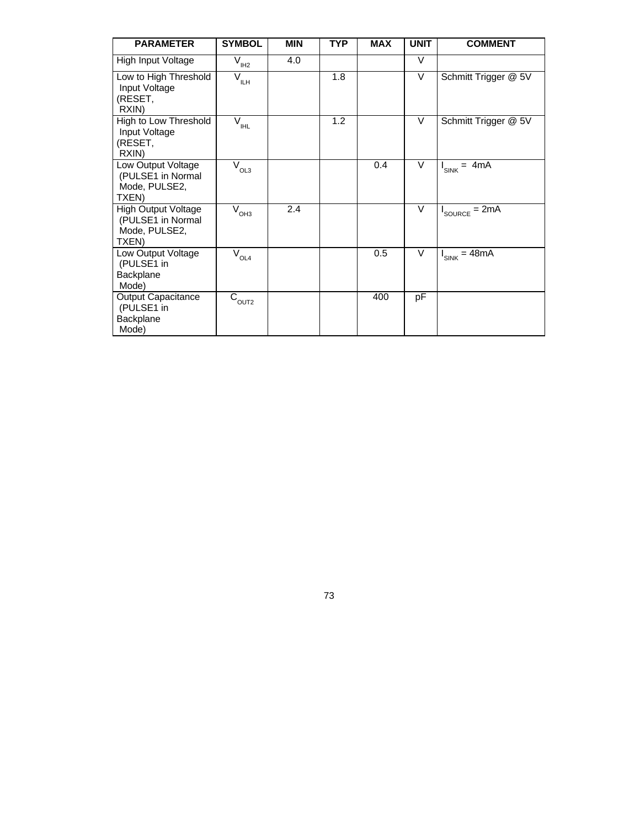| <b>PARAMETER</b>                                                          | <b>SYMBOL</b>                                    | <b>MIN</b> | <b>TYP</b> | <b>MAX</b> | <b>UNIT</b> | <b>COMMENT</b>               |
|---------------------------------------------------------------------------|--------------------------------------------------|------------|------------|------------|-------------|------------------------------|
| High Input Voltage                                                        | $\overline{V}_{I\!H\!Z}$                         | 4.0        |            |            | $\vee$      |                              |
| Low to High Threshold<br>Input Voltage<br>(RESET,<br>RXIN)                | $\overline{V}_{\text{ILH}}$                      |            | 1.8        |            | $\vee$      | Schmitt Trigger @ 5V         |
| High to Low Threshold<br>Input Voltage<br>(RESET,<br>RXIN)                | $\overline{\mathsf{V}}_{_{\mathsf{I\!H\!I\!L}}}$ |            | 1.2        |            | $\vee$      | Schmitt Trigger @ 5V         |
| Low Output Voltage<br>(PULSE1 in Normal<br>Mode, PULSE2,<br>TXEN)         | V<br>OL3                                         |            |            | 0.4        | $\vee$      | $= 4mA$<br>I <sub>SINK</sub> |
| <b>High Output Voltage</b><br>(PULSE1 in Normal<br>Mode, PULSE2,<br>TXEN) | $\overline{V}_{\text{OH3}}$                      | 2.4        |            |            | $\vee$      | $= 2mA$<br>SOURCE            |
| Low Output Voltage<br>(PULSE1 in<br>Backplane<br>Mode)                    | $\bar{V}_{OL4}$                                  |            |            | 0.5        | $\vee$      | $I_{SINK} = 48mA$            |
| <b>Output Capacitance</b><br>(PULSE1 in<br>Backplane<br>Mode)             | $\rm{C_{OUT2}}$                                  |            |            | 400        | pF          |                              |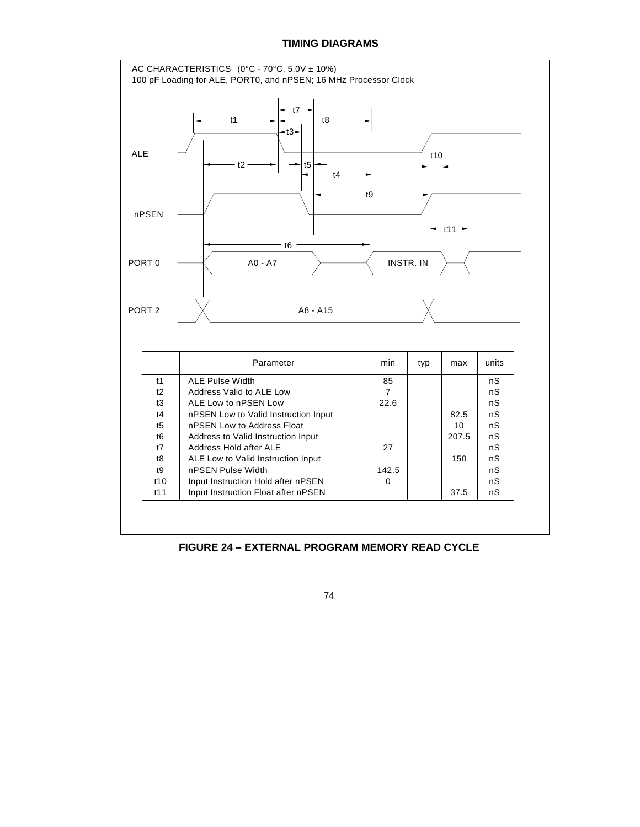## **TIMING DIAGRAMS**



**FIGURE 24 – EXTERNAL PROGRAM MEMORY READ CYCLE**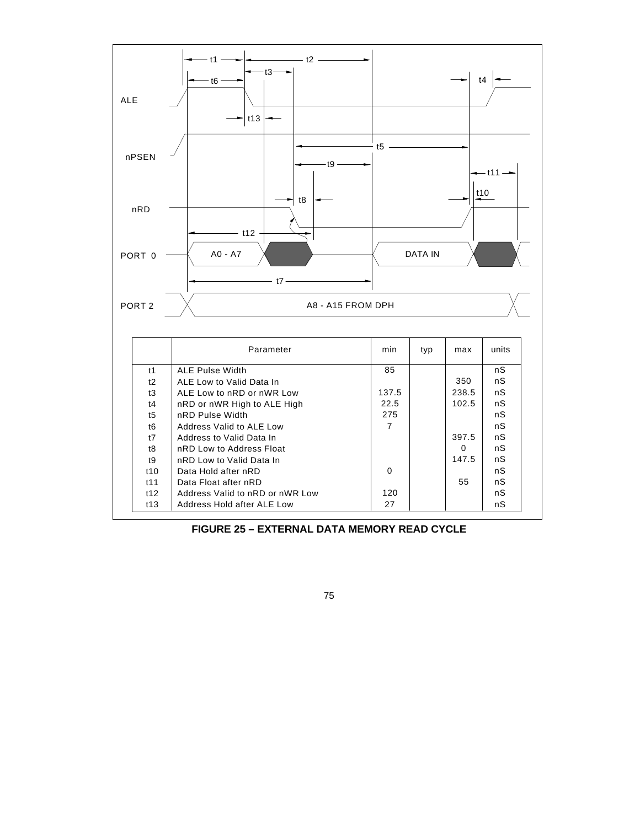

**FIGURE 25 – EXTERNAL DATA MEMORY READ CYCLE**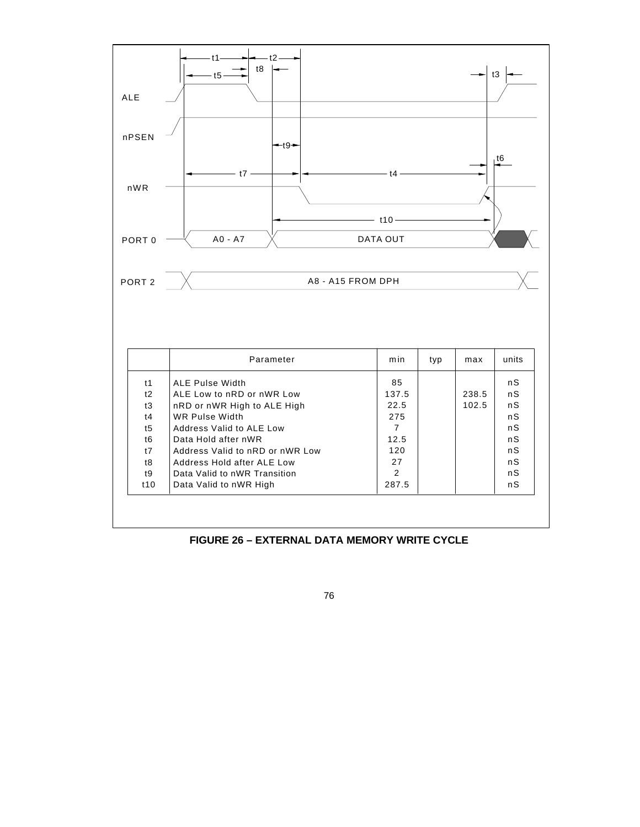

**FIGURE 26 – EXTERNAL DATA MEMORY WRITE CYCLE**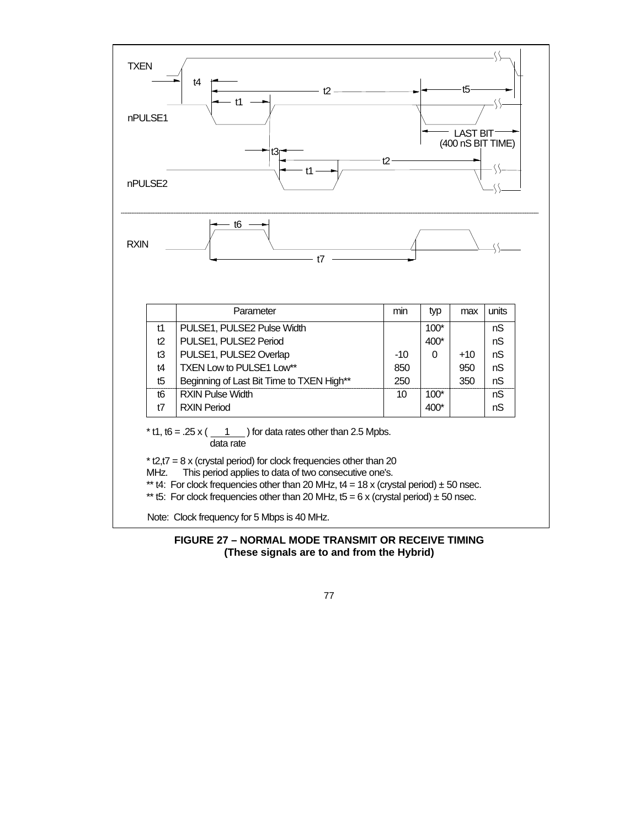

## **FIGURE 27 – NORMAL MODE TRANSMIT OR RECEIVE TIMING (These signals are to and from the Hybrid)**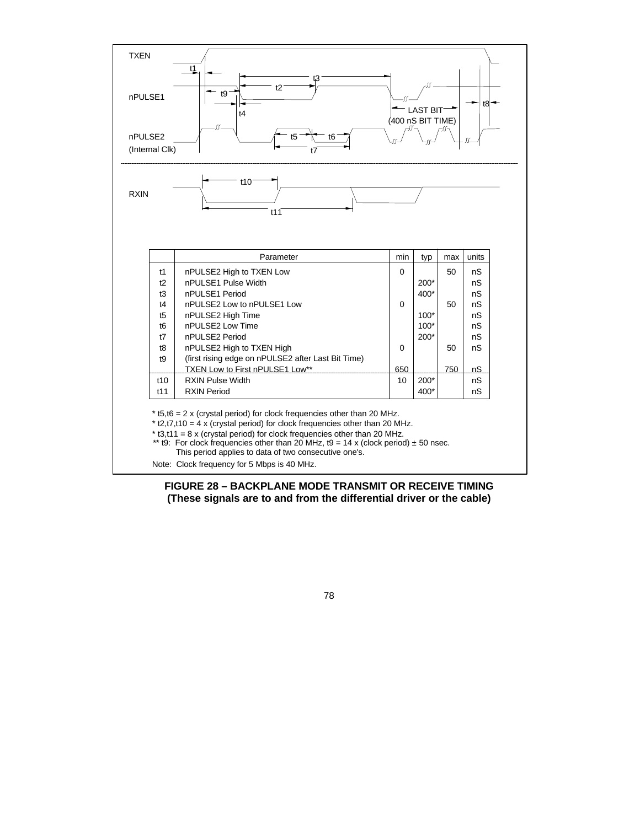

**FIGURE 28 – BACKPLANE MODE TRANSMIT OR RECEIVE TIMING (These signals are to and from the differential driver or the cable)**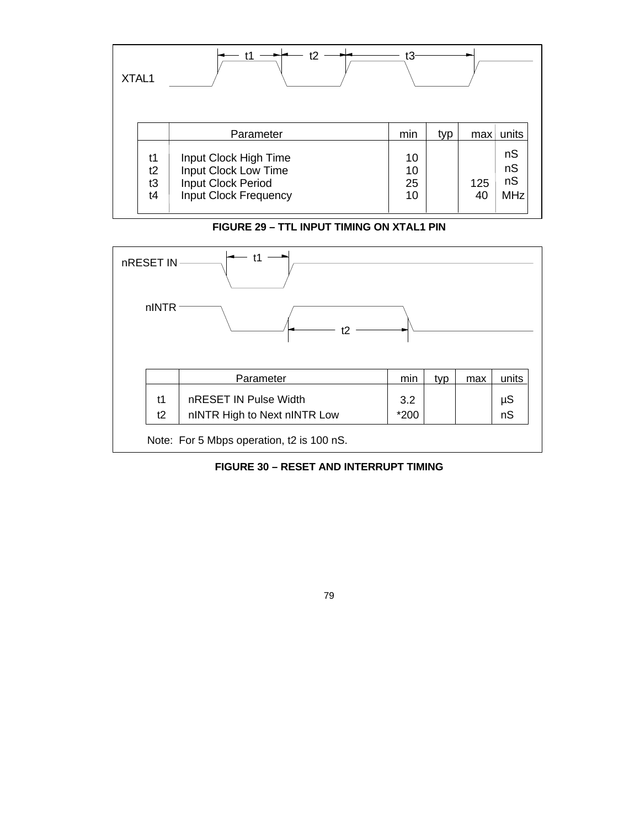| XTAL1 |                      | t2                                                                                                  | tЗ                   |     |           |                              |
|-------|----------------------|-----------------------------------------------------------------------------------------------------|----------------------|-----|-----------|------------------------------|
|       |                      | Parameter                                                                                           | min                  | typ | max       | units                        |
|       | t1<br>t2<br>t3<br>t4 | Input Clock High Time<br>Input Clock Low Time<br>Input Clock Period<br><b>Input Clock Frequency</b> | 10<br>10<br>25<br>10 |     | 125<br>40 | nS<br>nS<br>nS<br><b>MHz</b> |

**FIGURE 29 – TTL INPUT TIMING ON XTAL1 PIN**



**FIGURE 30 – RESET AND INTERRUPT TIMING**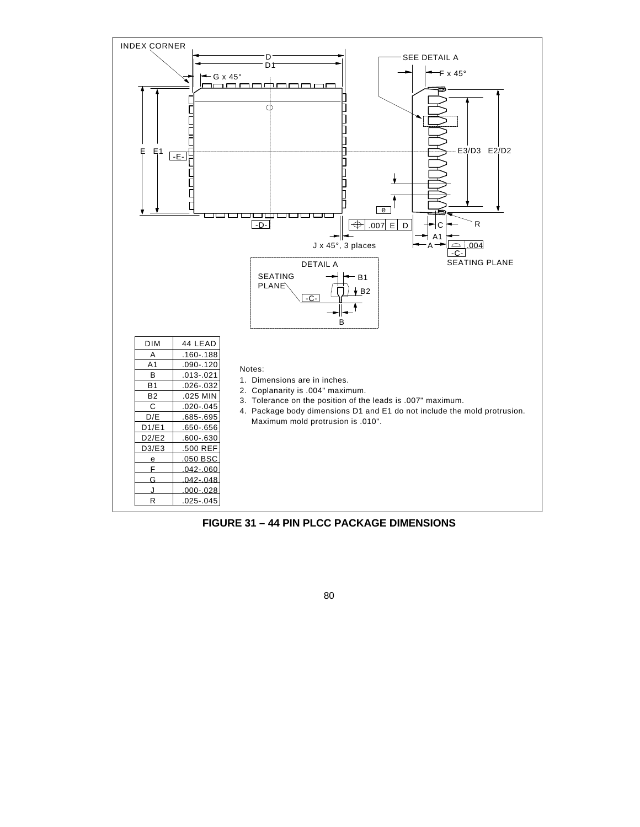

**FIGURE 31 – 44 PIN PLCC PACKAGE DIMENSIONS**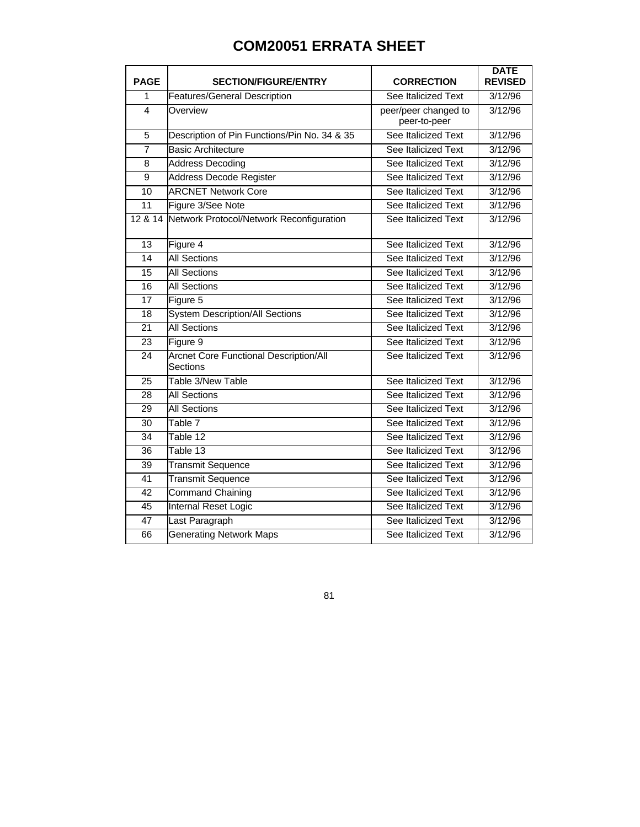## **COM20051 ERRATA SHEET**

| <b>PAGE</b>     | <b>SECTION/FIGURE/ENTRY</b>                               | <b>CORRECTION</b>                    | <b>DATE</b><br><b>REVISED</b> |
|-----------------|-----------------------------------------------------------|--------------------------------------|-------------------------------|
| 1               | <b>Features/General Description</b>                       | See Italicized Text                  | 3/12/96                       |
| 4               | Overview                                                  | peer/peer changed to<br>peer-to-peer | 3/12/96                       |
| $\overline{5}$  | Description of Pin Functions/Pin No. 34 & 35              | See Italicized Text                  | 3/12/96                       |
| $\overline{7}$  | <b>Basic Architecture</b>                                 | See Italicized Text                  | 3/12/96                       |
| 8               | <b>Address Decoding</b>                                   | See Italicized Text                  | 3/12/96                       |
| 9               | <b>Address Decode Register</b>                            | See Italicized Text                  | 3/12/96                       |
| 10              | <b>ARCNET Network Core</b>                                | See Italicized Text                  | 3/12/96                       |
| 11              | Figure 3/See Note                                         | See Italicized Text                  | 3/12/96                       |
| 12 & 14         | Network Protocol/Network Reconfiguration                  | See Italicized Text                  | 3/12/96                       |
| 13              | Figure 4                                                  | See Italicized Text                  | 3/12/96                       |
| 14              | <b>All Sections</b>                                       | See Italicized Text                  | 3/12/96                       |
| 15              | <b>All Sections</b>                                       | See Italicized Text                  | 3/12/96                       |
| $\overline{16}$ | <b>All Sections</b>                                       | See Italicized Text                  | 3/12/96                       |
| 17              | Figure 5                                                  | See Italicized Text                  | 3/12/96                       |
| 18              | <b>System Description/All Sections</b>                    | See Italicized Text                  | 3/12/96                       |
| 21              | <b>All Sections</b>                                       | See Italicized Text                  | 3/12/96                       |
| 23              | Figure 9                                                  | See Italicized Text                  | 3/12/96                       |
| 24              | <b>Arcnet Core Functional Description/All</b><br>Sections | See Italicized Text                  | 3/12/96                       |
| 25              | Table 3/New Table                                         | See Italicized Text                  | 3/12/96                       |
| 28              | <b>All Sections</b>                                       | See Italicized Text                  | 3/12/96                       |
| 29              | <b>All Sections</b>                                       | See Italicized Text                  | 3/12/96                       |
| 30              | Table 7                                                   | See Italicized Text                  | 3/12/96                       |
| $\overline{34}$ | Table 12                                                  | See Italicized Text                  | 3/12/96                       |
| 36              | Table 13                                                  | See Italicized Text                  | 3/12/96                       |
| 39              | Transmit Sequence                                         | See Italicized Text                  | 3/12/96                       |
| 41              | <b>Transmit Sequence</b>                                  | See Italicized Text                  | 3/12/96                       |
| 42              | <b>Command Chaining</b>                                   | See Italicized Text                  | 3/12/96                       |
| 45              | Internal Reset Logic                                      | See Italicized Text                  | 3/12/96                       |
| 47              | Last Paragraph                                            | See Italicized Text                  | 3/12/96                       |
| 66              | <b>Generating Network Maps</b>                            | See Italicized Text                  | 3/12/96                       |